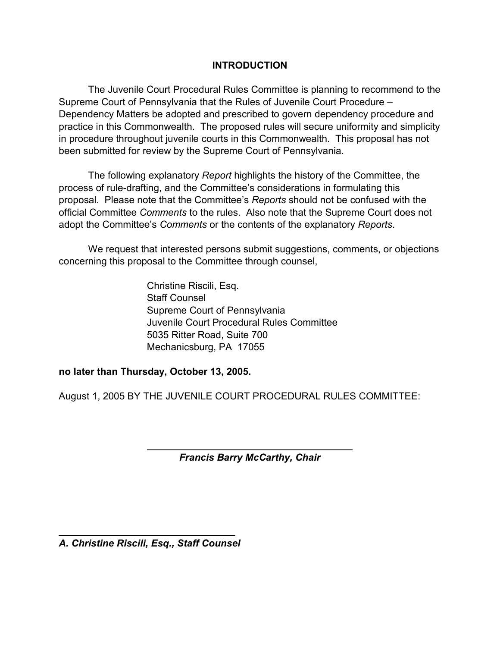### **INTRODUCTION**

 The Juvenile Court Procedural Rules Committee is planning to recommend to the Supreme Court of Pennsylvania that the Rules of Juvenile Court Procedure – Dependency Matters be adopted and prescribed to govern dependency procedure and practice in this Commonwealth. The proposed rules will secure uniformity and simplicity in procedure throughout juvenile courts in this Commonwealth. This proposal has not been submitted for review by the Supreme Court of Pennsylvania.

 The following explanatory *Report* highlights the history of the Committee, the process of rule-drafting, and the Committee's considerations in formulating this proposal. Please note that the Committee's *Reports* should not be confused with the official Committee *Comments* to the rules. Also note that the Supreme Court does not adopt the Committee's *Comments* or the contents of the explanatory *Reports*.

 We request that interested persons submit suggestions, comments, or objections concerning this proposal to the Committee through counsel,

> Christine Riscili, Esq. Staff Counsel Supreme Court of Pennsylvania Juvenile Court Procedural Rules Committee 5035 Ritter Road, Suite 700 Mechanicsburg, PA 17055

**no later than Thursday, October 13, 2005.** 

August 1, 2005 BY THE JUVENILE COURT PROCEDURAL RULES COMMITTEE:

*Francis Barry McCarthy, Chair* 

*A. Christine Riscili, Esq., Staff Counsel*

 $\overline{a}$ 

 $\overline{a}$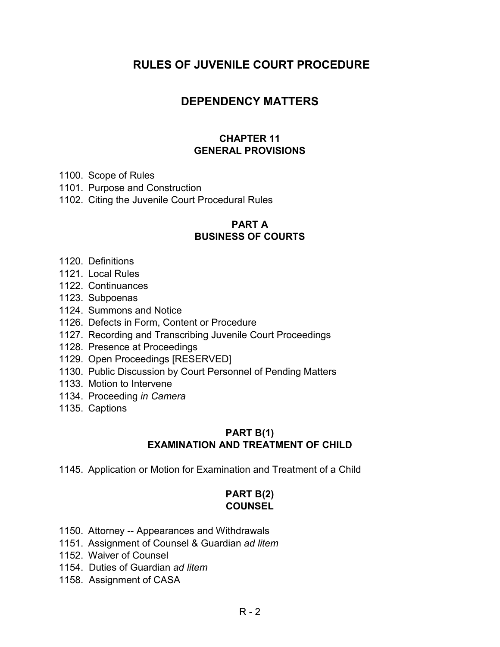# **RULES OF JUVENILE COURT PROCEDURE**

# **DEPENDENCY MATTERS**

### **CHAPTER 11 GENERAL PROVISIONS**

- 1100. Scope of Rules
- 1101. Purpose and Construction
- 1102. Citing the Juvenile Court Procedural Rules

### **PART A**

### **BUSINESS OF COURTS**

- 1120. Definitions
- 1121. Local Rules
- 1122. Continuances
- 1123. Subpoenas
- 1124. Summons and Notice
- 1126. Defects in Form, Content or Procedure
- 1127. Recording and Transcribing Juvenile Court Proceedings
- 1128. Presence at Proceedings
- 1129. Open Proceedings [RESERVED]
- 1130. Public Discussion by Court Personnel of Pending Matters
- 1133. Motion to Intervene
- 1134. Proceeding *in Camera*
- 1135. Captions

### **PART B(1) EXAMINATION AND TREATMENT OF CHILD**

1145. Application or Motion for Examination and Treatment of a Child

### **PART B(2) COUNSEL**

- 1150. Attorney -- Appearances and Withdrawals
- 1151. Assignment of Counsel & Guardian *ad litem*
- 1152. Waiver of Counsel
- 1154. Duties of Guardian *ad litem*
- 1158. Assignment of CASA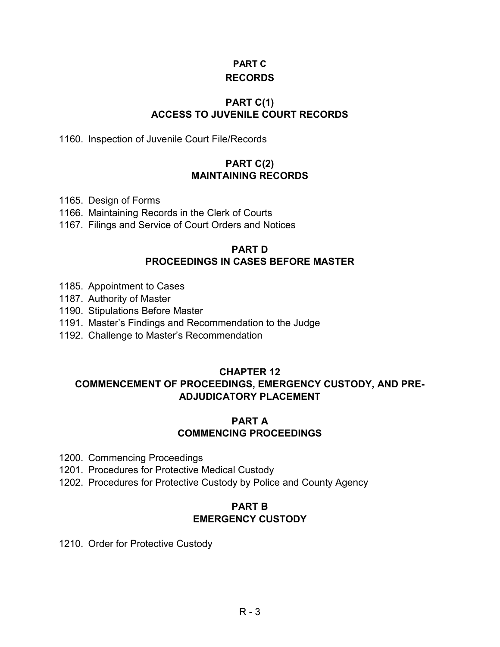### **PART C**

# **RECORDS**

# **PART C(1) ACCESS TO JUVENILE COURT RECORDS**

1160. Inspection of Juvenile Court File/Records

### **PART C(2) MAINTAINING RECORDS**

- 1165. Design of Forms
- 1166. Maintaining Records in the Clerk of Courts
- 1167. Filings and Service of Court Orders and Notices

### **PART D PROCEEDINGS IN CASES BEFORE MASTER**

- 1185. Appointment to Cases
- 1187. Authority of Master
- 1190. Stipulations Before Master
- 1191. Master's Findings and Recommendation to the Judge
- 1192. Challenge to Master's Recommendation

### **CHAPTER 12**

### **COMMENCEMENT OF PROCEEDINGS, EMERGENCY CUSTODY, AND PRE-ADJUDICATORY PLACEMENT**

### **PART A COMMENCING PROCEEDINGS**

- 1200. Commencing Proceedings
- 1201. Procedures for Protective Medical Custody
- 1202. Procedures for Protective Custody by Police and County Agency

### **PART B EMERGENCY CUSTODY**

1210. Order for Protective Custody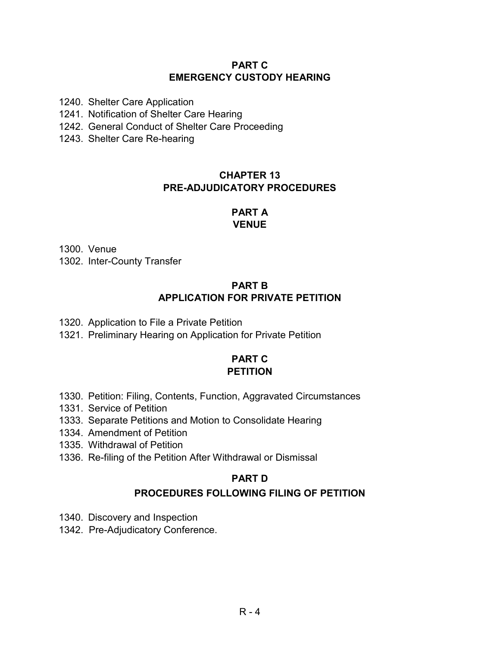### **PART C EMERGENCY CUSTODY HEARING**

1240. Shelter Care Application

1241. Notification of Shelter Care Hearing

- 1242. General Conduct of Shelter Care Proceeding
- 1243. Shelter Care Re-hearing

# **CHAPTER 13 PRE-ADJUDICATORY PROCEDURES**

### **PART A VENUE**

1300. Venue 1302. Inter-County Transfer

# **PART B APPLICATION FOR PRIVATE PETITION**

- 1320. Application to File a Private Petition
- 1321. Preliminary Hearing on Application for Private Petition

# **PART C PETITION**

- 1330. Petition: Filing, Contents, Function, Aggravated Circumstances
- 1331. Service of Petition
- 1333. Separate Petitions and Motion to Consolidate Hearing
- 1334. Amendment of Petition
- 1335. Withdrawal of Petition
- 1336. Re-filing of the Petition After Withdrawal or Dismissal

### **PART D**

### **PROCEDURES FOLLOWING FILING OF PETITION**

- 1340. Discovery and Inspection
- 1342. Pre-Adjudicatory Conference.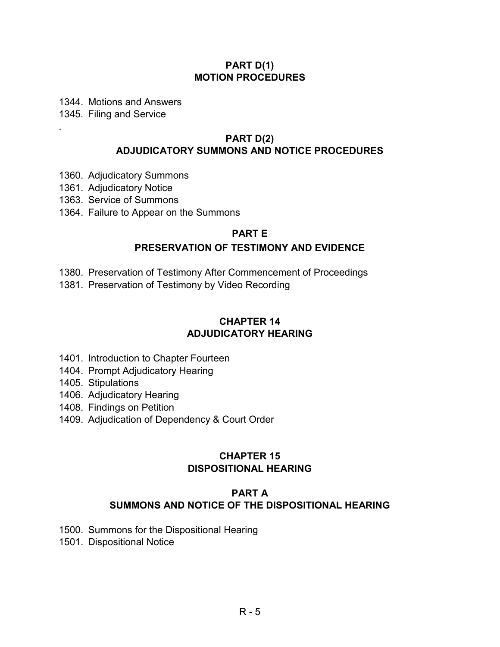### **PART D(1) MOTION PROCEDURES**

1344. Motions and Answers

1345. Filing and Service

.

### **PART D(2) ADJUDICATORY SUMMONS AND NOTICE PROCEDURES**

- 1360. Adjudicatory Summons
- 1361. Adjudicatory Notice
- 1363. Service of Summons
- 1364. Failure to Appear on the Summons

### **PART E**

### **PRESERVATION OF TESTIMONY AND EVIDENCE**

- 1380. Preservation of Testimony After Commencement of Proceedings
- 1381. Preservation of Testimony by Video Recording

### **CHAPTER 14 ADJUDICATORY HEARING**

- 1401. Introduction to Chapter Fourteen
- 1404. Prompt Adjudicatory Hearing
- 1405. Stipulations
- 1406. Adjudicatory Hearing
- 1408. Findings on Petition
- 1409. Adjudication of Dependency & Court Order

### **CHAPTER 15 DISPOSITIONAL HEARING**

### **PART A SUMMONS AND NOTICE OF THE DISPOSITIONAL HEARING**

- 1500. Summons for the Dispositional Hearing
- 1501. Dispositional Notice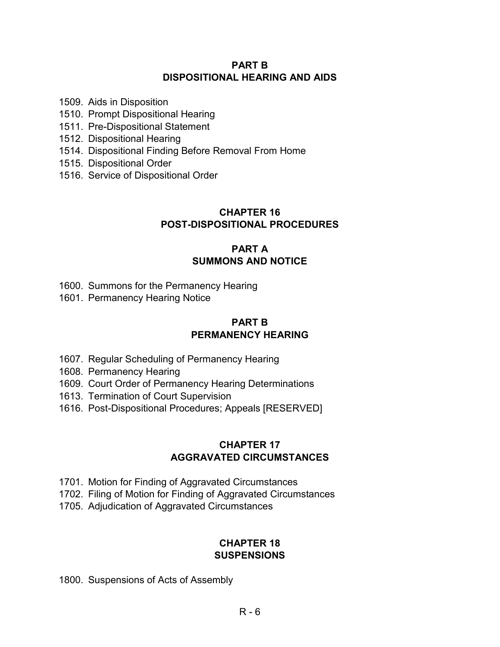### **PART B DISPOSITIONAL HEARING AND AIDS**

1509. Aids in Disposition

- 1510. Prompt Dispositional Hearing
- 1511. Pre-Dispositional Statement
- 1512. Dispositional Hearing
- 1514. Dispositional Finding Before Removal From Home
- 1515. Dispositional Order
- 1516. Service of Dispositional Order

# **CHAPTER 16 POST-DISPOSITIONAL PROCEDURES**

### **PART A SUMMONS AND NOTICE**

- 1600. Summons for the Permanency Hearing
- 1601. Permanency Hearing Notice

### **PART B PERMANENCY HEARING**

- 1607. Regular Scheduling of Permanency Hearing
- 1608. Permanency Hearing
- 1609. Court Order of Permanency Hearing Determinations
- 1613. Termination of Court Supervision
- 1616. Post-Dispositional Procedures; Appeals [RESERVED]

### **CHAPTER 17 AGGRAVATED CIRCUMSTANCES**

- 1701. Motion for Finding of Aggravated Circumstances
- 1702. Filing of Motion for Finding of Aggravated Circumstances
- 1705. Adjudication of Aggravated Circumstances

### **CHAPTER 18 SUSPENSIONS**

1800. Suspensions of Acts of Assembly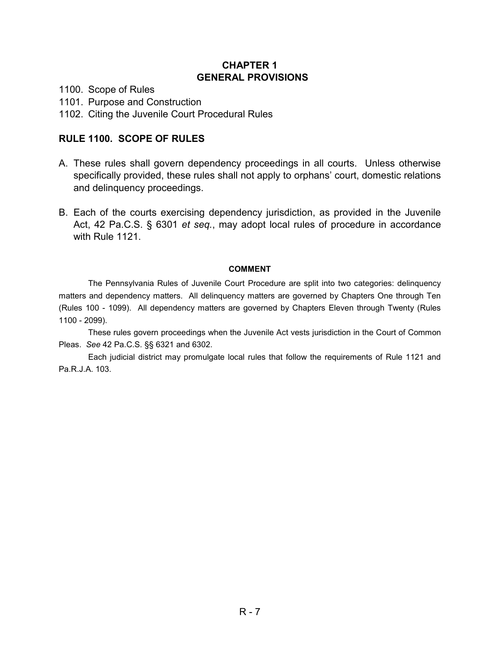### **CHAPTER 1 GENERAL PROVISIONS**

1100. Scope of Rules

1101. Purpose and Construction

1102. Citing the Juvenile Court Procedural Rules

### **RULE 1100. SCOPE OF RULES**

- A. These rules shall govern dependency proceedings in all courts. Unless otherwise specifically provided, these rules shall not apply to orphans' court, domestic relations and delinquency proceedings.
- B. Each of the courts exercising dependency jurisdiction, as provided in the Juvenile Act, 42 Pa.C.S. § 6301 *et seq.*, may adopt local rules of procedure in accordance with Rule 1121.

### **COMMENT**

The Pennsylvania Rules of Juvenile Court Procedure are split into two categories: delinquency matters and dependency matters. All delinquency matters are governed by Chapters One through Ten (Rules 100 - 1099). All dependency matters are governed by Chapters Eleven through Twenty (Rules 1100 - 2099).

These rules govern proceedings when the Juvenile Act vests jurisdiction in the Court of Common Pleas. *See* 42 Pa.C.S. §§ 6321 and 6302.

Each judicial district may promulgate local rules that follow the requirements of Rule 1121 and Pa.R.J.A. 103.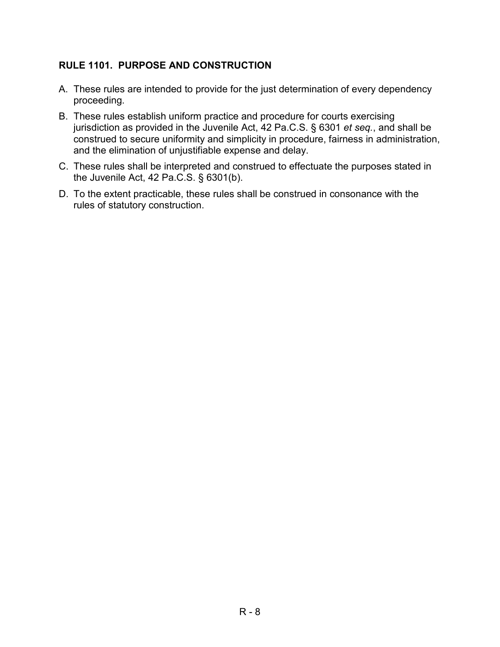# **RULE 1101. PURPOSE AND CONSTRUCTION**

- A. These rules are intended to provide for the just determination of every dependency proceeding.
- B. These rules establish uniform practice and procedure for courts exercising jurisdiction as provided in the Juvenile Act, 42 Pa.C.S. § 6301 *et seq.*, and shall be construed to secure uniformity and simplicity in procedure, fairness in administration, and the elimination of unjustifiable expense and delay.
- C. These rules shall be interpreted and construed to effectuate the purposes stated in the Juvenile Act, 42 Pa.C.S. § 6301(b).
- D. To the extent practicable, these rules shall be construed in consonance with the rules of statutory construction.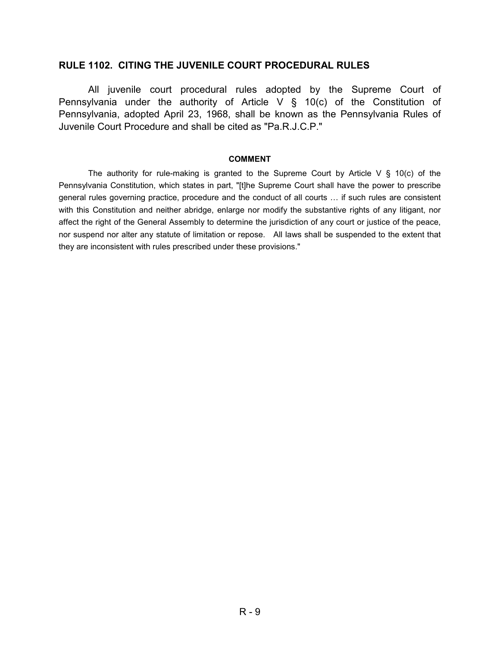#### **RULE 1102. CITING THE JUVENILE COURT PROCEDURAL RULES**

All juvenile court procedural rules adopted by the Supreme Court of Pennsylvania under the authority of Article V § 10(c) of the Constitution of Pennsylvania, adopted April 23, 1968, shall be known as the Pennsylvania Rules of Juvenile Court Procedure and shall be cited as "Pa.R.J.C.P."

#### **COMMENT**

The authority for rule-making is granted to the Supreme Court by Article V  $\S$  10(c) of the Pennsylvania Constitution, which states in part, "[t]he Supreme Court shall have the power to prescribe general rules governing practice, procedure and the conduct of all courts … if such rules are consistent with this Constitution and neither abridge, enlarge nor modify the substantive rights of any litigant, nor affect the right of the General Assembly to determine the jurisdiction of any court or justice of the peace, nor suspend nor alter any statute of limitation or repose. All laws shall be suspended to the extent that they are inconsistent with rules prescribed under these provisions."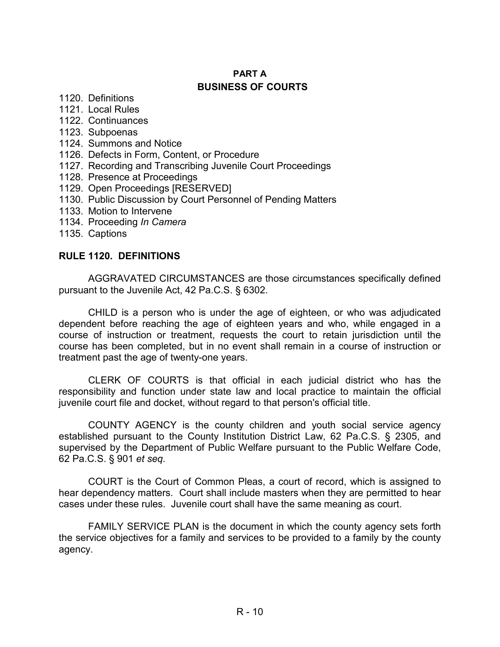# **PART A BUSINESS OF COURTS**

- 1120. Definitions
- 1121. Local Rules
- 1122. Continuances
- 1123. Subpoenas
- 1124. Summons and Notice
- 1126. Defects in Form, Content, or Procedure
- 1127. Recording and Transcribing Juvenile Court Proceedings
- 1128. Presence at Proceedings
- 1129. Open Proceedings [RESERVED]
- 1130. Public Discussion by Court Personnel of Pending Matters
- 1133. Motion to Intervene
- 1134. Proceeding *In Camera*
- 1135. Captions

### **RULE 1120. DEFINITIONS**

AGGRAVATED CIRCUMSTANCES are those circumstances specifically defined pursuant to the Juvenile Act, 42 Pa.C.S. § 6302.

CHILD is a person who is under the age of eighteen, or who was adjudicated dependent before reaching the age of eighteen years and who, while engaged in a course of instruction or treatment, requests the court to retain jurisdiction until the course has been completed, but in no event shall remain in a course of instruction or treatment past the age of twenty-one years.

CLERK OF COURTS is that official in each judicial district who has the responsibility and function under state law and local practice to maintain the official juvenile court file and docket, without regard to that person's official title.

COUNTY AGENCY is the county children and youth social service agency established pursuant to the County Institution District Law, 62 Pa.C.S. § 2305, and supervised by the Department of Public Welfare pursuant to the Public Welfare Code, 62 Pa.C.S. § 901 *et seq.* 

COURT is the Court of Common Pleas, a court of record, which is assigned to hear dependency matters. Court shall include masters when they are permitted to hear cases under these rules. Juvenile court shall have the same meaning as court.

FAMILY SERVICE PLAN is the document in which the county agency sets forth the service objectives for a family and services to be provided to a family by the county agency.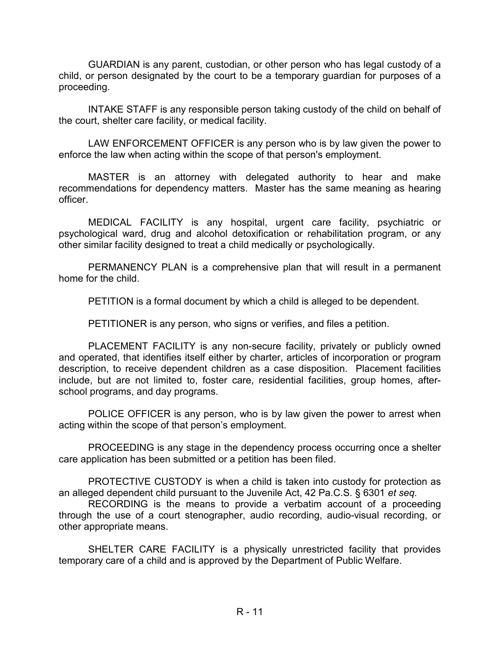GUARDIAN is any parent, custodian, or other person who has legal custody of a child, or person designated by the court to be a temporary guardian for purposes of a proceeding.

INTAKE STAFF is any responsible person taking custody of the child on behalf of the court, shelter care facility, or medical facility.

LAW ENFORCEMENT OFFICER is any person who is by law given the power to enforce the law when acting within the scope of that person's employment.

MASTER is an attorney with delegated authority to hear and make recommendations for dependency matters. Master has the same meaning as hearing officer.

MEDICAL FACILITY is any hospital, urgent care facility, psychiatric or psychological ward, drug and alcohol detoxification or rehabilitation program, or any other similar facility designed to treat a child medically or psychologically.

PERMANENCY PLAN is a comprehensive plan that will result in a permanent home for the child.

PETITION is a formal document by which a child is alleged to be dependent.

PETITIONER is any person, who signs or verifies, and files a petition.

PLACEMENT FACILITY is any non-secure facility, privately or publicly owned and operated, that identifies itself either by charter, articles of incorporation or program description, to receive dependent children as a case disposition. Placement facilities include, but are not limited to, foster care, residential facilities, group homes, afterschool programs, and day programs.

POLICE OFFICER is any person, who is by law given the power to arrest when acting within the scope of that person's employment.

PROCEEDING is any stage in the dependency process occurring once a shelter care application has been submitted or a petition has been filed.

PROTECTIVE CUSTODY is when a child is taken into custody for protection as an alleged dependent child pursuant to the Juvenile Act, 42 Pa.C.S. § 6301 *et seq.* 

RECORDING is the means to provide a verbatim account of a proceeding through the use of a court stenographer, audio recording, audio-visual recording, or other appropriate means.

SHELTER CARE FACILITY is a physically unrestricted facility that provides temporary care of a child and is approved by the Department of Public Welfare.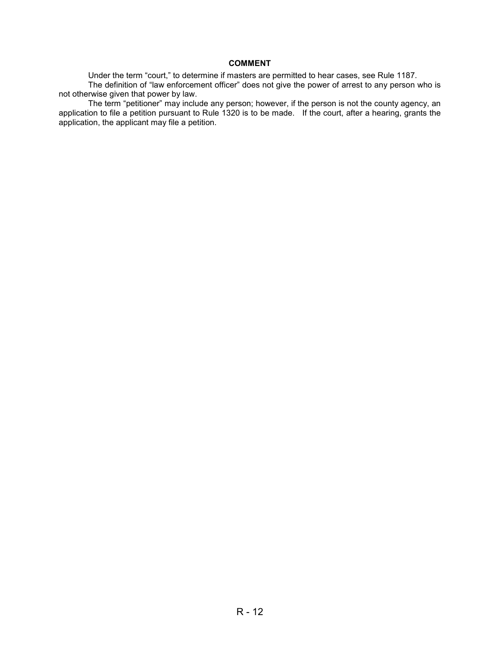#### **COMMENT**

Under the term "court," to determine if masters are permitted to hear cases, see Rule 1187. The definition of "law enforcement officer" does not give the power of arrest to any person who is not otherwise given that power by law.

The term "petitioner" may include any person; however, if the person is not the county agency, an application to file a petition pursuant to Rule 1320 is to be made. If the court, after a hearing, grants the application, the applicant may file a petition.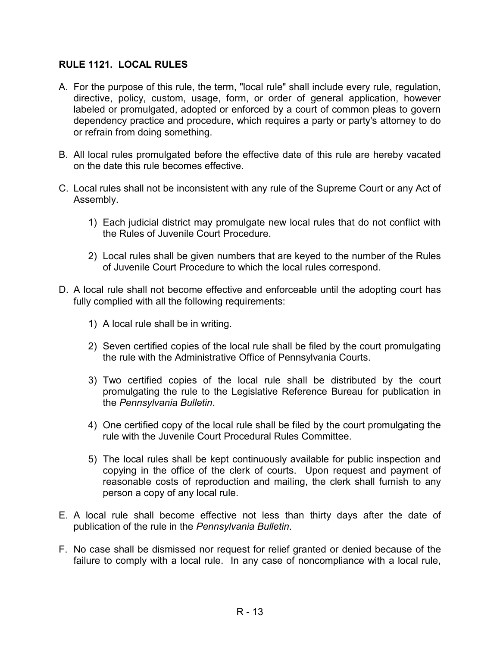### **RULE 1121. LOCAL RULES**

- A. For the purpose of this rule, the term, "local rule" shall include every rule, regulation, directive, policy, custom, usage, form, or order of general application, however labeled or promulgated, adopted or enforced by a court of common pleas to govern dependency practice and procedure, which requires a party or party's attorney to do or refrain from doing something.
- B. All local rules promulgated before the effective date of this rule are hereby vacated on the date this rule becomes effective.
- C. Local rules shall not be inconsistent with any rule of the Supreme Court or any Act of Assembly.
	- 1) Each judicial district may promulgate new local rules that do not conflict with the Rules of Juvenile Court Procedure.
	- 2) Local rules shall be given numbers that are keyed to the number of the Rules of Juvenile Court Procedure to which the local rules correspond.
- D. A local rule shall not become effective and enforceable until the adopting court has fully complied with all the following requirements:
	- 1) A local rule shall be in writing.
	- 2) Seven certified copies of the local rule shall be filed by the court promulgating the rule with the Administrative Office of Pennsylvania Courts.
	- 3) Two certified copies of the local rule shall be distributed by the court promulgating the rule to the Legislative Reference Bureau for publication in the *Pennsylvania Bulletin*.
	- 4) One certified copy of the local rule shall be filed by the court promulgating the rule with the Juvenile Court Procedural Rules Committee.
	- 5) The local rules shall be kept continuously available for public inspection and copying in the office of the clerk of courts. Upon request and payment of reasonable costs of reproduction and mailing, the clerk shall furnish to any person a copy of any local rule.
- E. A local rule shall become effective not less than thirty days after the date of publication of the rule in the *Pennsylvania Bulletin*.
- F. No case shall be dismissed nor request for relief granted or denied because of the failure to comply with a local rule. In any case of noncompliance with a local rule,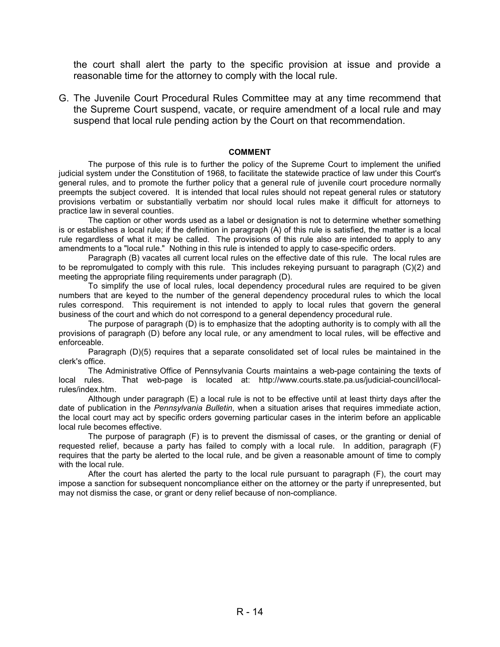the court shall alert the party to the specific provision at issue and provide a reasonable time for the attorney to comply with the local rule.

G. The Juvenile Court Procedural Rules Committee may at any time recommend that the Supreme Court suspend, vacate, or require amendment of a local rule and may suspend that local rule pending action by the Court on that recommendation.

#### **COMMENT**

The purpose of this rule is to further the policy of the Supreme Court to implement the unified judicial system under the Constitution of 1968, to facilitate the statewide practice of law under this Court's general rules, and to promote the further policy that a general rule of juvenile court procedure normally preempts the subject covered. It is intended that local rules should not repeat general rules or statutory provisions verbatim or substantially verbatim nor should local rules make it difficult for attorneys to practice law in several counties.

The caption or other words used as a label or designation is not to determine whether something is or establishes a local rule; if the definition in paragraph (A) of this rule is satisfied, the matter is a local rule regardless of what it may be called. The provisions of this rule also are intended to apply to any amendments to a "local rule." Nothing in this rule is intended to apply to case-specific orders.

Paragraph (B) vacates all current local rules on the effective date of this rule. The local rules are to be repromulgated to comply with this rule. This includes rekeying pursuant to paragraph (C)(2) and meeting the appropriate filing requirements under paragraph (D).

To simplify the use of local rules, local dependency procedural rules are required to be given numbers that are keyed to the number of the general dependency procedural rules to which the local rules correspond. This requirement is not intended to apply to local rules that govern the general business of the court and which do not correspond to a general dependency procedural rule.

The purpose of paragraph (D) is to emphasize that the adopting authority is to comply with all the provisions of paragraph (D) before any local rule, or any amendment to local rules, will be effective and enforceable.

Paragraph (D)(5) requires that a separate consolidated set of local rules be maintained in the clerk's office.

The Administrative Office of Pennsylvania Courts maintains a web-page containing the texts of local rules. That web-page is located at: http://www.courts.state.pa.us/judicial-council/localrules/index.htm.

Although under paragraph (E) a local rule is not to be effective until at least thirty days after the date of publication in the *Pennsylvania Bulletin*, when a situation arises that requires immediate action, the local court may act by specific orders governing particular cases in the interim before an applicable local rule becomes effective.

The purpose of paragraph (F) is to prevent the dismissal of cases, or the granting or denial of requested relief, because a party has failed to comply with a local rule. In addition, paragraph (F) requires that the party be alerted to the local rule, and be given a reasonable amount of time to comply with the local rule.

After the court has alerted the party to the local rule pursuant to paragraph (F), the court may impose a sanction for subsequent noncompliance either on the attorney or the party if unrepresented, but may not dismiss the case, or grant or deny relief because of non-compliance.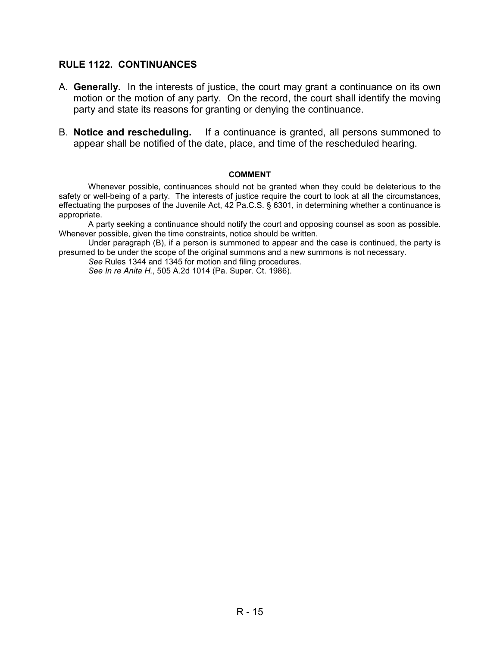### **RULE 1122. CONTINUANCES**

- A. **Generally.** In the interests of justice, the court may grant a continuance on its own motion or the motion of any party. On the record, the court shall identify the moving party and state its reasons for granting or denying the continuance.
- B. **Notice and rescheduling.** If a continuance is granted, all persons summoned to appear shall be notified of the date, place, and time of the rescheduled hearing.

#### **COMMENT**

Whenever possible, continuances should not be granted when they could be deleterious to the safety or well-being of a party. The interests of justice require the court to look at all the circumstances, effectuating the purposes of the Juvenile Act, 42 Pa.C.S. § 6301, in determining whether a continuance is appropriate.

A party seeking a continuance should notify the court and opposing counsel as soon as possible. Whenever possible, given the time constraints, notice should be written.

Under paragraph (B), if a person is summoned to appear and the case is continued, the party is presumed to be under the scope of the original summons and a new summons is not necessary.

*See* Rules 1344 and 1345 for motion and filing procedures. *See In re Anita H.*, 505 A.2d 1014 (Pa. Super. Ct. 1986).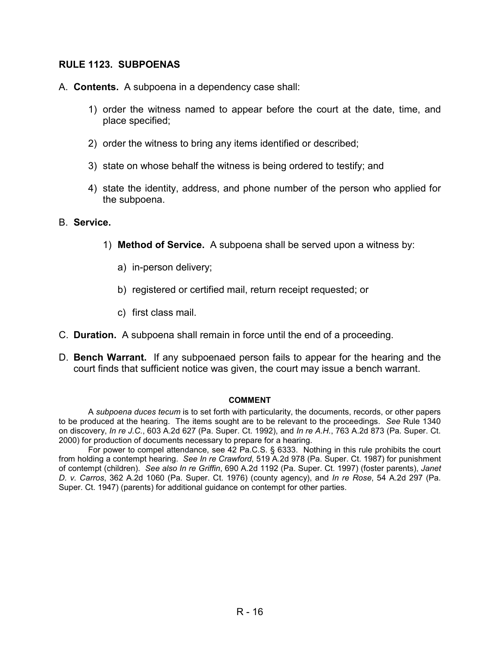### **RULE 1123. SUBPOENAS**

- A. **Contents.** A subpoena in a dependency case shall:
	- 1) order the witness named to appear before the court at the date, time, and place specified;
	- 2) order the witness to bring any items identified or described;
	- 3) state on whose behalf the witness is being ordered to testify; and
	- 4) state the identity, address, and phone number of the person who applied for the subpoena.

#### B. **Service.**

- 1) **Method of Service.** A subpoena shall be served upon a witness by:
	- a) in-person delivery;
	- b) registered or certified mail, return receipt requested; or
	- c) first class mail.
- C. **Duration.** A subpoena shall remain in force until the end of a proceeding.
- D. **Bench Warrant.** If any subpoenaed person fails to appear for the hearing and the court finds that sufficient notice was given, the court may issue a bench warrant.

#### **COMMENT**

A *subpoena duces tecum* is to set forth with particularity, the documents, records, or other papers to be produced at the hearing. The items sought are to be relevant to the proceedings. *See* Rule 1340 on discovery, *In re J.C.*, 603 A.2d 627 (Pa. Super. Ct. 1992), and *In re A.H.*, 763 A.2d 873 (Pa. Super. Ct. 2000) for production of documents necessary to prepare for a hearing.

For power to compel attendance, see 42 Pa.C.S. § 6333. Nothing in this rule prohibits the court from holding a contempt hearing. *See In re Crawford*, 519 A.2d 978 (Pa. Super. Ct. 1987) for punishment of contempt (children). *See also In re Griffin*, 690 A.2d 1192 (Pa. Super. Ct. 1997) (foster parents), *Janet D. v. Carros*, 362 A.2d 1060 (Pa. Super. Ct. 1976) (county agency), and *In re Rose*, 54 A.2d 297 (Pa. Super. Ct. 1947) (parents) for additional guidance on contempt for other parties.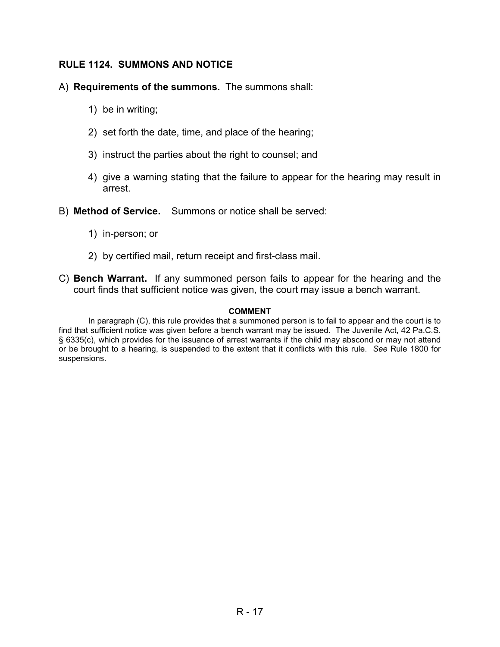### **RULE 1124. SUMMONS AND NOTICE**

### A) **Requirements of the summons.** The summons shall:

- 1) be in writing;
- 2) set forth the date, time, and place of the hearing;
- 3) instruct the parties about the right to counsel; and
- 4) give a warning stating that the failure to appear for the hearing may result in arrest.
- B) **Method of Service.** Summons or notice shall be served:
	- 1) in-person; or
	- 2) by certified mail, return receipt and first-class mail.
- C) **Bench Warrant.** If any summoned person fails to appear for the hearing and the court finds that sufficient notice was given, the court may issue a bench warrant.

#### **COMMENT**

In paragraph (C), this rule provides that a summoned person is to fail to appear and the court is to find that sufficient notice was given before a bench warrant may be issued. The Juvenile Act, 42 Pa.C.S. § 6335(c), which provides for the issuance of arrest warrants if the child may abscond or may not attend or be brought to a hearing, is suspended to the extent that it conflicts with this rule. *See* Rule 1800 for suspensions.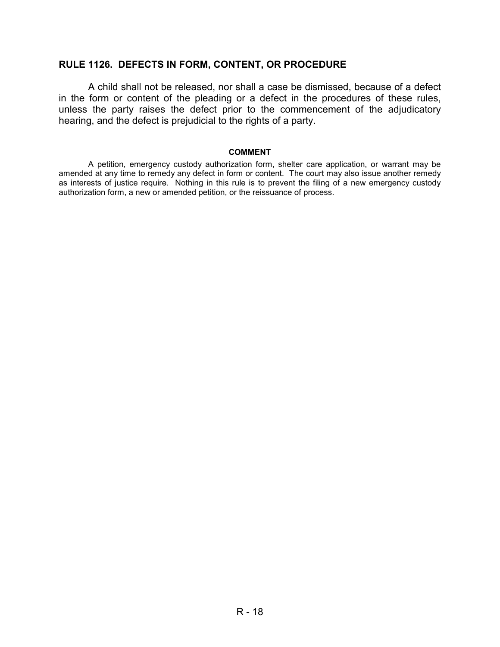### **RULE 1126. DEFECTS IN FORM, CONTENT, OR PROCEDURE**

A child shall not be released, nor shall a case be dismissed, because of a defect in the form or content of the pleading or a defect in the procedures of these rules, unless the party raises the defect prior to the commencement of the adjudicatory hearing, and the defect is prejudicial to the rights of a party.

#### **COMMENT**

A petition, emergency custody authorization form, shelter care application, or warrant may be amended at any time to remedy any defect in form or content. The court may also issue another remedy as interests of justice require. Nothing in this rule is to prevent the filing of a new emergency custody authorization form, a new or amended petition, or the reissuance of process.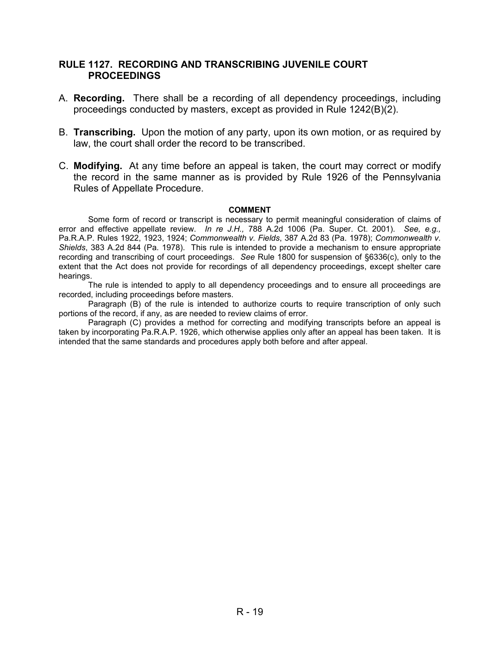### **RULE 1127. RECORDING AND TRANSCRIBING JUVENILE COURT PROCEEDINGS**

- A. **Recording.** There shall be a recording of all dependency proceedings, including proceedings conducted by masters, except as provided in Rule 1242(B)(2).
- B. **Transcribing.** Upon the motion of any party, upon its own motion, or as required by law, the court shall order the record to be transcribed.
- C. **Modifying.** At any time before an appeal is taken, the court may correct or modify the record in the same manner as is provided by Rule 1926 of the Pennsylvania Rules of Appellate Procedure.

#### **COMMENT**

Some form of record or transcript is necessary to permit meaningful consideration of claims of error and effective appellate review. *In re J.H.,* 788 A.2d 1006 (Pa. Super. Ct. 2001). *See, e.g.,*  Pa.R.A.P. Rules 1922, 1923, 1924; *Commonwealth v. Fields*, 387 A.2d 83 (Pa. 1978); *Commonwealth v. Shields*, 383 A.2d 844 (Pa. 1978). This rule is intended to provide a mechanism to ensure appropriate recording and transcribing of court proceedings. *See* Rule 1800 for suspension of §6336(c), only to the extent that the Act does not provide for recordings of all dependency proceedings, except shelter care hearings.

The rule is intended to apply to all dependency proceedings and to ensure all proceedings are recorded, including proceedings before masters.

Paragraph (B) of the rule is intended to authorize courts to require transcription of only such portions of the record, if any, as are needed to review claims of error.

Paragraph (C) provides a method for correcting and modifying transcripts before an appeal is taken by incorporating Pa.R.A.P. 1926, which otherwise applies only after an appeal has been taken. It is intended that the same standards and procedures apply both before and after appeal.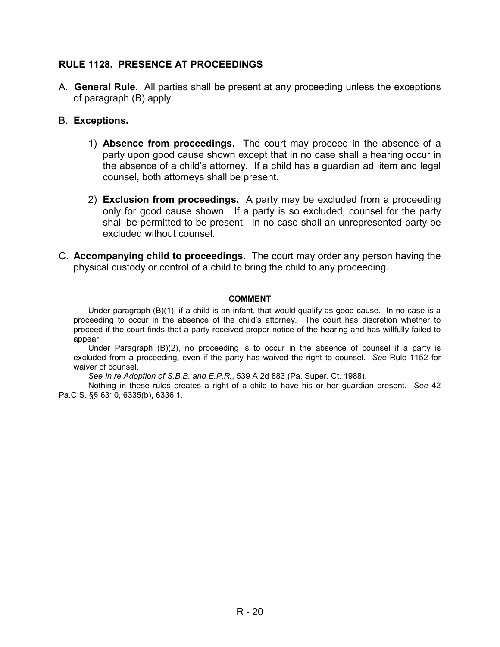### **RULE 1128. PRESENCE AT PROCEEDINGS**

- A. **General Rule.** All parties shall be present at any proceeding unless the exceptions of paragraph (B) apply.
- B. **Exceptions.** 
	- 1) **Absence from proceedings.** The court may proceed in the absence of a party upon good cause shown except that in no case shall a hearing occur in the absence of a child's attorney. If a child has a guardian ad litem and legal counsel, both attorneys shall be present.
	- 2) **Exclusion from proceedings.** A party may be excluded from a proceeding only for good cause shown. If a party is so excluded, counsel for the party shall be permitted to be present. In no case shall an unrepresented party be excluded without counsel.
- C. **Accompanying child to proceedings.** The court may order any person having the physical custody or control of a child to bring the child to any proceeding.

#### **COMMENT**

Under paragraph (B)(1), if a child is an infant, that would qualify as good cause. In no case is a proceeding to occur in the absence of the child's attorney. The court has discretion whether to proceed if the court finds that a party received proper notice of the hearing and has willfully failed to appear.

Under Paragraph (B)(2), no proceeding is to occur in the absence of counsel if a party is excluded from a proceeding, even if the party has waived the right to counsel. *See* Rule 1152 for waiver of counsel.

*See In re Adoption of S.B.B. and E.P.R.*, 539 A.2d 883 (Pa. Super. Ct. 1988).

Nothing in these rules creates a right of a child to have his or her guardian present. *See* 42 Pa.C.S. §§ 6310, 6335(b), 6336.1.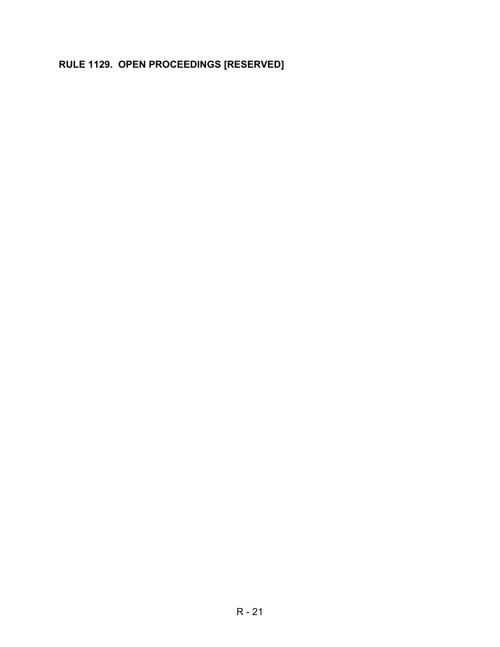# **RULE 1129. OPEN PROCEEDINGS [RESERVED]**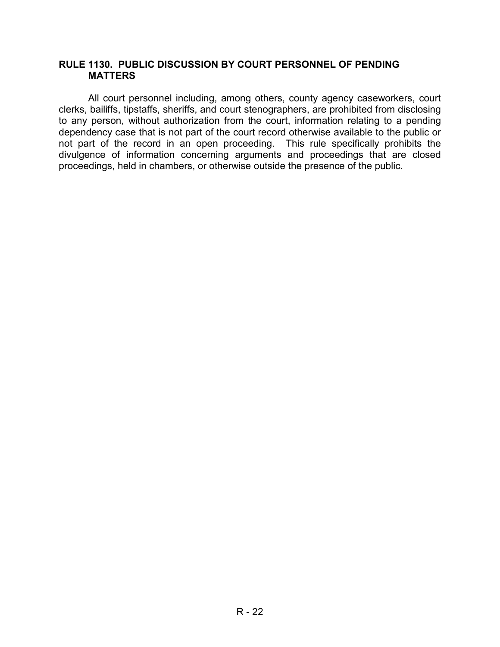### **RULE 1130. PUBLIC DISCUSSION BY COURT PERSONNEL OF PENDING MATTERS**

All court personnel including, among others, county agency caseworkers, court clerks, bailiffs, tipstaffs, sheriffs, and court stenographers, are prohibited from disclosing to any person, without authorization from the court, information relating to a pending dependency case that is not part of the court record otherwise available to the public or not part of the record in an open proceeding. This rule specifically prohibits the divulgence of information concerning arguments and proceedings that are closed proceedings, held in chambers, or otherwise outside the presence of the public.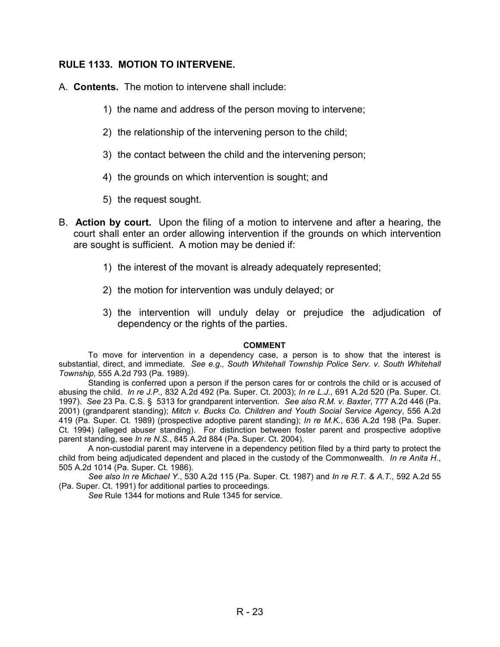### **RULE 1133. MOTION TO INTERVENE.**

- A. **Contents.** The motion to intervene shall include:
	- 1) the name and address of the person moving to intervene;
	- 2) the relationship of the intervening person to the child;
	- 3) the contact between the child and the intervening person;
	- 4) the grounds on which intervention is sought; and
	- 5) the request sought.
- B. **Action by court.** Upon the filing of a motion to intervene and after a hearing, the court shall enter an order allowing intervention if the grounds on which intervention are sought is sufficient. A motion may be denied if:
	- 1) the interest of the movant is already adequately represented;
	- 2) the motion for intervention was unduly delayed; or
	- 3) the intervention will unduly delay or prejudice the adjudication of dependency or the rights of the parties.

#### **COMMENT**

To move for intervention in a dependency case, a person is to show that the interest is substantial, direct, and immediate. *See e.g., South Whitehall Township Police Serv. v. South Whitehall Township,* 555 A.2d 793 (Pa. 1989).

Standing is conferred upon a person if the person cares for or controls the child or is accused of abusing the child. *In re J.P.,* 832 A.2d 492 (Pa. Super. Ct. 2003); *In re L.J.,* 691 A.2d 520 (Pa. Super. Ct. 1997). *See* 23 Pa. C.S. § 5313 for grandparent intervention. *See also R.M. v. Baxter*, 777 A.2d 446 (Pa. 2001) (grandparent standing); *Mitch v. Bucks Co. Children and Youth Social Service Agency*, 556 A.2d 419 (Pa. Super. Ct. 1989) (prospective adoptive parent standing); *In re M.K.*, 636 A.2d 198 (Pa. Super. Ct. 1994) (alleged abuser standing). For distinction between foster parent and prospective adoptive parent standing, see *In re N.S.*, 845 A.2d 884 (Pa. Super. Ct. 2004).

A non-custodial parent may intervene in a dependency petition filed by a third party to protect the child from being adjudicated dependent and placed in the custody of the Commonwealth. *In re Anita H.*, 505 A.2d 1014 (Pa. Super. Ct. 1986).

*See also In re Michael Y.*, 530 A.2d 115 (Pa. Super. Ct. 1987) and *In re R.T. & A.T.*, 592 A.2d 55 (Pa. Super. Ct. 1991) for additional parties to proceedings.

*See* Rule 1344 for motions and Rule 1345 for service.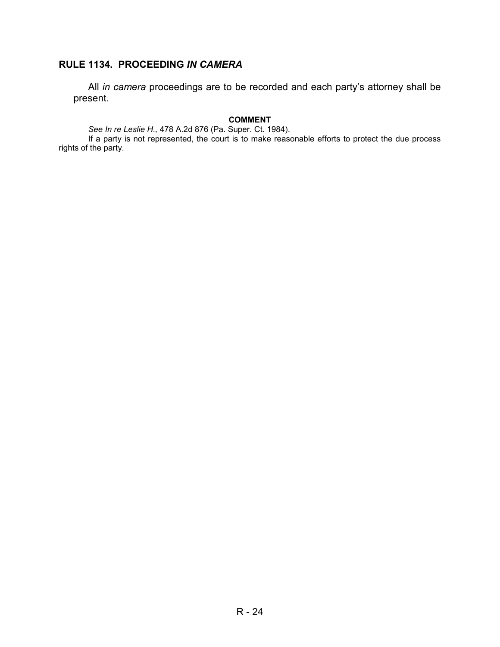# **RULE 1134. PROCEEDING** *IN CAMERA*

All *in camera* proceedings are to be recorded and each party's attorney shall be present.

#### **COMMENT**

*See In re Leslie H.,* 478 A.2d 876 (Pa. Super. Ct. 1984).

 If a party is not represented, the court is to make reasonable efforts to protect the due process rights of the party.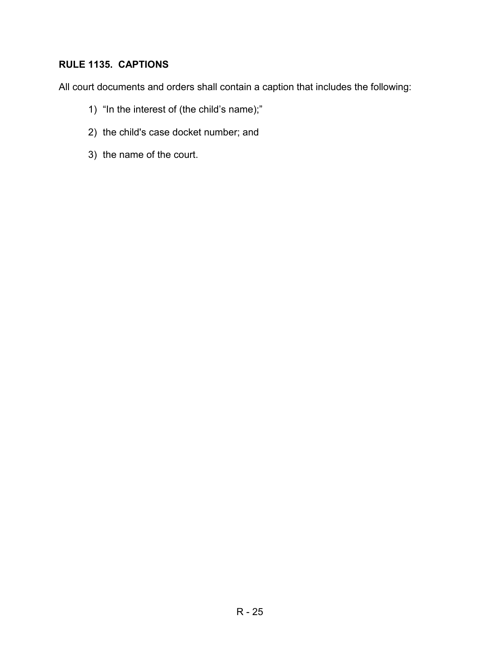# **RULE 1135. CAPTIONS**

All court documents and orders shall contain a caption that includes the following:

- 1) "In the interest of (the child's name);"
- 2) the child's case docket number; and
- 3) the name of the court.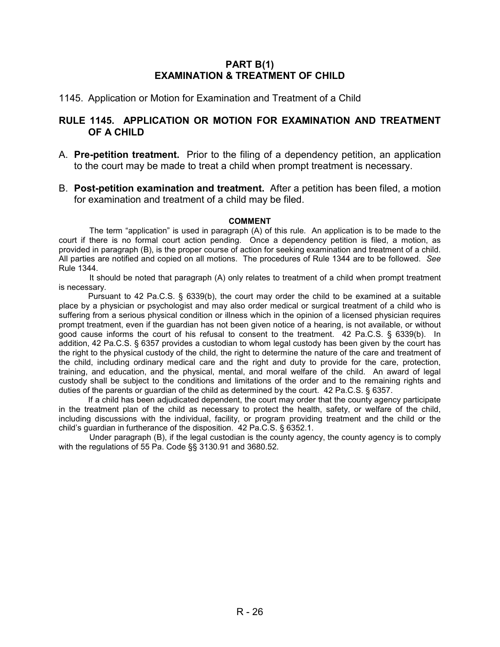### **PART B(1) EXAMINATION & TREATMENT OF CHILD**

#### 1145. Application or Motion for Examination and Treatment of a Child

### **RULE 1145. APPLICATION OR MOTION FOR EXAMINATION AND TREATMENT OF A CHILD**

- A. **Pre-petition treatment.** Prior to the filing of a dependency petition, an application to the court may be made to treat a child when prompt treatment is necessary.
- B. **Post-petition examination and treatment.** After a petition has been filed, a motion for examination and treatment of a child may be filed.

#### **COMMENT**

The term "application" is used in paragraph (A) of this rule. An application is to be made to the court if there is no formal court action pending. Once a dependency petition is filed, a motion, as provided in paragraph (B), is the proper course of action for seeking examination and treatment of a child. All parties are notified and copied on all motions. The procedures of Rule 1344 are to be followed. *See* Rule 1344.

It should be noted that paragraph (A) only relates to treatment of a child when prompt treatment is necessary.

Pursuant to 42 Pa.C.S. § 6339(b), the court may order the child to be examined at a suitable place by a physician or psychologist and may also order medical or surgical treatment of a child who is suffering from a serious physical condition or illness which in the opinion of a licensed physician requires prompt treatment, even if the guardian has not been given notice of a hearing, is not available, or without good cause informs the court of his refusal to consent to the treatment. 42 Pa.C.S. § 6339(b). In addition, 42 Pa.C.S. § 6357 provides a custodian to whom legal custody has been given by the court has the right to the physical custody of the child, the right to determine the nature of the care and treatment of the child, including ordinary medical care and the right and duty to provide for the care, protection, training, and education, and the physical, mental, and moral welfare of the child. An award of legal custody shall be subject to the conditions and limitations of the order and to the remaining rights and duties of the parents or guardian of the child as determined by the court. 42 Pa.C.S. § 6357.

If a child has been adjudicated dependent, the court may order that the county agency participate in the treatment plan of the child as necessary to protect the health, safety, or welfare of the child, including discussions with the individual, facility, or program providing treatment and the child or the child's guardian in furtherance of the disposition. 42 Pa.C.S. § 6352.1.

Under paragraph (B), if the legal custodian is the county agency, the county agency is to comply with the regulations of 55 Pa. Code §§ 3130.91 and 3680.52.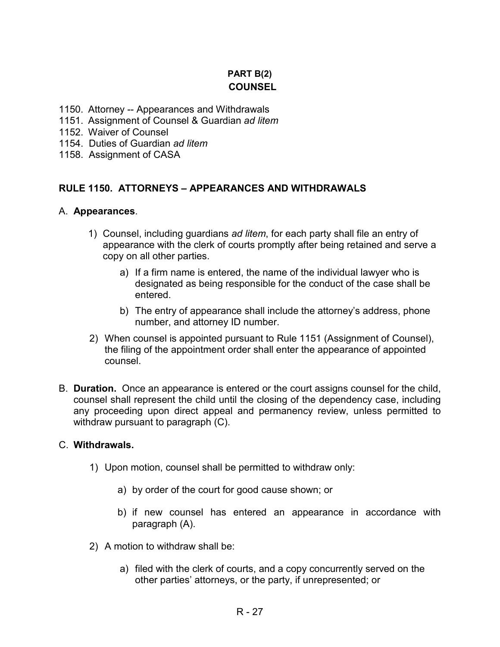# **PART B(2) COUNSEL**

- 1150. Attorney -- Appearances and Withdrawals
- 1151. Assignment of Counsel & Guardian *ad litem*
- 1152. Waiver of Counsel
- 1154. Duties of Guardian *ad litem*
- 1158. Assignment of CASA

### **RULE 1150. ATTORNEYS – APPEARANCES AND WITHDRAWALS**

### A. **Appearances**.

- 1) Counsel, including guardians *ad litem*, for each party shall file an entry of appearance with the clerk of courts promptly after being retained and serve a copy on all other parties.
	- a) If a firm name is entered, the name of the individual lawyer who is designated as being responsible for the conduct of the case shall be entered.
	- b) The entry of appearance shall include the attorney's address, phone number, and attorney ID number.
- 2) When counsel is appointed pursuant to Rule 1151 (Assignment of Counsel), the filing of the appointment order shall enter the appearance of appointed counsel.
- B. **Duration.** Once an appearance is entered or the court assigns counsel for the child, counsel shall represent the child until the closing of the dependency case, including any proceeding upon direct appeal and permanency review, unless permitted to withdraw pursuant to paragraph (C).

### C. **Withdrawals.**

- 1) Upon motion, counsel shall be permitted to withdraw only:
	- a) by order of the court for good cause shown; or
	- b) if new counsel has entered an appearance in accordance with paragraph (A).
- 2) A motion to withdraw shall be:
	- a) filed with the clerk of courts, and a copy concurrently served on the other parties' attorneys, or the party, if unrepresented; or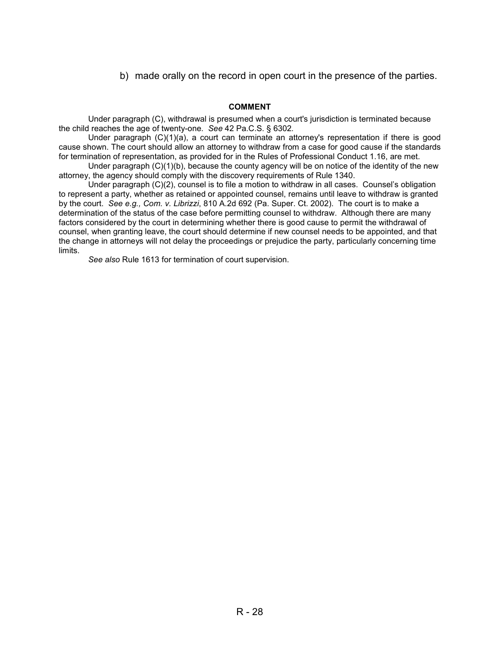b) made orally on the record in open court in the presence of the parties.

#### **COMMENT**

Under paragraph (C), withdrawal is presumed when a court's jurisdiction is terminated because the child reaches the age of twenty-one. *See* 42 Pa.C.S. § 6302*.* 

Under paragraph (C)(1)(a), a court can terminate an attorney's representation if there is good cause shown. The court should allow an attorney to withdraw from a case for good cause if the standards for termination of representation, as provided for in the Rules of Professional Conduct 1.16, are met.

Under paragraph  $(C)(1)(b)$ , because the county agency will be on notice of the identity of the new attorney, the agency should comply with the discovery requirements of Rule 1340.

Under paragraph (C)(2), counsel is to file a motion to withdraw in all cases. Counsel's obligation to represent a party, whether as retained or appointed counsel, remains until leave to withdraw is granted by the court. *See e.g., Com. v. Librizzi*, 810 A.2d 692 (Pa. Super. Ct. 2002). The court is to make a determination of the status of the case before permitting counsel to withdraw. Although there are many factors considered by the court in determining whether there is good cause to permit the withdrawal of counsel, when granting leave, the court should determine if new counsel needs to be appointed, and that the change in attorneys will not delay the proceedings or prejudice the party, particularly concerning time limits.

*See also* Rule 1613 for termination of court supervision.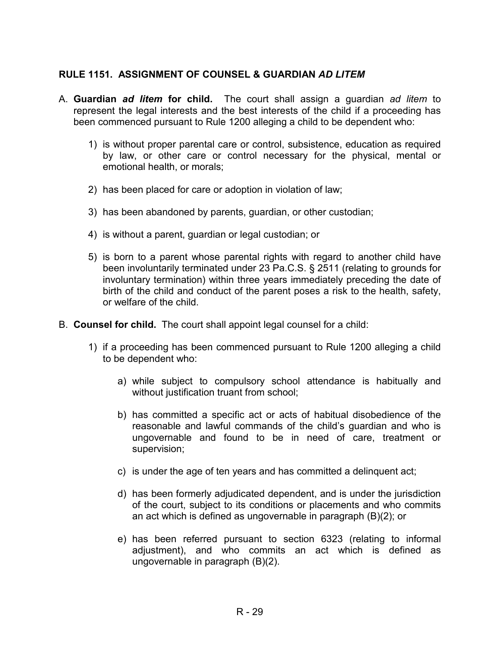### **RULE 1151. ASSIGNMENT OF COUNSEL & GUARDIAN** *AD LITEM*

- A. **Guardian** *ad litem* **for child.** The court shall assign a guardian *ad litem* to represent the legal interests and the best interests of the child if a proceeding has been commenced pursuant to Rule 1200 alleging a child to be dependent who:
	- 1) is without proper parental care or control, subsistence, education as required by law, or other care or control necessary for the physical, mental or emotional health, or morals;
	- 2) has been placed for care or adoption in violation of law;
	- 3) has been abandoned by parents, guardian, or other custodian;
	- 4) is without a parent, guardian or legal custodian; or
	- 5) is born to a parent whose parental rights with regard to another child have been involuntarily terminated under 23 Pa.C.S. § 2511 (relating to grounds for involuntary termination) within three years immediately preceding the date of birth of the child and conduct of the parent poses a risk to the health, safety, or welfare of the child.
- B. **Counsel for child.** The court shall appoint legal counsel for a child:
	- 1) if a proceeding has been commenced pursuant to Rule 1200 alleging a child to be dependent who:
		- a) while subject to compulsory school attendance is habitually and without justification truant from school;
		- b) has committed a specific act or acts of habitual disobedience of the reasonable and lawful commands of the child's guardian and who is ungovernable and found to be in need of care, treatment or supervision;
		- c) is under the age of ten years and has committed a delinquent act;
		- d) has been formerly adjudicated dependent, and is under the jurisdiction of the court, subject to its conditions or placements and who commits an act which is defined as ungovernable in paragraph (B)(2); or
		- e) has been referred pursuant to section 6323 (relating to informal adjustment), and who commits an act which is defined as ungovernable in paragraph (B)(2).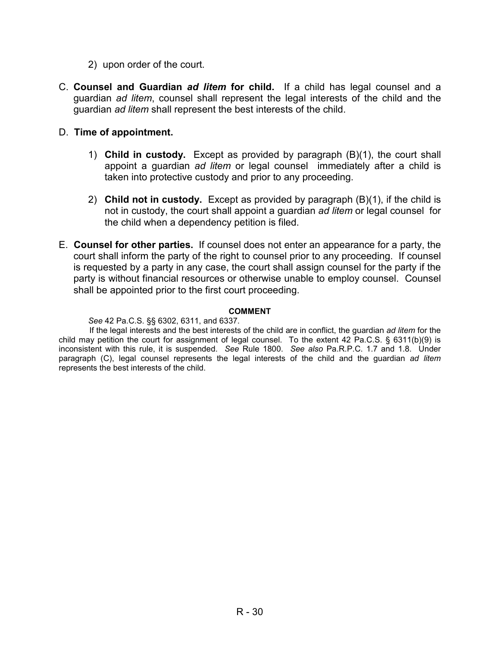- 2) upon order of the court.
- C. **Counsel and Guardian** *ad litem* **for child.** If a child has legal counsel and a guardian *ad litem*, counsel shall represent the legal interests of the child and the guardian *ad litem* shall represent the best interests of the child.
- D. **Time of appointment.** 
	- 1) **Child in custody.** Except as provided by paragraph (B)(1), the court shall appoint a guardian *ad litem* or legal counselimmediately after a child is taken into protective custody and prior to any proceeding.
	- 2) **Child not in custody.** Except as provided by paragraph (B)(1), if the child is not in custody, the court shall appoint a guardian *ad litem* or legal counsel for the child when a dependency petition is filed.
- E. **Counsel for other parties.** If counsel does not enter an appearance for a party, the court shall inform the party of the right to counsel prior to any proceeding. If counsel is requested by a party in any case, the court shall assign counsel for the party if the party is without financial resources or otherwise unable to employ counsel. Counsel shall be appointed prior to the first court proceeding.

#### **COMMENT**

*See* 42 Pa.C.S. §§ 6302, 6311, and 6337.

If the legal interests and the best interests of the child are in conflict, the guardian *ad litem* for the child may petition the court for assignment of legal counsel. To the extent 42 Pa.C.S. § 6311(b)(9) is inconsistent with this rule, it is suspended. *See* Rule 1800. *See also* Pa.R.P.C. 1.7 and 1.8. Under paragraph (C), legal counsel represents the legal interests of the child and the guardian *ad litem* represents the best interests of the child.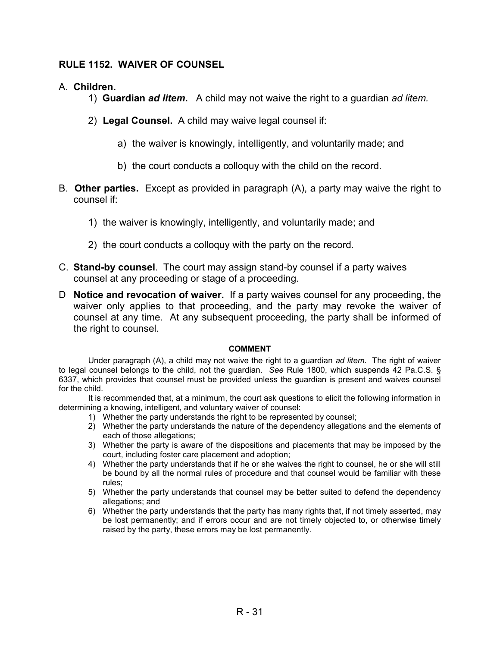### **RULE 1152. WAIVER OF COUNSEL**

### A. **Children.**

- 1) **Guardian** *ad litem***.** A child may not waive the right to a guardian *ad litem.*
- 2) **Legal Counsel.** A child may waive legal counsel if:
	- a) the waiver is knowingly, intelligently, and voluntarily made; and
	- b) the court conducts a colloquy with the child on the record.
- B. **Other parties.** Except as provided in paragraph (A), a party may waive the right to counsel if:
	- 1) the waiver is knowingly, intelligently, and voluntarily made; and
	- 2) the court conducts a colloquy with the party on the record.
- C. **Stand-by counsel**. The court may assign stand-by counsel if a party waives counsel at any proceeding or stage of a proceeding.
- D **Notice and revocation of waiver.** If a party waives counsel for any proceeding, the waiver only applies to that proceeding, and the party may revoke the waiver of counsel at any time. At any subsequent proceeding, the party shall be informed of the right to counsel.

#### **COMMENT**

Under paragraph (A), a child may not waive the right to a guardian *ad litem*. The right of waiver to legal counsel belongs to the child, not the guardian. *See* Rule 1800, which suspends 42 Pa.C.S. § 6337, which provides that counsel must be provided unless the guardian is present and waives counsel for the child.

It is recommended that, at a minimum, the court ask questions to elicit the following information in determining a knowing, intelligent, and voluntary waiver of counsel:

- 1) Whether the party understands the right to be represented by counsel;
- 2) Whether the party understands the nature of the dependency allegations and the elements of each of those allegations;
- 3) Whether the party is aware of the dispositions and placements that may be imposed by the court, including foster care placement and adoption;
- 4) Whether the party understands that if he or she waives the right to counsel, he or she will still be bound by all the normal rules of procedure and that counsel would be familiar with these rules;
- 5) Whether the party understands that counsel may be better suited to defend the dependency allegations; and
- 6) Whether the party understands that the party has many rights that, if not timely asserted, may be lost permanently; and if errors occur and are not timely objected to, or otherwise timely raised by the party, these errors may be lost permanently.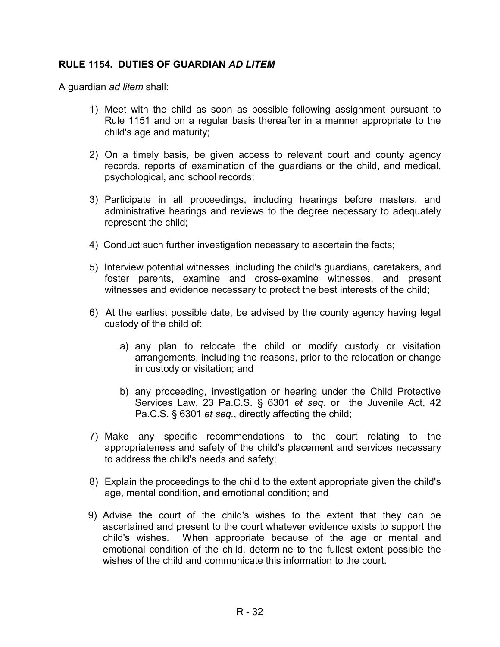### **RULE 1154. DUTIES OF GUARDIAN** *AD LITEM*

A guardian *ad litem* shall:

- 1) Meet with the child as soon as possible following assignment pursuant to Rule 1151 and on a regular basis thereafter in a manner appropriate to the child's age and maturity;
- 2) On a timely basis, be given access to relevant court and county agency records, reports of examination of the guardians or the child, and medical, psychological, and school records;
- 3) Participate in all proceedings, including hearings before masters, and administrative hearings and reviews to the degree necessary to adequately represent the child;
- 4) Conduct such further investigation necessary to ascertain the facts;
- 5) Interview potential witnesses, including the child's guardians, caretakers, and foster parents, examine and cross-examine witnesses, and present witnesses and evidence necessary to protect the best interests of the child;
- 6) At the earliest possible date, be advised by the county agency having legal custody of the child of:
	- a) any plan to relocate the child or modify custody or visitation arrangements, including the reasons, prior to the relocation or change in custody or visitation; and
	- b) any proceeding, investigation or hearing under the Child Protective Services Law, 23 Pa.C.S. § 6301 *et seq.* or the Juvenile Act, 42 Pa.C.S. § 6301 *et seq.*, directly affecting the child;
- 7) Make any specific recommendations to the court relating to the appropriateness and safety of the child's placement and services necessary to address the child's needs and safety;
- 8) Explain the proceedings to the child to the extent appropriate given the child's age, mental condition, and emotional condition; and
- 9) Advise the court of the child's wishes to the extent that they can be ascertained and present to the court whatever evidence exists to support the child's wishes. When appropriate because of the age or mental and emotional condition of the child, determine to the fullest extent possible the wishes of the child and communicate this information to the court.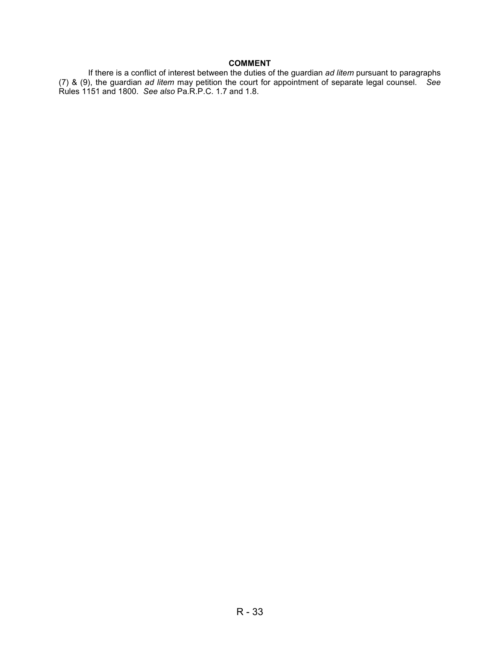#### **COMMENT**

If there is a conflict of interest between the duties of the guardian *ad litem* pursuant to paragraphs (7) & (9), the guardian *ad litem* may petition the court for appointment of separate legal counsel. *See*  Rules 1151 and 1800. *See also* Pa.R.P.C. 1.7 and 1.8.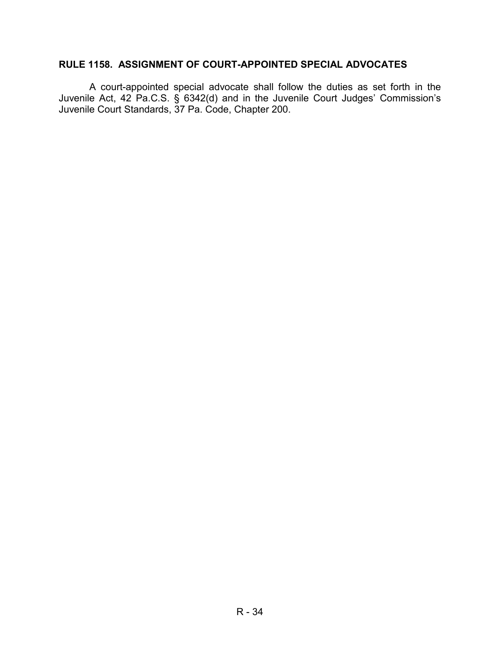### **RULE 1158. ASSIGNMENT OF COURT-APPOINTED SPECIAL ADVOCATES**

A court-appointed special advocate shall follow the duties as set forth in the Juvenile Act, 42 Pa.C.S. § 6342(d) and in the Juvenile Court Judges' Commission's Juvenile Court Standards, 37 Pa. Code, Chapter 200.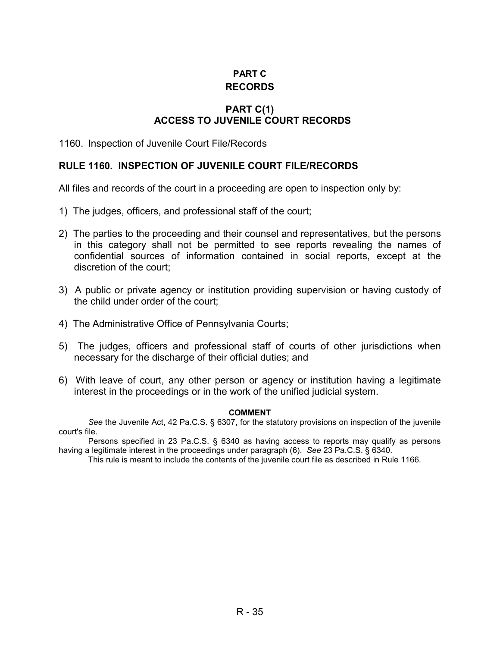# **PART C RECORDS**

### **PART C(1) ACCESS TO JUVENILE COURT RECORDS**

1160. Inspection of Juvenile Court File/Records

### **RULE 1160. INSPECTION OF JUVENILE COURT FILE/RECORDS**

All files and records of the court in a proceeding are open to inspection only by:

- 1) The judges, officers, and professional staff of the court;
- 2) The parties to the proceeding and their counsel and representatives, but the persons in this category shall not be permitted to see reports revealing the names of confidential sources of information contained in social reports, except at the discretion of the court;
- 3) A public or private agency or institution providing supervision or having custody of the child under order of the court;
- 4) The Administrative Office of Pennsylvania Courts;
- 5) The judges, officers and professional staff of courts of other jurisdictions when necessary for the discharge of their official duties; and
- 6) With leave of court, any other person or agency or institution having a legitimate interest in the proceedings or in the work of the unified judicial system.

#### **COMMENT**

*See* the Juvenile Act, 42 Pa.C.S. § 6307, for the statutory provisions on inspection of the juvenile court's file.

Persons specified in 23 Pa.C.S. § 6340 as having access to reports may qualify as persons having a legitimate interest in the proceedings under paragraph (6). *See* 23 Pa.C.S. § 6340.

This rule is meant to include the contents of the juvenile court file as described in Rule 1166.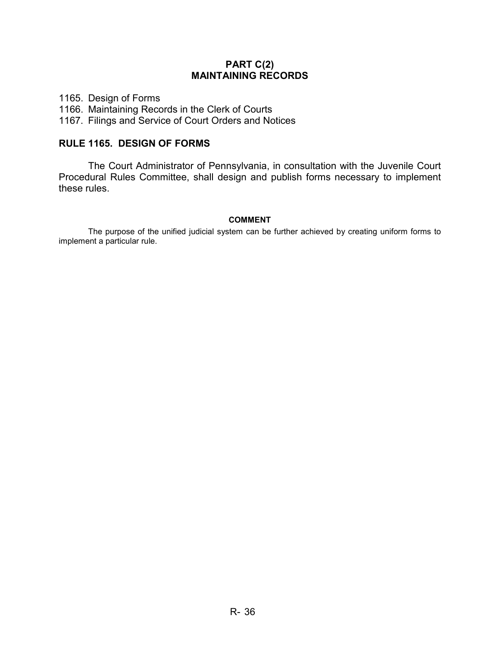### **PART C(2) MAINTAINING RECORDS**

1165. Design of Forms 1166. Maintaining Records in the Clerk of Courts

1167. Filings and Service of Court Orders and Notices

### **RULE 1165. DESIGN OF FORMS**

The Court Administrator of Pennsylvania, in consultation with the Juvenile Court Procedural Rules Committee, shall design and publish forms necessary to implement these rules.

#### **COMMENT**

The purpose of the unified judicial system can be further achieved by creating uniform forms to implement a particular rule.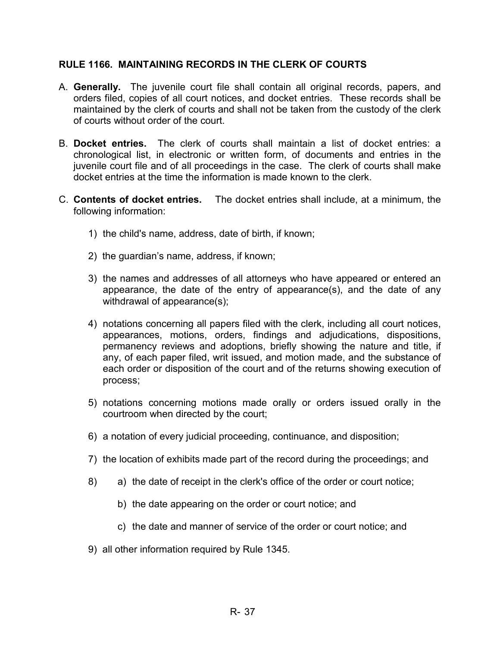### **RULE 1166. MAINTAINING RECORDS IN THE CLERK OF COURTS**

- A. **Generally.** The juvenile court file shall contain all original records, papers, and orders filed, copies of all court notices, and docket entries. These records shall be maintained by the clerk of courts and shall not be taken from the custody of the clerk of courts without order of the court.
- B. **Docket entries.** The clerk of courts shall maintain a list of docket entries: a chronological list, in electronic or written form, of documents and entries in the juvenile court file and of all proceedings in the case. The clerk of courts shall make docket entries at the time the information is made known to the clerk.
- C. **Contents of docket entries.** The docket entries shall include, at a minimum, the following information:
	- 1) the child's name, address, date of birth, if known;
	- 2) the guardian's name, address, if known;
	- 3) the names and addresses of all attorneys who have appeared or entered an appearance, the date of the entry of appearance(s), and the date of any withdrawal of appearance(s);
	- 4) notations concerning all papers filed with the clerk, including all court notices, appearances, motions, orders, findings and adjudications, dispositions, permanency reviews and adoptions, briefly showing the nature and title, if any, of each paper filed, writ issued, and motion made, and the substance of each order or disposition of the court and of the returns showing execution of process;
	- 5) notations concerning motions made orally or orders issued orally in the courtroom when directed by the court;
	- 6) a notation of every judicial proceeding, continuance, and disposition;
	- 7) the location of exhibits made part of the record during the proceedings; and
	- 8) a) the date of receipt in the clerk's office of the order or court notice;
		- b) the date appearing on the order or court notice; and
		- c) the date and manner of service of the order or court notice; and
	- 9) all other information required by Rule 1345.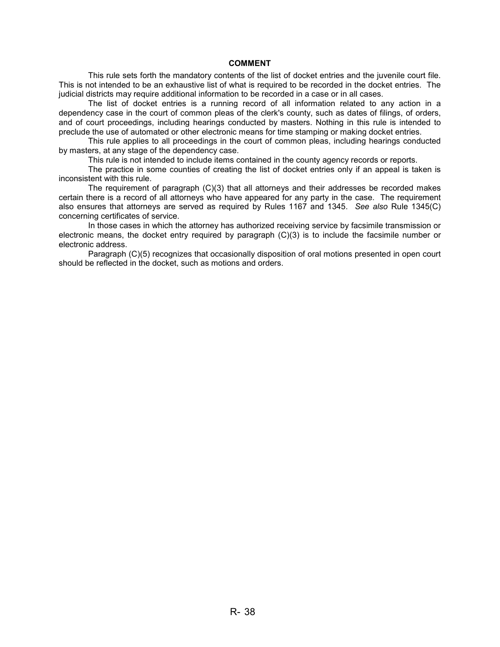#### **COMMENT**

This rule sets forth the mandatory contents of the list of docket entries and the juvenile court file. This is not intended to be an exhaustive list of what is required to be recorded in the docket entries. The judicial districts may require additional information to be recorded in a case or in all cases.

The list of docket entries is a running record of all information related to any action in a dependency case in the court of common pleas of the clerk's county, such as dates of filings, of orders, and of court proceedings, including hearings conducted by masters. Nothing in this rule is intended to preclude the use of automated or other electronic means for time stamping or making docket entries.

This rule applies to all proceedings in the court of common pleas, including hearings conducted by masters, at any stage of the dependency case.

This rule is not intended to include items contained in the county agency records or reports.

The practice in some counties of creating the list of docket entries only if an appeal is taken is inconsistent with this rule.

The requirement of paragraph (C)(3) that all attorneys and their addresses be recorded makes certain there is a record of all attorneys who have appeared for any party in the case. The requirement also ensures that attorneys are served as required by Rules 1167 and 1345. *See also* Rule 1345(C) concerning certificates of service.

In those cases in which the attorney has authorized receiving service by facsimile transmission or electronic means, the docket entry required by paragraph (C)(3) is to include the facsimile number or electronic address.

Paragraph (C)(5) recognizes that occasionally disposition of oral motions presented in open court should be reflected in the docket, such as motions and orders.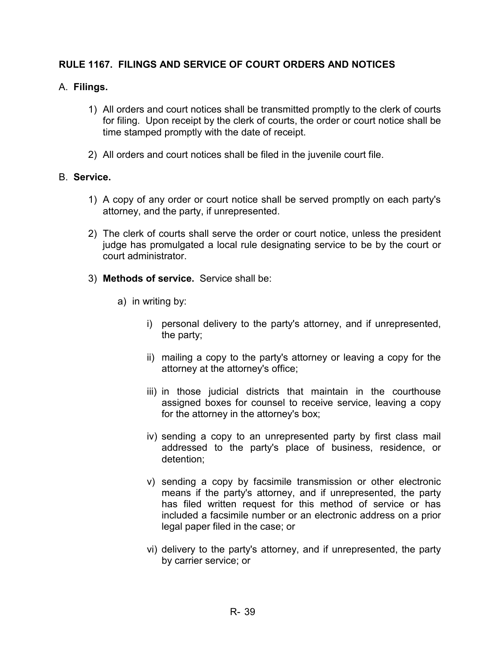# **RULE 1167. FILINGS AND SERVICE OF COURT ORDERS AND NOTICES**

# A. **Filings.**

- 1) All orders and court notices shall be transmitted promptly to the clerk of courts for filing. Upon receipt by the clerk of courts, the order or court notice shall be time stamped promptly with the date of receipt.
- 2) All orders and court notices shall be filed in the juvenile court file.

### B. **Service.**

- 1) A copy of any order or court notice shall be served promptly on each party's attorney, and the party, if unrepresented.
- 2) The clerk of courts shall serve the order or court notice, unless the president judge has promulgated a local rule designating service to be by the court or court administrator.
- 3) **Methods of service.** Service shall be:
	- a) in writing by:
		- i) personal delivery to the party's attorney, and if unrepresented, the party;
		- ii) mailing a copy to the party's attorney or leaving a copy for the attorney at the attorney's office;
		- iii) in those judicial districts that maintain in the courthouse assigned boxes for counsel to receive service, leaving a copy for the attorney in the attorney's box;
		- iv) sending a copy to an unrepresented party by first class mail addressed to the party's place of business, residence, or detention;
		- v) sending a copy by facsimile transmission or other electronic means if the party's attorney, and if unrepresented, the party has filed written request for this method of service or has included a facsimile number or an electronic address on a prior legal paper filed in the case; or
		- vi) delivery to the party's attorney, and if unrepresented, the party by carrier service; or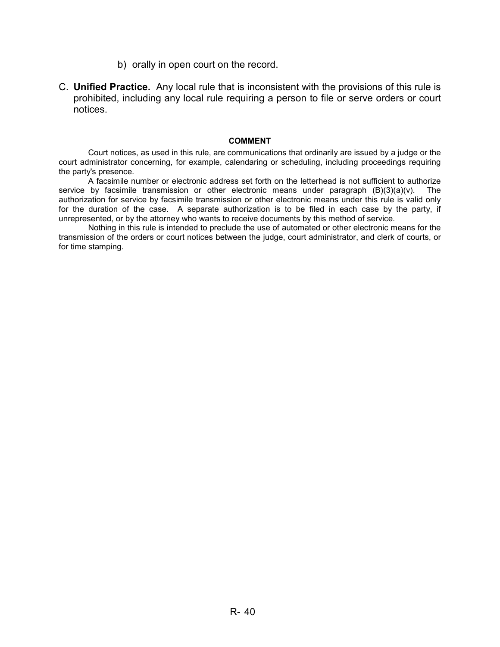- b) orally in open court on the record.
- C. **Unified Practice.** Any local rule that is inconsistent with the provisions of this rule is prohibited, including any local rule requiring a person to file or serve orders or court notices.

#### **COMMENT**

Court notices, as used in this rule, are communications that ordinarily are issued by a judge or the court administrator concerning, for example, calendaring or scheduling, including proceedings requiring the party's presence.

A facsimile number or electronic address set forth on the letterhead is not sufficient to authorize service by facsimile transmission or other electronic means under paragraph (B)(3)(a)(v). The authorization for service by facsimile transmission or other electronic means under this rule is valid only for the duration of the case. A separate authorization is to be filed in each case by the party, if unrepresented, or by the attorney who wants to receive documents by this method of service.

Nothing in this rule is intended to preclude the use of automated or other electronic means for the transmission of the orders or court notices between the judge, court administrator, and clerk of courts, or for time stamping.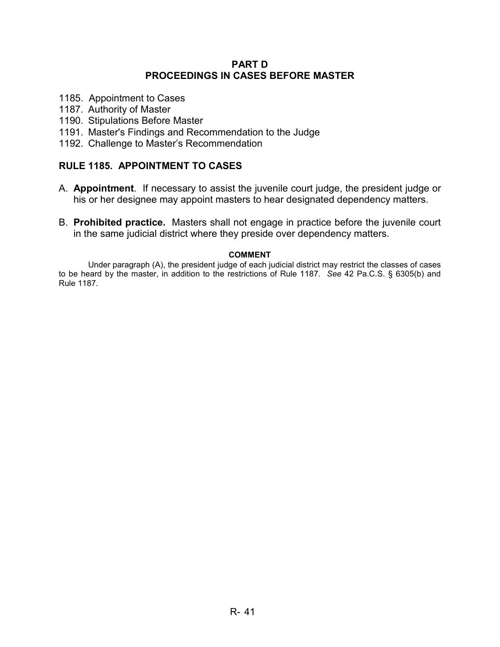### **PART D PROCEEDINGS IN CASES BEFORE MASTER**

- 1185. Appointment to Cases
- 1187. Authority of Master
- 1190. Stipulations Before Master
- 1191. Master's Findings and Recommendation to the Judge
- 1192. Challenge to Master's Recommendation

### **RULE 1185. APPOINTMENT TO CASES**

- A. **Appointment**. If necessary to assist the juvenile court judge, the president judge or his or her designee may appoint masters to hear designated dependency matters.
- B. **Prohibited practice.** Masters shall not engage in practice before the juvenile court in the same judicial district where they preside over dependency matters.

#### **COMMENT**

 Under paragraph (A), the president judge of each judicial district may restrict the classes of cases to be heard by the master, in addition to the restrictions of Rule 1187. *See* 42 Pa.C.S. § 6305(b) and Rule 1187.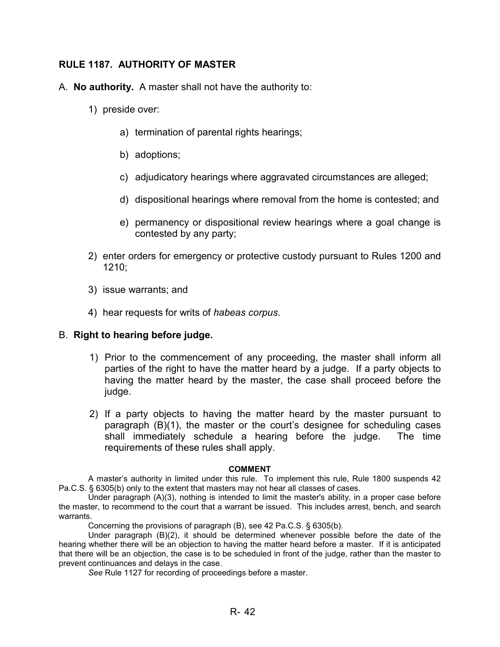# **RULE 1187. AUTHORITY OF MASTER**

- A. **No authority.** A master shall not have the authority to:
	- 1) preside over:
		- a) termination of parental rights hearings;
		- b) adoptions;
		- c) adjudicatory hearings where aggravated circumstances are alleged;
		- d) dispositional hearings where removal from the home is contested; and
		- e) permanency or dispositional review hearings where a goal change is contested by any party;
	- 2) enter orders for emergency or protective custody pursuant to Rules 1200 and 1210;
	- 3) issue warrants; and
	- 4) hear requests for writs of *habeas corpus*.

### B. **Right to hearing before judge.**

- 1) Prior to the commencement of any proceeding, the master shall inform all parties of the right to have the matter heard by a judge. If a party objects to having the matter heard by the master, the case shall proceed before the judge.
- 2) If a party objects to having the matter heard by the master pursuant to paragraph (B)(1), the master or the court's designee for scheduling cases shall immediately schedule a hearing before the judge. The time requirements of these rules shall apply.

#### **COMMENT**

A master's authority in limited under this rule. To implement this rule, Rule 1800 suspends 42 Pa.C.S. § 6305(b) only to the extent that masters may not hear all classes of cases.

Under paragraph (A)(3), nothing is intended to limit the master's ability, in a proper case before the master, to recommend to the court that a warrant be issued. This includes arrest, bench, and search warrants.

Concerning the provisions of paragraph (B), see 42 Pa.C.S. § 6305(b).

Under paragraph (B)(2), it should be determined whenever possible before the date of the hearing whether there will be an objection to having the matter heard before a master. If it is anticipated that there will be an objection, the case is to be scheduled in front of the judge, rather than the master to prevent continuances and delays in the case.

*See* Rule 1127 for recording of proceedings before a master.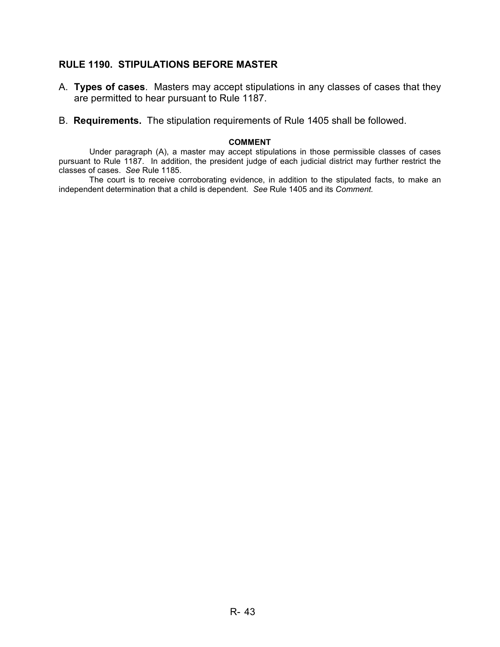### **RULE 1190. STIPULATIONS BEFORE MASTER**

- A. **Types of cases**. Masters may accept stipulations in any classes of cases that they are permitted to hear pursuant to Rule 1187.
- B. **Requirements.** The stipulation requirements of Rule 1405 shall be followed.

#### **COMMENT**

Under paragraph (A), a master may accept stipulations in those permissible classes of cases pursuant to Rule 1187. In addition, the president judge of each judicial district may further restrict the classes of cases. *See* Rule 1185.

The court is to receive corroborating evidence, in addition to the stipulated facts, to make an independent determination that a child is dependent. *See* Rule 1405 and its *Comment.*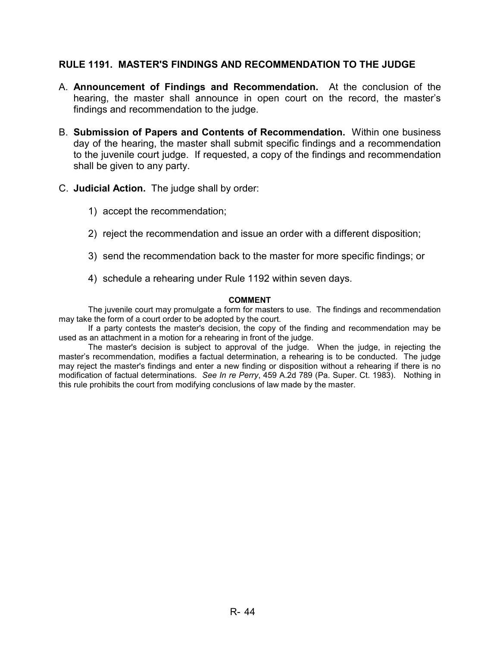### **RULE 1191. MASTER'S FINDINGS AND RECOMMENDATION TO THE JUDGE**

- A. **Announcement of Findings and Recommendation.** At the conclusion of the hearing, the master shall announce in open court on the record, the master's findings and recommendation to the judge.
- B. **Submission of Papers and Contents of Recommendation.** Within one business day of the hearing, the master shall submit specific findings and a recommendation to the juvenile court judge. If requested, a copy of the findings and recommendation shall be given to any party.
- C. **Judicial Action.** The judge shall by order:
	- 1) accept the recommendation;
	- 2) reject the recommendation and issue an order with a different disposition;
	- 3) send the recommendation back to the master for more specific findings; or
	- 4) schedule a rehearing under Rule 1192 within seven days.

#### **COMMENT**

The juvenile court may promulgate a form for masters to use. The findings and recommendation may take the form of a court order to be adopted by the court.

If a party contests the master's decision, the copy of the finding and recommendation may be used as an attachment in a motion for a rehearing in front of the judge.

The master's decision is subject to approval of the judge. When the judge, in rejecting the master's recommendation, modifies a factual determination, a rehearing is to be conducted. The judge may reject the master's findings and enter a new finding or disposition without a rehearing if there is no modification of factual determinations. *See In re Perry*, 459 A.2d 789 (Pa. Super. Ct. 1983). Nothing in this rule prohibits the court from modifying conclusions of law made by the master.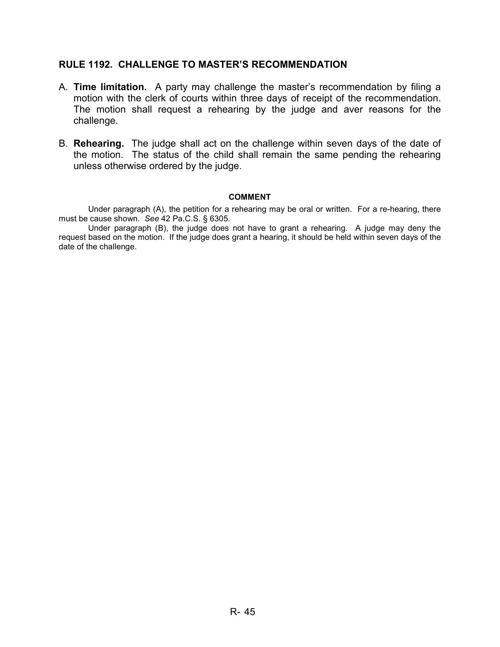### **RULE 1192. CHALLENGE TO MASTER'S RECOMMENDATION**

- A. **Time limitation.** A party may challenge the master's recommendation by filing a motion with the clerk of courts within three days of receipt of the recommendation. The motion shall request a rehearing by the judge and aver reasons for the challenge.
- B. **Rehearing.** The judge shall act on the challenge within seven days of the date of the motion. The status of the child shall remain the same pending the rehearing unless otherwise ordered by the judge.

#### **COMMENT**

Under paragraph (A), the petition for a rehearing may be oral or written. For a re-hearing, there must be cause shown. *See* 42 Pa.C.S. § 6305.

Under paragraph (B), the judge does not have to grant a rehearing. A judge may deny the request based on the motion. If the judge does grant a hearing, it should be held within seven days of the date of the challenge.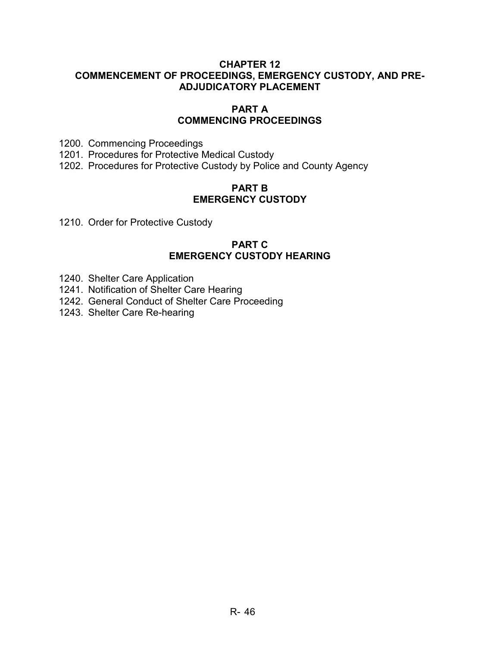### **CHAPTER 12 COMMENCEMENT OF PROCEEDINGS, EMERGENCY CUSTODY, AND PRE-ADJUDICATORY PLACEMENT**

### **PART A COMMENCING PROCEEDINGS**

1200. Commencing Proceedings

- 1201. Procedures for Protective Medical Custody
- 1202. Procedures for Protective Custody by Police and County Agency

### **PART B EMERGENCY CUSTODY**

1210. Order for Protective Custody

### **PART C EMERGENCY CUSTODY HEARING**

- 1240. Shelter Care Application
- 1241. Notification of Shelter Care Hearing
- 1242. General Conduct of Shelter Care Proceeding
- 1243. Shelter Care Re-hearing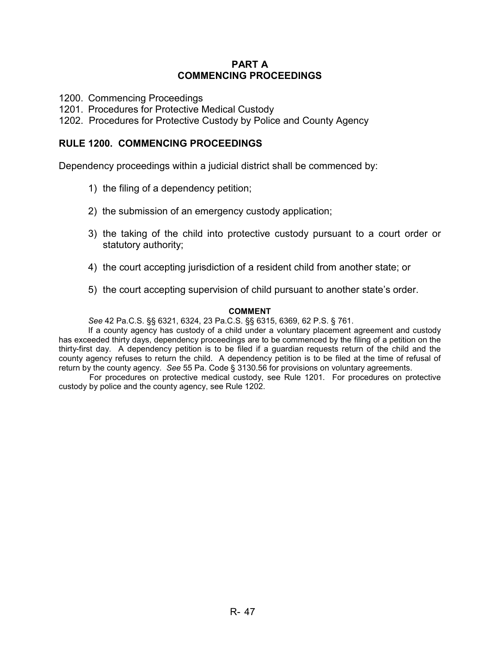### **PART A COMMENCING PROCEEDINGS**

1200. Commencing Proceedings

1201. Procedures for Protective Medical Custody

1202. Procedures for Protective Custody by Police and County Agency

### **RULE 1200. COMMENCING PROCEEDINGS**

Dependency proceedings within a judicial district shall be commenced by:

- 1) the filing of a dependency petition;
- 2) the submission of an emergency custody application;
- 3) the taking of the child into protective custody pursuant to a court order or statutory authority;
- 4) the court accepting jurisdiction of a resident child from another state; or
- 5) the court accepting supervision of child pursuant to another state's order.

#### **COMMENT**

*See* 42 Pa.C.S. §§ 6321, 6324, 23 Pa.C.S. §§ 6315, 6369, 62 P.S. § 761.

If a county agency has custody of a child under a voluntary placement agreement and custody has exceeded thirty days, dependency proceedings are to be commenced by the filing of a petition on the thirty-first day. A dependency petition is to be filed if a guardian requests return of the child and the county agency refuses to return the child. A dependency petition is to be filed at the time of refusal of return by the county agency. *See* 55 Pa. Code § 3130.56 for provisions on voluntary agreements.

For procedures on protective medical custody, see Rule 1201. For procedures on protective custody by police and the county agency, see Rule 1202.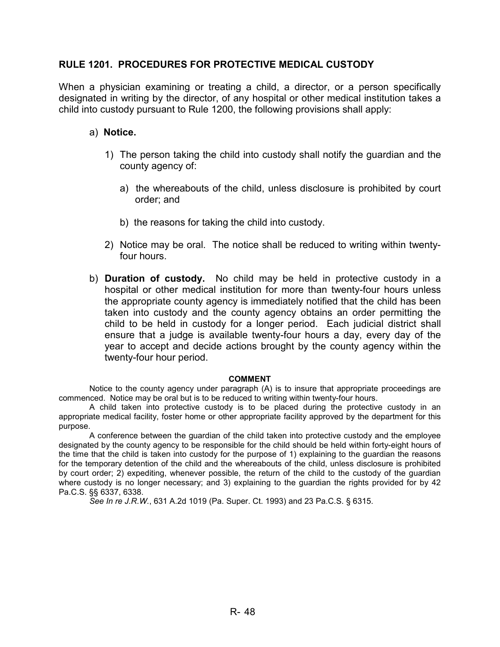### **RULE 1201. PROCEDURES FOR PROTECTIVE MEDICAL CUSTODY**

When a physician examining or treating a child, a director, or a person specifically designated in writing by the director, of any hospital or other medical institution takes a child into custody pursuant to Rule 1200, the following provisions shall apply:

### a) **Notice.**

- 1) The person taking the child into custody shall notify the guardian and the county agency of:
	- a) the whereabouts of the child, unless disclosure is prohibited by court order; and
	- b) the reasons for taking the child into custody.
- 2) Notice may be oral. The notice shall be reduced to writing within twentyfour hours.
- b) **Duration of custody.** No child may be held in protective custody in a hospital or other medical institution for more than twenty-four hours unless the appropriate county agency is immediately notified that the child has been taken into custody and the county agency obtains an order permitting the child to be held in custody for a longer period. Each judicial district shall ensure that a judge is available twenty-four hours a day, every day of the year to accept and decide actions brought by the county agency within the twenty-four hour period.

#### **COMMENT**

Notice to the county agency under paragraph (A) is to insure that appropriate proceedings are commenced. Notice may be oral but is to be reduced to writing within twenty-four hours.

 A child taken into protective custody is to be placed during the protective custody in an appropriate medical facility, foster home or other appropriate facility approved by the department for this purpose.

 A conference between the guardian of the child taken into protective custody and the employee designated by the county agency to be responsible for the child should be held within forty-eight hours of the time that the child is taken into custody for the purpose of 1) explaining to the guardian the reasons for the temporary detention of the child and the whereabouts of the child, unless disclosure is prohibited by court order; 2) expediting, whenever possible, the return of the child to the custody of the guardian where custody is no longer necessary; and 3) explaining to the guardian the rights provided for by 42 Pa.C.S. §§ 6337, 6338.

*See In re J.R.W.*, 631 A.2d 1019 (Pa. Super. Ct. 1993) and 23 Pa.C.S. § 6315.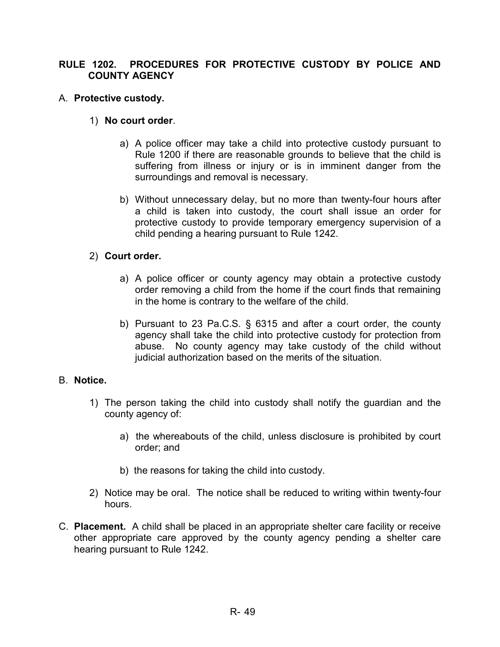### **RULE 1202. PROCEDURES FOR PROTECTIVE CUSTODY BY POLICE AND COUNTY AGENCY**

### A. **Protective custody.**

### 1) **No court order**.

- a) A police officer may take a child into protective custody pursuant to Rule 1200 if there are reasonable grounds to believe that the child is suffering from illness or injury or is in imminent danger from the surroundings and removal is necessary.
- b) Without unnecessary delay, but no more than twenty-four hours after a child is taken into custody, the court shall issue an order for protective custody to provide temporary emergency supervision of a child pending a hearing pursuant to Rule 1242.

### 2) **Court order.**

- a) A police officer or county agency may obtain a protective custody order removing a child from the home if the court finds that remaining in the home is contrary to the welfare of the child.
- b) Pursuant to 23 Pa.C.S. § 6315 and after a court order, the county agency shall take the child into protective custody for protection from abuse. No county agency may take custody of the child without judicial authorization based on the merits of the situation.

### B. **Notice.**

- 1) The person taking the child into custody shall notify the guardian and the county agency of:
	- a) the whereabouts of the child, unless disclosure is prohibited by court order; and
	- b) the reasons for taking the child into custody.
- 2) Notice may be oral. The notice shall be reduced to writing within twenty-four hours.
- C. **Placement.** A child shall be placed in an appropriate shelter care facility or receive other appropriate care approved by the county agency pending a shelter care hearing pursuant to Rule 1242.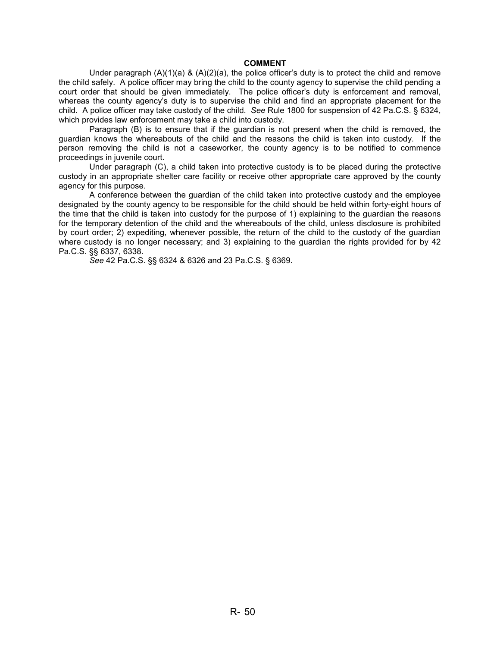#### **COMMENT**

Under paragraph  $(A)(1)(a)$  &  $(A)(2)(a)$ , the police officer's duty is to protect the child and remove the child safely. A police officer may bring the child to the county agency to supervise the child pending a court order that should be given immediately. The police officer's duty is enforcement and removal, whereas the county agency's duty is to supervise the child and find an appropriate placement for the child. A police officer may take custody of the child. *See* Rule 1800 for suspension of 42 Pa.C.S. § 6324, which provides law enforcement may take a child into custody.

Paragraph (B) is to ensure that if the guardian is not present when the child is removed, the guardian knows the whereabouts of the child and the reasons the child is taken into custody. If the person removing the child is not a caseworker, the county agency is to be notified to commence proceedings in juvenile court.

 Under paragraph (C), a child taken into protective custody is to be placed during the protective custody in an appropriate shelter care facility or receive other appropriate care approved by the county agency for this purpose.

 A conference between the guardian of the child taken into protective custody and the employee designated by the county agency to be responsible for the child should be held within forty-eight hours of the time that the child is taken into custody for the purpose of 1) explaining to the guardian the reasons for the temporary detention of the child and the whereabouts of the child, unless disclosure is prohibited by court order; 2) expediting, whenever possible, the return of the child to the custody of the guardian where custody is no longer necessary; and 3) explaining to the guardian the rights provided for by 42 Pa.C.S. §§ 6337, 6338.

*See* 42 Pa.C.S. §§ 6324 & 6326 and 23 Pa.C.S. § 6369.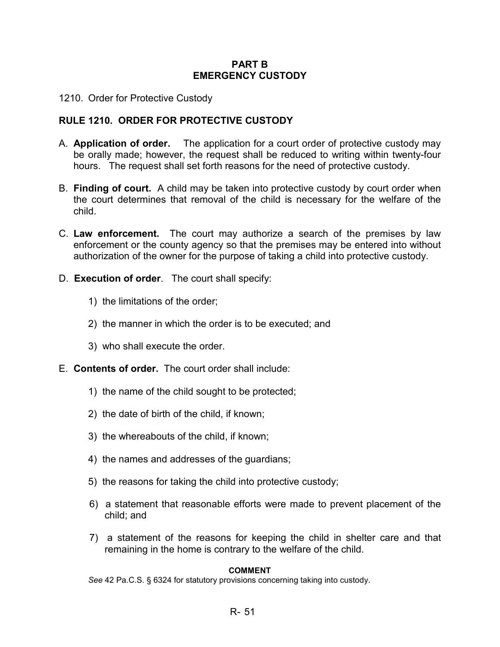### **PART B EMERGENCY CUSTODY**

1210. Order for Protective Custody

### **RULE 1210. ORDER FOR PROTECTIVE CUSTODY**

- A. **Application of order.** The application for a court order of protective custody may be orally made; however, the request shall be reduced to writing within twenty-four hours. The request shall set forth reasons for the need of protective custody.
- B. **Finding of court.** A child may be taken into protective custody by court order when the court determines that removal of the child is necessary for the welfare of the child.
- C. **Law enforcement.** The court may authorize a search of the premises by law enforcement or the county agency so that the premises may be entered into without authorization of the owner for the purpose of taking a child into protective custody.
- D. **Execution of order**. The court shall specify:
	- 1) the limitations of the order;
	- 2) the manner in which the order is to be executed; and
	- 3) who shall execute the order.
- E. **Contents of order.** The court order shall include:
	- 1) the name of the child sought to be protected;
	- 2) the date of birth of the child, if known;
	- 3) the whereabouts of the child, if known;
	- 4) the names and addresses of the guardians;
	- 5) the reasons for taking the child into protective custody;
	- 6) a statement that reasonable efforts were made to prevent placement of the child; and
	- 7) a statement of the reasons for keeping the child in shelter care and that remaining in the home is contrary to the welfare of the child.

# **COMMENT**

*See* 42 Pa.C.S. § 6324 for statutory provisions concerning taking into custody.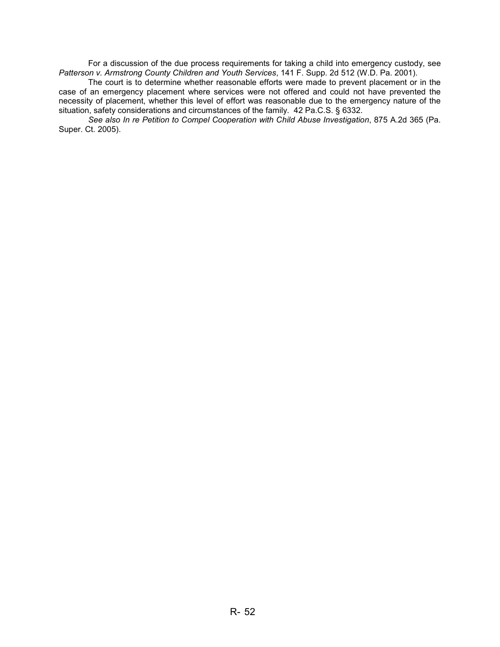For a discussion of the due process requirements for taking a child into emergency custody, see *Patterson v. Armstrong County Children and Youth Services*, 141 F. Supp. 2d 512 (W.D. Pa. 2001).

 The court is to determine whether reasonable efforts were made to prevent placement or in the case of an emergency placement where services were not offered and could not have prevented the necessity of placement, whether this level of effort was reasonable due to the emergency nature of the situation, safety considerations and circumstances of the family. 42 Pa.C.S. § 6332.

*See also In re Petition to Compel Cooperation with Child Abuse Investigation*, 875 A.2d 365 (Pa. Super. Ct. 2005).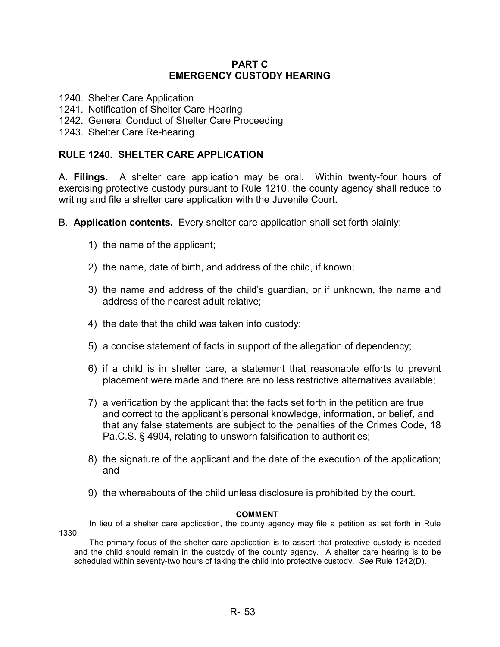### **PART C EMERGENCY CUSTODY HEARING**

- 1240. Shelter Care Application
- 1241. Notification of Shelter Care Hearing
- 1242. General Conduct of Shelter Care Proceeding
- 1243. Shelter Care Re-hearing

### **RULE 1240. SHELTER CARE APPLICATION**

A. **Filings.** A shelter care application may be oral. Within twenty-four hours of exercising protective custody pursuant to Rule 1210, the county agency shall reduce to writing and file a shelter care application with the Juvenile Court.

- B. **Application contents.** Every shelter care application shall set forth plainly:
	- 1) the name of the applicant;
	- 2) the name, date of birth, and address of the child, if known;
	- 3) the name and address of the child's guardian, or if unknown, the name and address of the nearest adult relative;
	- 4) the date that the child was taken into custody;
	- 5) a concise statement of facts in support of the allegation of dependency;
	- 6) if a child is in shelter care, a statement that reasonable efforts to prevent placement were made and there are no less restrictive alternatives available;
	- 7) a verification by the applicant that the facts set forth in the petition are true and correct to the applicant's personal knowledge, information, or belief, and that any false statements are subject to the penalties of the Crimes Code, 18 Pa.C.S. § 4904, relating to unsworn falsification to authorities;
	- 8) the signature of the applicant and the date of the execution of the application; and
	- 9) the whereabouts of the child unless disclosure is prohibited by the court.

#### **COMMENT**

In lieu of a shelter care application, the county agency may file a petition as set forth in Rule 1330.

The primary focus of the shelter care application is to assert that protective custody is needed and the child should remain in the custody of the county agency. A shelter care hearing is to be scheduled within seventy-two hours of taking the child into protective custody. *See* Rule 1242(D).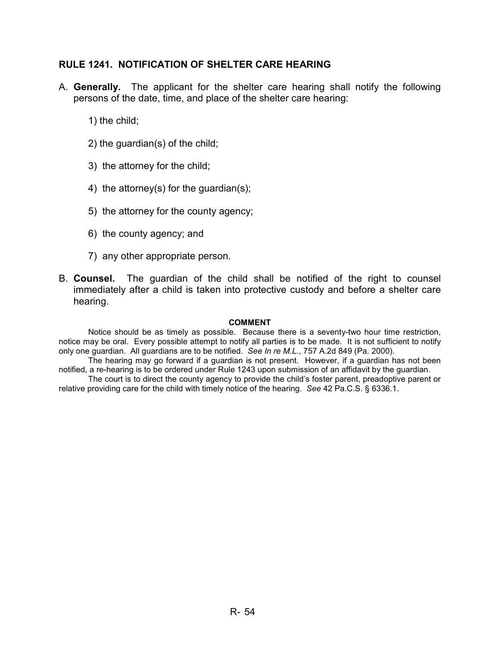### **RULE 1241. NOTIFICATION OF SHELTER CARE HEARING**

- A. **Generally.** The applicant for the shelter care hearing shall notify the following persons of the date, time, and place of the shelter care hearing:
	- 1) the child;
	- 2) the guardian(s) of the child;
	- 3) the attorney for the child;
	- 4) the attorney(s) for the guardian(s);
	- 5) the attorney for the county agency;
	- 6) the county agency; and
	- 7) any other appropriate person.
- B. **Counsel.** The guardian of the child shall be notified of the right to counsel immediately after a child is taken into protective custody and before a shelter care hearing.

#### **COMMENT**

 Notice should be as timely as possible. Because there is a seventy-two hour time restriction, notice may be oral. Every possible attempt to notify all parties is to be made. It is not sufficient to notify only one guardian. All guardians are to be notified. *See In re M.L.*, 757 A.2d 849 (Pa. 2000).

 The hearing may go forward if a guardian is not present. However, if a guardian has not been notified, a re-hearing is to be ordered under Rule 1243 upon submission of an affidavit by the guardian.

 The court is to direct the county agency to provide the child's foster parent, preadoptive parent or relative providing care for the child with timely notice of the hearing. *See* 42 Pa.C.S. § 6336.1.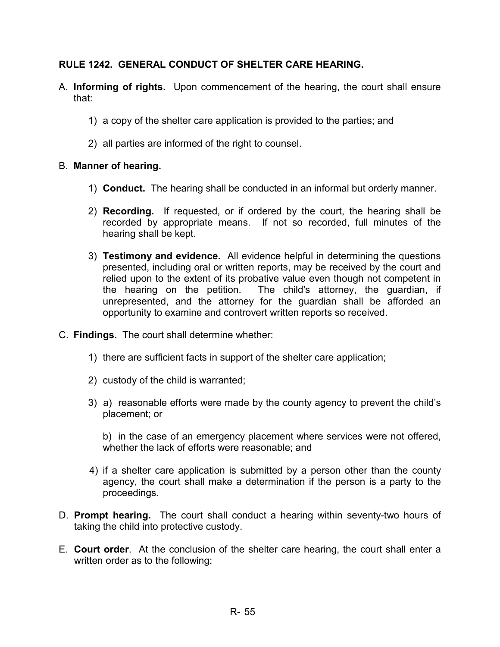# **RULE 1242. GENERAL CONDUCT OF SHELTER CARE HEARING.**

- A. **Informing of rights.** Upon commencement of the hearing, the court shall ensure that:
	- 1) a copy of the shelter care application is provided to the parties; and
	- 2) all parties are informed of the right to counsel.

### B. **Manner of hearing.**

- 1) **Conduct.** The hearing shall be conducted in an informal but orderly manner.
- 2) **Recording.** If requested, or if ordered by the court, the hearing shall be recorded by appropriate means. If not so recorded, full minutes of the hearing shall be kept.
- 3) **Testimony and evidence.** All evidence helpful in determining the questions presented, including oral or written reports, may be received by the court and relied upon to the extent of its probative value even though not competent in the hearing on the petition. The child's attorney, the guardian, if unrepresented, and the attorney for the guardian shall be afforded an opportunity to examine and controvert written reports so received.
- C. **Findings.** The court shall determine whether:
	- 1) there are sufficient facts in support of the shelter care application;
	- 2) custody of the child is warranted;
	- 3) a) reasonable efforts were made by the county agency to prevent the child's placement; or

b) in the case of an emergency placement where services were not offered, whether the lack of efforts were reasonable; and

- 4) if a shelter care application is submitted by a person other than the county agency, the court shall make a determination if the person is a party to the proceedings.
- D. **Prompt hearing.** The court shall conduct a hearing within seventy-two hours of taking the child into protective custody.
- E. **Court order**. At the conclusion of the shelter care hearing, the court shall enter a written order as to the following: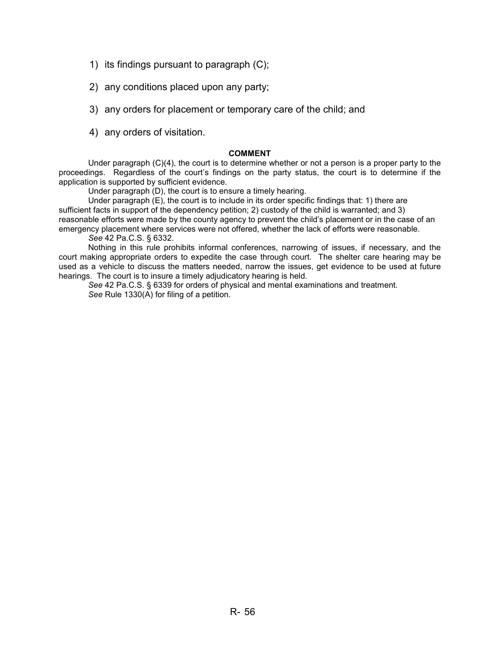- 1) its findings pursuant to paragraph (C);
- 2) any conditions placed upon any party;
- 3) any orders for placement or temporary care of the child; and
- 4) any orders of visitation.

#### **COMMENT**

Under paragraph  $(C)(4)$ , the court is to determine whether or not a person is a proper party to the proceedings. Regardless of the court's findings on the party status, the court is to determine if the application is supported by sufficient evidence.

Under paragraph (D), the court is to ensure a timely hearing.

Under paragraph  $(E)$ , the court is to include in its order specific findings that: 1) there are sufficient facts in support of the dependency petition; 2) custody of the child is warranted; and 3) reasonable efforts were made by the county agency to prevent the child's placement or in the case of an emergency placement where services were not offered, whether the lack of efforts were reasonable.

*See* 42 Pa.C.S. § 6332.

 Nothing in this rule prohibits informal conferences, narrowing of issues, if necessary, and the court making appropriate orders to expedite the case through court. The shelter care hearing may be used as a vehicle to discuss the matters needed, narrow the issues, get evidence to be used at future hearings. The court is to insure a timely adjudicatory hearing is held.

*See* 42 Pa.C.S. § 6339 for orders of physical and mental examinations and treatment. *See* Rule 1330(A) for filing of a petition.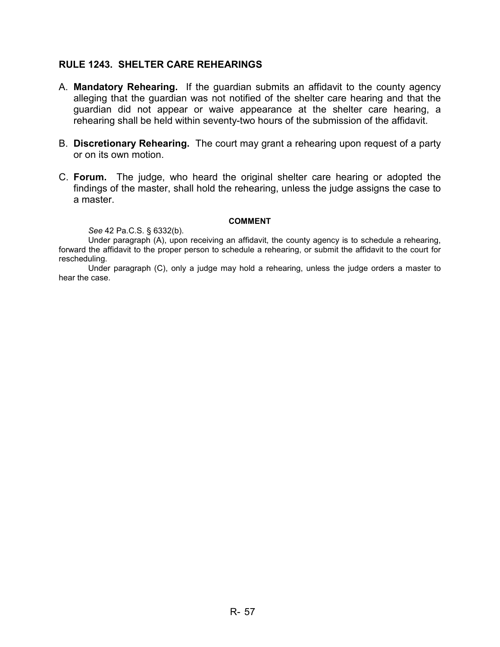### **RULE 1243. SHELTER CARE REHEARINGS**

- A. **Mandatory Rehearing.** If the guardian submits an affidavit to the county agency alleging that the guardian was not notified of the shelter care hearing and that the guardian did not appear or waive appearance at the shelter care hearing, a rehearing shall be held within seventy-two hours of the submission of the affidavit.
- B. **Discretionary Rehearing.** The court may grant a rehearing upon request of a party or on its own motion.
- C. **Forum.** The judge, who heard the original shelter care hearing or adopted the findings of the master, shall hold the rehearing, unless the judge assigns the case to a master.

#### **COMMENT**

*See* 42 Pa.C.S. § 6332(b).

Under paragraph (A), upon receiving an affidavit, the county agency is to schedule a rehearing, forward the affidavit to the proper person to schedule a rehearing, or submit the affidavit to the court for rescheduling.

Under paragraph (C), only a judge may hold a rehearing, unless the judge orders a master to hear the case.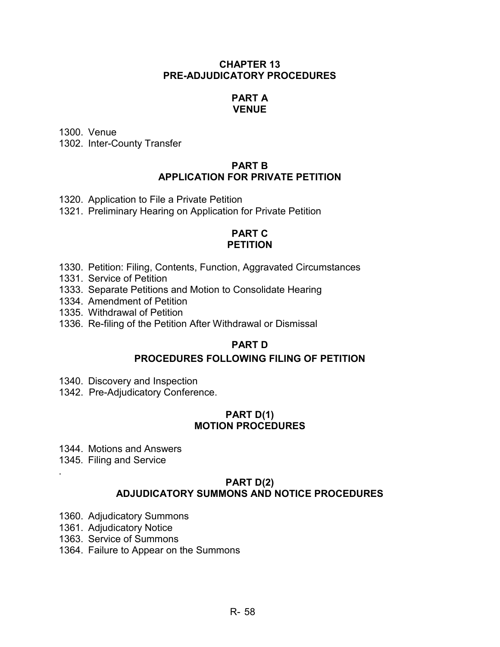### **CHAPTER 13 PRE-ADJUDICATORY PROCEDURES**

### **PART A VENUE**

1300. Venue

1302. Inter-County Transfer

### **PART B APPLICATION FOR PRIVATE PETITION**

1320. Application to File a Private Petition

1321. Preliminary Hearing on Application for Private Petition

### **PART C PETITION**

- 1330. Petition: Filing, Contents, Function, Aggravated Circumstances
- 1331. Service of Petition
- 1333. Separate Petitions and Motion to Consolidate Hearing
- 1334. Amendment of Petition
- 1335. Withdrawal of Petition
- 1336. Re-filing of the Petition After Withdrawal or Dismissal

# **PART D**

# **PROCEDURES FOLLOWING FILING OF PETITION**

- 1340. Discovery and Inspection
- 1342. Pre-Adjudicatory Conference.

### **PART D(1) MOTION PROCEDURES**

- 1344. Motions and Answers
- 1345. Filing and Service

.

### **PART D(2) ADJUDICATORY SUMMONS AND NOTICE PROCEDURES**

- 1360. Adjudicatory Summons
- 1361. Adjudicatory Notice
- 1363. Service of Summons
- 1364. Failure to Appear on the Summons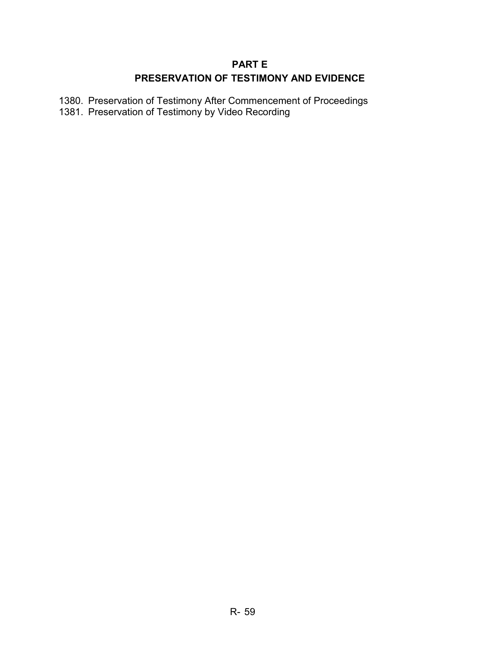# **PART E PRESERVATION OF TESTIMONY AND EVIDENCE**

1380. Preservation of Testimony After Commencement of Proceedings 1381. Preservation of Testimony by Video Recording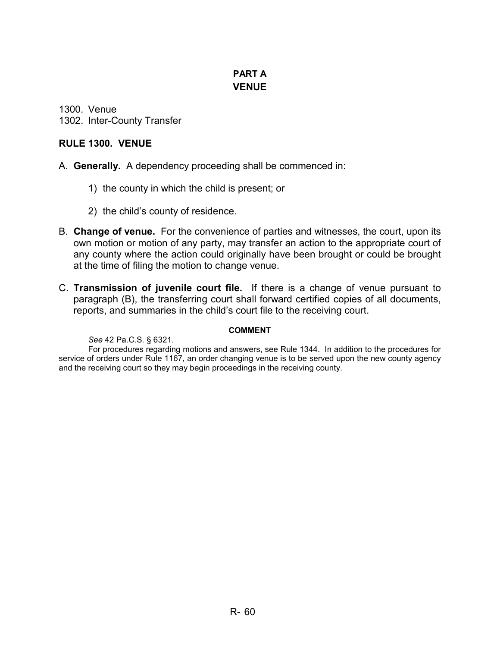# **PART A VENUE**

1300. Venue 1302. Inter-County Transfer

### **RULE 1300. VENUE**

- A. **Generally.** A dependency proceeding shall be commenced in:
	- 1) the county in which the child is present; or
	- 2) the child's county of residence.
- B. **Change of venue.** For the convenience of parties and witnesses, the court, upon its own motion or motion of any party, may transfer an action to the appropriate court of any county where the action could originally have been brought or could be brought at the time of filing the motion to change venue.
- C. **Transmission of juvenile court file.** If there is a change of venue pursuant to paragraph (B), the transferring court shall forward certified copies of all documents, reports, and summaries in the child's court file to the receiving court.

### **COMMENT**

*See* 42 Pa.C.S. § 6321.

For procedures regarding motions and answers, see Rule 1344. In addition to the procedures for service of orders under Rule 1167, an order changing venue is to be served upon the new county agency and the receiving court so they may begin proceedings in the receiving county.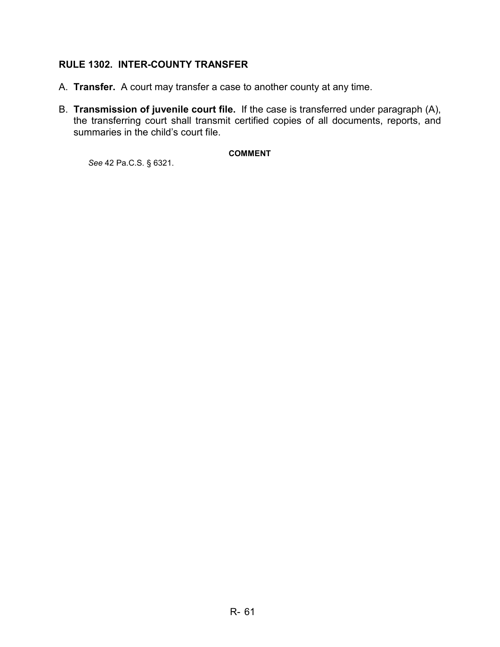# **RULE 1302. INTER-COUNTY TRANSFER**

- A. **Transfer.** A court may transfer a case to another county at any time.
- B. **Transmission of juvenile court file.** If the case is transferred under paragraph (A), the transferring court shall transmit certified copies of all documents, reports, and summaries in the child's court file.

#### **COMMENT**

*See* 42 Pa.C.S. § 6321.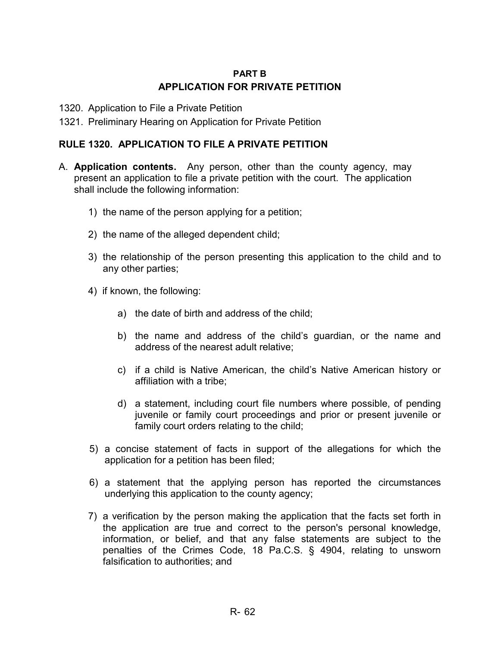# **PART B APPLICATION FOR PRIVATE PETITION**

- 1320. Application to File a Private Petition
- 1321. Preliminary Hearing on Application for Private Petition

### **RULE 1320. APPLICATION TO FILE A PRIVATE PETITION**

- A. **Application contents.** Any person, other than the county agency, may present an application to file a private petition with the court. The application shall include the following information:
	- 1) the name of the person applying for a petition;
	- 2) the name of the alleged dependent child;
	- 3) the relationship of the person presenting this application to the child and to any other parties;
	- 4) if known, the following:
		- a) the date of birth and address of the child;
		- b) the name and address of the child's guardian, or the name and address of the nearest adult relative;
		- c) if a child is Native American, the child's Native American history or affiliation with a tribe;
		- d) a statement, including court file numbers where possible, of pending juvenile or family court proceedings and prior or present juvenile or family court orders relating to the child;
	- 5) a concise statement of facts in support of the allegations for which the application for a petition has been filed;
	- 6) a statement that the applying person has reported the circumstances underlying this application to the county agency;
	- 7) a verification by the person making the application that the facts set forth in the application are true and correct to the person's personal knowledge, information, or belief, and that any false statements are subject to the penalties of the Crimes Code, 18 Pa.C.S. § 4904, relating to unsworn falsification to authorities; and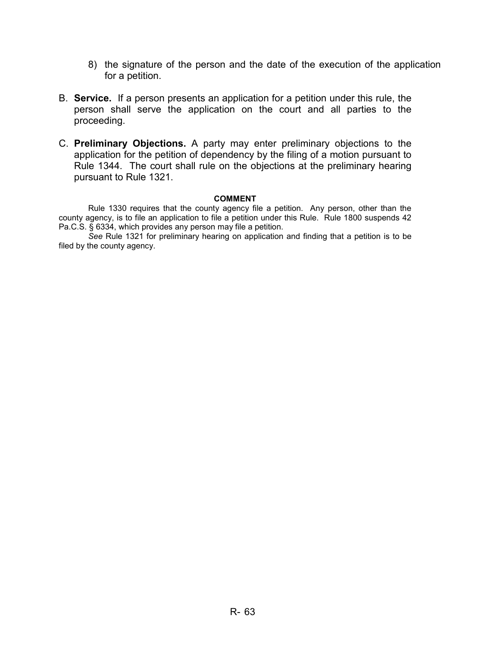- 8) the signature of the person and the date of the execution of the application for a petition.
- B. **Service.** If a person presents an application for a petition under this rule, the person shall serve the application on the court and all parties to the proceeding.
- C. **Preliminary Objections.** A party may enter preliminary objections to the application for the petition of dependency by the filing of a motion pursuant to Rule 1344. The court shall rule on the objections at the preliminary hearing pursuant to Rule 1321.

#### **COMMENT**

Rule 1330 requires that the county agency file a petition. Any person, other than the county agency, is to file an application to file a petition under this Rule. Rule 1800 suspends 42 Pa.C.S. § 6334, which provides any person may file a petition.

*See* Rule 1321 for preliminary hearing on application and finding that a petition is to be filed by the county agency.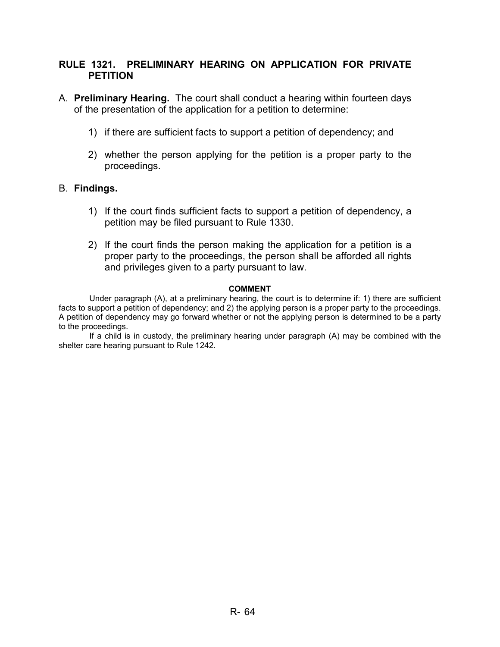### **RULE 1321. PRELIMINARY HEARING ON APPLICATION FOR PRIVATE PETITION**

- A. **Preliminary Hearing.** The court shall conduct a hearing within fourteen days of the presentation of the application for a petition to determine:
	- 1) if there are sufficient facts to support a petition of dependency; and
	- 2) whether the person applying for the petition is a proper party to the proceedings.

### B. **Findings.**

- 1) If the court finds sufficient facts to support a petition of dependency, a petition may be filed pursuant to Rule 1330.
- 2) If the court finds the person making the application for a petition is a proper party to the proceedings, the person shall be afforded all rights and privileges given to a party pursuant to law.

#### **COMMENT**

Under paragraph (A), at a preliminary hearing, the court is to determine if: 1) there are sufficient facts to support a petition of dependency; and 2) the applying person is a proper party to the proceedings. A petition of dependency may go forward whether or not the applying person is determined to be a party to the proceedings.

If a child is in custody, the preliminary hearing under paragraph (A) may be combined with the shelter care hearing pursuant to Rule 1242.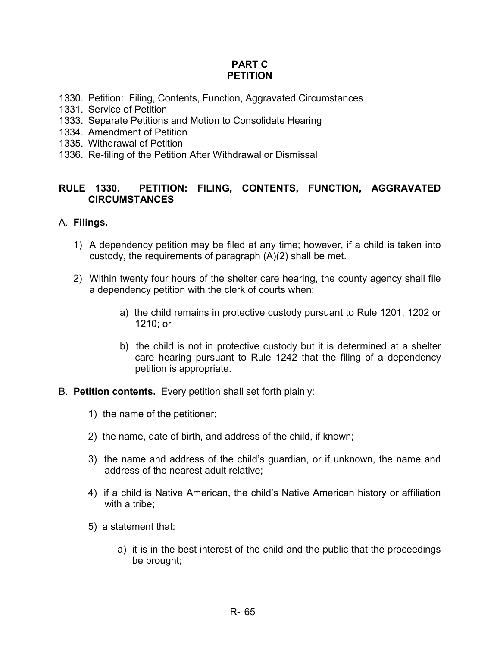### **PART C PETITION**

- 1330. Petition: Filing, Contents, Function, Aggravated Circumstances
- 1331. Service of Petition
- 1333. Separate Petitions and Motion to Consolidate Hearing
- 1334. Amendment of Petition
- 1335. Withdrawal of Petition
- 1336. Re-filing of the Petition After Withdrawal or Dismissal

# **RULE 1330. PETITION: FILING, CONTENTS, FUNCTION, AGGRAVATED CIRCUMSTANCES**

### A. **Filings.**

- 1) A dependency petition may be filed at any time; however, if a child is taken into custody, the requirements of paragraph (A)(2) shall be met.
- 2) Within twenty four hours of the shelter care hearing, the county agency shall file a dependency petition with the clerk of courts when:
	- a) the child remains in protective custody pursuant to Rule 1201, 1202 or 1210; or
	- b) the child is not in protective custody but it is determined at a shelter care hearing pursuant to Rule 1242 that the filing of a dependency petition is appropriate.
- B. **Petition contents.** Every petition shall set forth plainly:
	- 1) the name of the petitioner;
	- 2) the name, date of birth, and address of the child, if known;
	- 3) the name and address of the child's guardian, or if unknown, the name and address of the nearest adult relative;
	- 4) if a child is Native American, the child's Native American history or affiliation with a tribe;
	- 5) a statement that:
		- a) it is in the best interest of the child and the public that the proceedings be brought;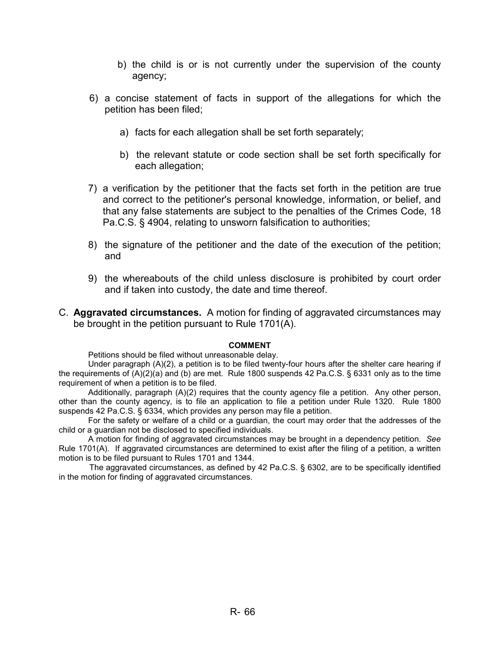- b) the child is or is not currently under the supervision of the county agency;
- 6) a concise statement of facts in support of the allegations for which the petition has been filed;
	- a) facts for each allegation shall be set forth separately;
	- b) the relevant statute or code section shall be set forth specifically for each allegation;
- 7) a verification by the petitioner that the facts set forth in the petition are true and correct to the petitioner's personal knowledge, information, or belief, and that any false statements are subject to the penalties of the Crimes Code, 18 Pa.C.S. § 4904, relating to unsworn falsification to authorities;
- 8) the signature of the petitioner and the date of the execution of the petition; and
- 9) the whereabouts of the child unless disclosure is prohibited by court order and if taken into custody, the date and time thereof.
- C. **Aggravated circumstances.** A motion for finding of aggravated circumstances may be brought in the petition pursuant to Rule 1701(A).

#### **COMMENT**

Petitions should be filed without unreasonable delay.

Under paragraph (A)(2), a petition is to be filed twenty-four hours after the shelter care hearing if the requirements of (A)(2)(a) and (b) are met. Rule 1800 suspends 42 Pa.C.S. § 6331 only as to the time requirement of when a petition is to be filed.

Additionally, paragraph (A)(2) requires that the county agency file a petition. Any other person, other than the county agency, is to file an application to file a petition under Rule 1320. Rule 1800 suspends 42 Pa.C.S. § 6334, which provides any person may file a petition.

For the safety or welfare of a child or a guardian, the court may order that the addresses of the child or a guardian not be disclosed to specified individuals.

A motion for finding of aggravated circumstances may be brought in a dependency petition. *See* Rule 1701(A). If aggravated circumstances are determined to exist after the filing of a petition, a written motion is to be filed pursuant to Rules 1701 and 1344.

The aggravated circumstances, as defined by 42 Pa.C.S. § 6302, are to be specifically identified in the motion for finding of aggravated circumstances.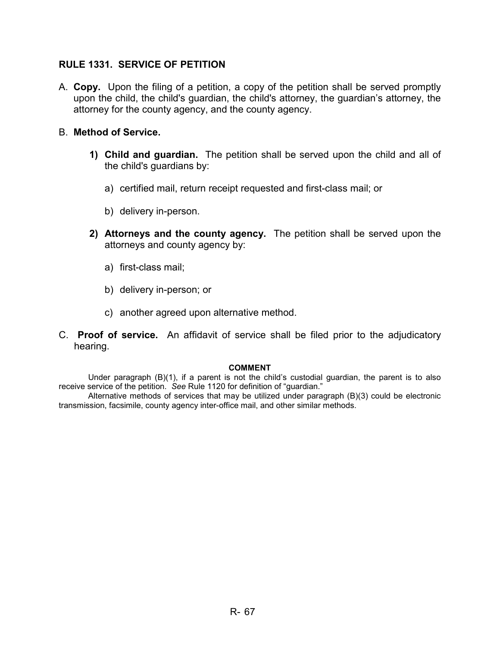### **RULE 1331. SERVICE OF PETITION**

A. **Copy.** Upon the filing of a petition, a copy of the petition shall be served promptly upon the child, the child's guardian, the child's attorney, the guardian's attorney, the attorney for the county agency, and the county agency.

### B. **Method of Service.**

- **1) Child and guardian.** The petition shall be served upon the child and all of the child's guardians by:
	- a) certified mail, return receipt requested and first-class mail; or
	- b) delivery in-person.
- **2) Attorneys and the county agency.** The petition shall be served upon the attorneys and county agency by:
	- a) first-class mail;
	- b) delivery in-person; or
	- c) another agreed upon alternative method.
- C. **Proof of service.** An affidavit of service shall be filed prior to the adjudicatory hearing.

#### **COMMENT**

Under paragraph (B)(1), if a parent is not the child's custodial guardian, the parent is to also receive service of the petition. *See* Rule 1120 for definition of "guardian."

Alternative methods of services that may be utilized under paragraph (B)(3) could be electronic transmission, facsimile, county agency inter-office mail, and other similar methods.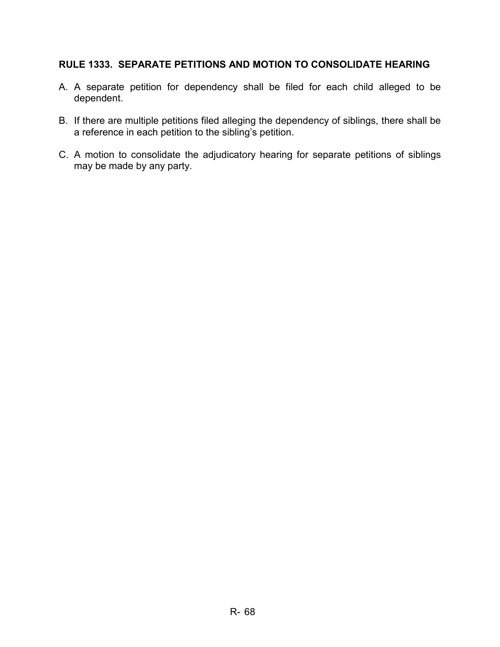# **RULE 1333. SEPARATE PETITIONS AND MOTION TO CONSOLIDATE HEARING**

- A. A separate petition for dependency shall be filed for each child alleged to be dependent.
- B. If there are multiple petitions filed alleging the dependency of siblings, there shall be a reference in each petition to the sibling's petition.
- C. A motion to consolidate the adjudicatory hearing for separate petitions of siblings may be made by any party.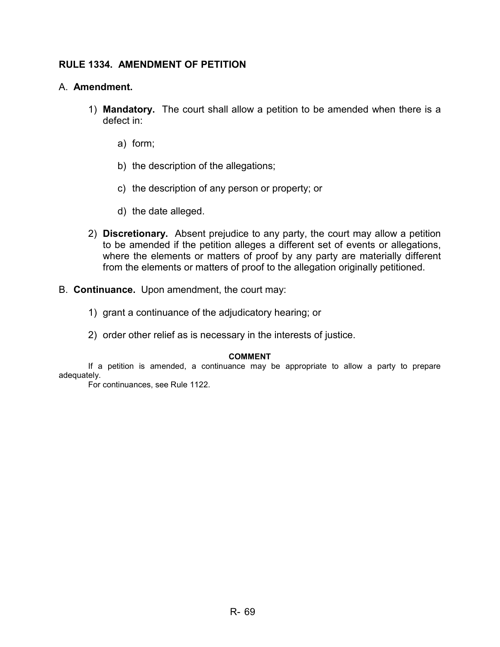# **RULE 1334. AMENDMENT OF PETITION**

### A. **Amendment.**

- 1) **Mandatory.** The court shall allow a petition to be amended when there is a defect in:
	- a) form;
	- b) the description of the allegations;
	- c) the description of any person or property; or
	- d) the date alleged.
- 2) **Discretionary.** Absent prejudice to any party, the court may allow a petition to be amended if the petition alleges a different set of events or allegations, where the elements or matters of proof by any party are materially different from the elements or matters of proof to the allegation originally petitioned.
- B. **Continuance.** Upon amendment, the court may:
	- 1) grant a continuance of the adjudicatory hearing; or
	- 2) order other relief as is necessary in the interests of justice.

#### **COMMENT**

If a petition is amended, a continuance may be appropriate to allow a party to prepare adequately.

For continuances, see Rule 1122.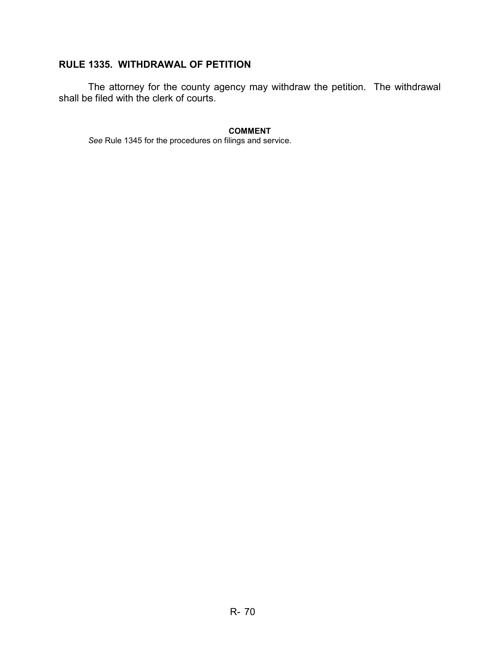# **RULE 1335. WITHDRAWAL OF PETITION**

 The attorney for the county agency may withdraw the petition. The withdrawal shall be filed with the clerk of courts.

**COMMENT** 

*See* Rule 1345 for the procedures on filings and service.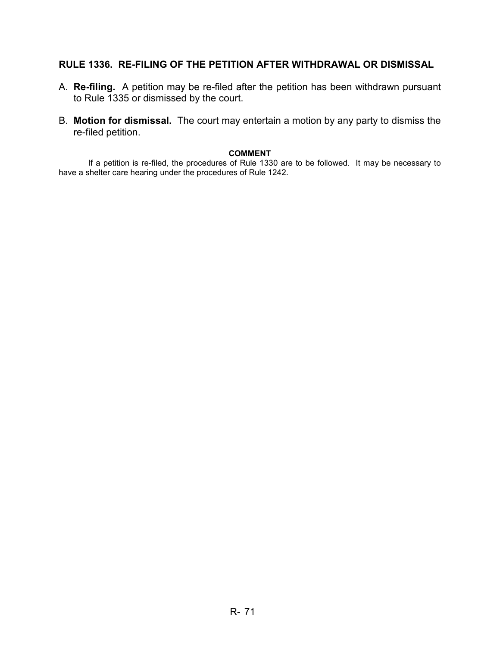# **RULE 1336. RE-FILING OF THE PETITION AFTER WITHDRAWAL OR DISMISSAL**

- A. **Re-filing.** A petition may be re-filed after the petition has been withdrawn pursuant to Rule 1335 or dismissed by the court.
- B. **Motion for dismissal.** The court may entertain a motion by any party to dismiss the re-filed petition.

#### **COMMENT**

 If a petition is re-filed, the procedures of Rule 1330 are to be followed. It may be necessary to have a shelter care hearing under the procedures of Rule 1242.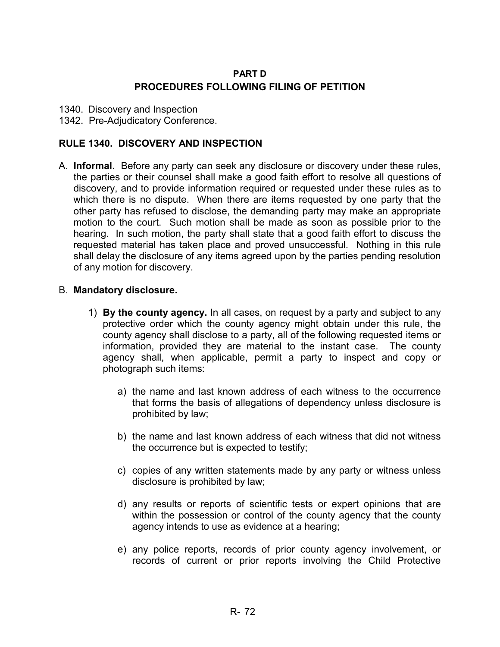### **PART D PROCEDURES FOLLOWING FILING OF PETITION**

- 1340. Discovery and Inspection
- 1342. Pre-Adjudicatory Conference.

### **RULE 1340. DISCOVERY AND INSPECTION**

A. **Informal.** Before any party can seek any disclosure or discovery under these rules, the parties or their counsel shall make a good faith effort to resolve all questions of discovery, and to provide information required or requested under these rules as to which there is no dispute. When there are items requested by one party that the other party has refused to disclose, the demanding party may make an appropriate motion to the court. Such motion shall be made as soon as possible prior to the hearing. In such motion, the party shall state that a good faith effort to discuss the requested material has taken place and proved unsuccessful. Nothing in this rule shall delay the disclosure of any items agreed upon by the parties pending resolution of any motion for discovery.

### B. **Mandatory disclosure.**

- 1) **By the county agency.** In all cases, on request by a party and subject to any protective order which the county agency might obtain under this rule, the county agency shall disclose to a party, all of the following requested items or information, provided they are material to the instant case. The county agency shall, when applicable, permit a party to inspect and copy or photograph such items:
	- a) the name and last known address of each witness to the occurrence that forms the basis of allegations of dependency unless disclosure is prohibited by law;
	- b) the name and last known address of each witness that did not witness the occurrence but is expected to testify;
	- c) copies of any written statements made by any party or witness unless disclosure is prohibited by law;
	- d) any results or reports of scientific tests or expert opinions that are within the possession or control of the county agency that the county agency intends to use as evidence at a hearing;
	- e) any police reports, records of prior county agency involvement, or records of current or prior reports involving the Child Protective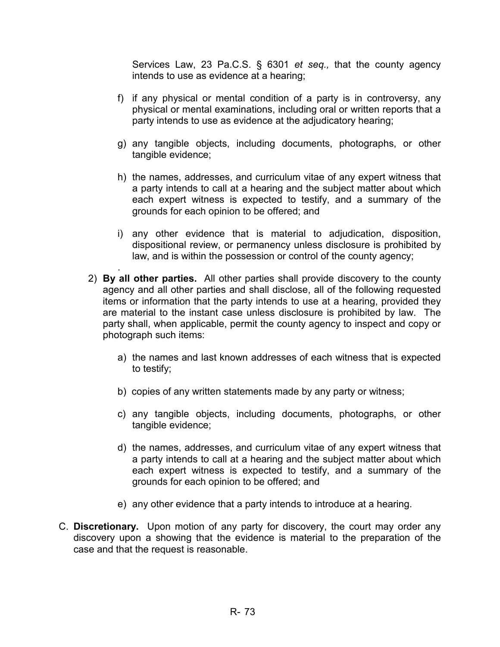Services Law, 23 Pa.C.S. § 6301 *et seq.,* that the county agency intends to use as evidence at a hearing;

- f) if any physical or mental condition of a party is in controversy, any physical or mental examinations, including oral or written reports that a party intends to use as evidence at the adjudicatory hearing;
- g) any tangible objects, including documents, photographs, or other tangible evidence;
- h) the names, addresses, and curriculum vitae of any expert witness that a party intends to call at a hearing and the subject matter about which each expert witness is expected to testify, and a summary of the grounds for each opinion to be offered; and
- i) any other evidence that is material to adjudication, disposition, dispositional review, or permanency unless disclosure is prohibited by law, and is within the possession or control of the county agency;
- 2) **By all other parties.** All other parties shall provide discovery to the county agency and all other parties and shall disclose, all of the following requested items or information that the party intends to use at a hearing, provided they are material to the instant case unless disclosure is prohibited by law. The party shall, when applicable, permit the county agency to inspect and copy or photograph such items:

.

- a) the names and last known addresses of each witness that is expected to testify;
- b) copies of any written statements made by any party or witness;
- c) any tangible objects, including documents, photographs, or other tangible evidence;
- d) the names, addresses, and curriculum vitae of any expert witness that a party intends to call at a hearing and the subject matter about which each expert witness is expected to testify, and a summary of the grounds for each opinion to be offered; and
- e) any other evidence that a party intends to introduce at a hearing.
- C. **Discretionary.** Upon motion of any party for discovery, the court may order any discovery upon a showing that the evidence is material to the preparation of the case and that the request is reasonable.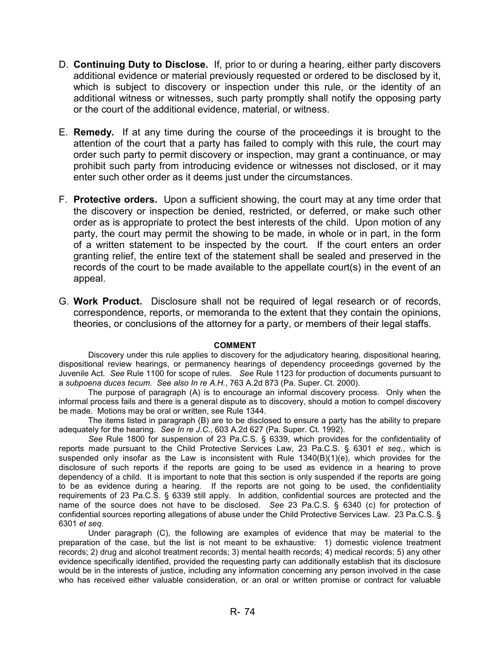- D. **Continuing Duty to Disclose.** If, prior to or during a hearing, either party discovers additional evidence or material previously requested or ordered to be disclosed by it, which is subject to discovery or inspection under this rule, or the identity of an additional witness or witnesses, such party promptly shall notify the opposing party or the court of the additional evidence, material, or witness.
- E. **Remedy.** If at any time during the course of the proceedings it is brought to the attention of the court that a party has failed to comply with this rule, the court may order such party to permit discovery or inspection, may grant a continuance, or may prohibit such party from introducing evidence or witnesses not disclosed, or it may enter such other order as it deems just under the circumstances.
- F. **Protective orders.** Upon a sufficient showing, the court may at any time order that the discovery or inspection be denied, restricted, or deferred, or make such other order as is appropriate to protect the best interests of the child. Upon motion of any party, the court may permit the showing to be made, in whole or in part, in the form of a written statement to be inspected by the court. If the court enters an order granting relief, the entire text of the statement shall be sealed and preserved in the records of the court to be made available to the appellate court(s) in the event of an appeal.
- G. **Work Product.** Disclosure shall not be required of legal research or of records, correspondence, reports, or memoranda to the extent that they contain the opinions, theories, or conclusions of the attorney for a party, or members of their legal staffs.

#### **COMMENT**

Discovery under this rule applies to discovery for the adjudicatory hearing, dispositional hearing, dispositional review hearings, or permanency hearings of dependency proceedings governed by the Juvenile Act. *See* Rule 1100 for scope of rules. *See* Rule 1123 for production of documents pursuant to a *subpoena duces tecum. See also In re A.H.*, 763 A.2d 873 (Pa. Super. Ct. 2000).

The purpose of paragraph (A) is to encourage an informal discovery process. Only when the informal process fails and there is a general dispute as to discovery, should a motion to compel discovery be made. Motions may be oral or written, see Rule 1344.

The items listed in paragraph (B) are to be disclosed to ensure a party has the ability to prepare adequately for the hearing. *See In re J.C.*, 603 A.2d 627 (Pa. Super. Ct. 1992).

*See* Rule 1800 for suspension of 23 Pa.C.S. § 6339, which provides for the confidentiality of reports made pursuant to the Child Protective Services Law, 23 Pa.C.S. § 6301 *et seq.*, which is suspended only insofar as the Law is inconsistent with Rule 1340(B)(1)(e), which provides for the disclosure of such reports if the reports are going to be used as evidence in a hearing to prove dependency of a child. It is important to note that this section is only suspended if the reports are going to be as evidence during a hearing. If the reports are not going to be used, the confidentiality requirements of 23 Pa.C.S. § 6339 still apply. In addition, confidential sources are protected and the name of the source does not have to be disclosed. *See* 23 Pa.C.S. § 6340 (c) for protection of confidential sources reporting allegations of abuse under the Child Protective Services Law. 23 Pa.C.S. § 6301 *et seq.* 

Under paragraph (C), the following are examples of evidence that may be material to the preparation of the case, but the list is not meant to be exhaustive: 1) domestic violence treatment records; 2) drug and alcohol treatment records; 3) mental health records; 4) medical records; 5) any other evidence specifically identified, provided the requesting party can additionally establish that its disclosure would be in the interests of justice, including any information concerning any person involved in the case who has received either valuable consideration, or an oral or written promise or contract for valuable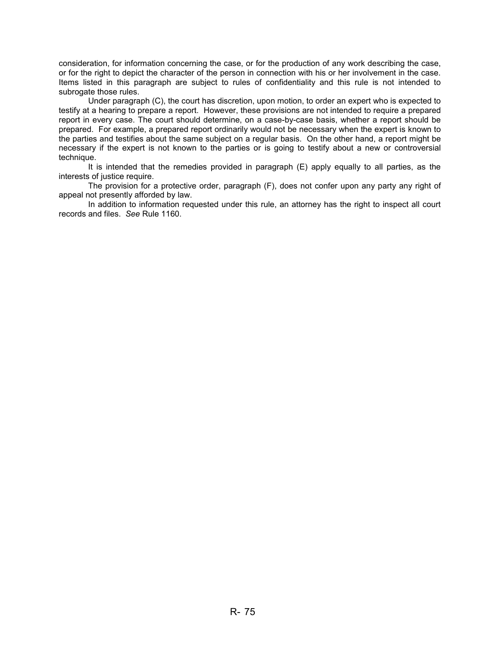consideration, for information concerning the case, or for the production of any work describing the case, or for the right to depict the character of the person in connection with his or her involvement in the case. Items listed in this paragraph are subject to rules of confidentiality and this rule is not intended to subrogate those rules.

Under paragraph (C), the court has discretion, upon motion, to order an expert who is expected to testify at a hearing to prepare a report. However, these provisions are not intended to require a prepared report in every case. The court should determine, on a case-by-case basis, whether a report should be prepared. For example, a prepared report ordinarily would not be necessary when the expert is known to the parties and testifies about the same subject on a regular basis. On the other hand, a report might be necessary if the expert is not known to the parties or is going to testify about a new or controversial technique.

It is intended that the remedies provided in paragraph (E) apply equally to all parties, as the interests of justice require.

The provision for a protective order, paragraph (F), does not confer upon any party any right of appeal not presently afforded by law.

In addition to information requested under this rule, an attorney has the right to inspect all court records and files. *See* Rule 1160.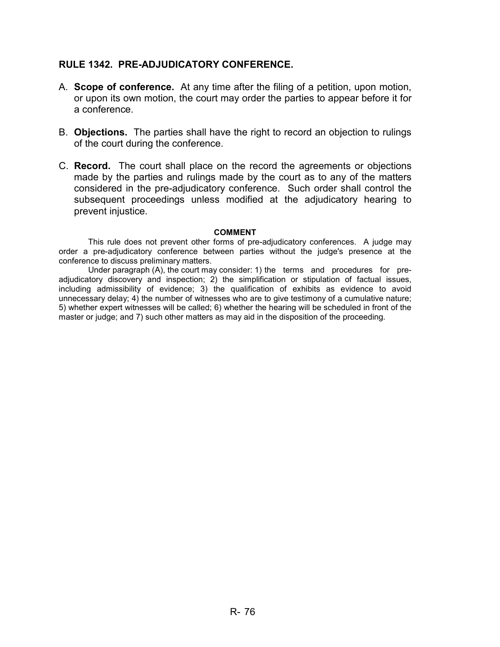# **RULE 1342. PRE-ADJUDICATORY CONFERENCE.**

- A. **Scope of conference.** At any time after the filing of a petition, upon motion, or upon its own motion, the court may order the parties to appear before it for a conference.
- B. **Objections.** The parties shall have the right to record an objection to rulings of the court during the conference.
- C. **Record.** The court shall place on the record the agreements or objections made by the parties and rulings made by the court as to any of the matters considered in the pre-adjudicatory conference. Such order shall control the subsequent proceedings unless modified at the adjudicatory hearing to prevent injustice.

#### **COMMENT**

This rule does not prevent other forms of pre-adjudicatory conferences. A judge may order a pre-adjudicatory conference between parties without the judge's presence at the conference to discuss preliminary matters.

Under paragraph (A), the court may consider: 1) the terms and procedures for preadjudicatory discovery and inspection; 2) the simplification or stipulation of factual issues, including admissibility of evidence; 3) the qualification of exhibits as evidence to avoid unnecessary delay; 4) the number of witnesses who are to give testimony of a cumulative nature; 5) whether expert witnesses will be called; 6) whether the hearing will be scheduled in front of the master or judge; and 7) such other matters as may aid in the disposition of the proceeding.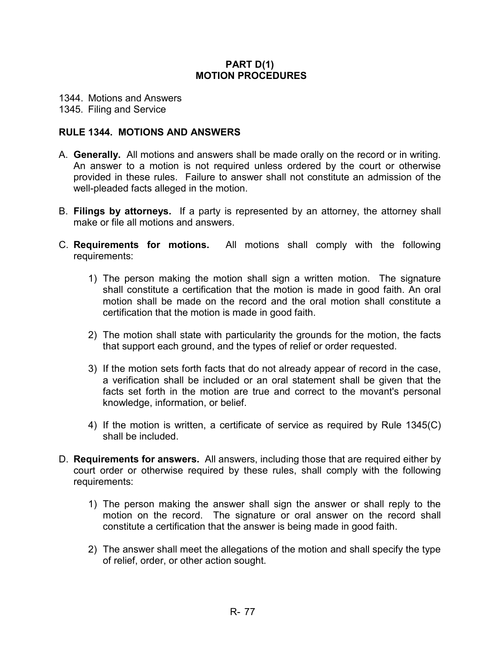# **PART D(1) MOTION PROCEDURES**

1344. Motions and Answers

## 1345. Filing and Service

# **RULE 1344. MOTIONS AND ANSWERS**

- A. **Generally.** All motions and answers shall be made orally on the record or in writing. An answer to a motion is not required unless ordered by the court or otherwise provided in these rules. Failure to answer shall not constitute an admission of the well-pleaded facts alleged in the motion.
- B. **Filings by attorneys.** If a party is represented by an attorney, the attorney shall make or file all motions and answers.
- C. **Requirements for motions.** All motions shall comply with the following requirements:
	- 1) The person making the motion shall sign a written motion. The signature shall constitute a certification that the motion is made in good faith. An oral motion shall be made on the record and the oral motion shall constitute a certification that the motion is made in good faith.
	- 2) The motion shall state with particularity the grounds for the motion, the facts that support each ground, and the types of relief or order requested.
	- 3) If the motion sets forth facts that do not already appear of record in the case, a verification shall be included or an oral statement shall be given that the facts set forth in the motion are true and correct to the movant's personal knowledge, information, or belief.
	- 4) If the motion is written, a certificate of service as required by Rule 1345(C) shall be included.
- D. **Requirements for answers.** All answers, including those that are required either by court order or otherwise required by these rules, shall comply with the following requirements:
	- 1) The person making the answer shall sign the answer or shall reply to the motion on the record. The signature or oral answer on the record shall constitute a certification that the answer is being made in good faith.
	- 2) The answer shall meet the allegations of the motion and shall specify the type of relief, order, or other action sought.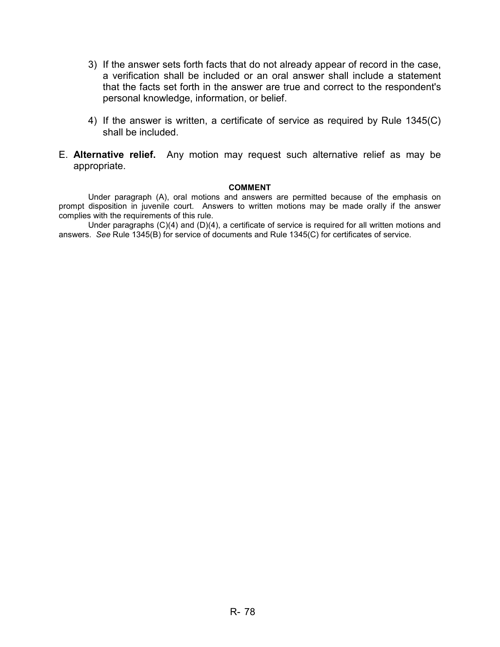- 3) If the answer sets forth facts that do not already appear of record in the case, a verification shall be included or an oral answer shall include a statement that the facts set forth in the answer are true and correct to the respondent's personal knowledge, information, or belief.
- 4) If the answer is written, a certificate of service as required by Rule 1345(C) shall be included.
- E. **Alternative relief.** Any motion may request such alternative relief as may be appropriate.

#### **COMMENT**

Under paragraph (A), oral motions and answers are permitted because of the emphasis on prompt disposition in juvenile court. Answers to written motions may be made orally if the answer complies with the requirements of this rule.

Under paragraphs (C)(4) and (D)(4), a certificate of service is required for all written motions and answers. *See* Rule 1345(B) for service of documents and Rule 1345(C) for certificates of service.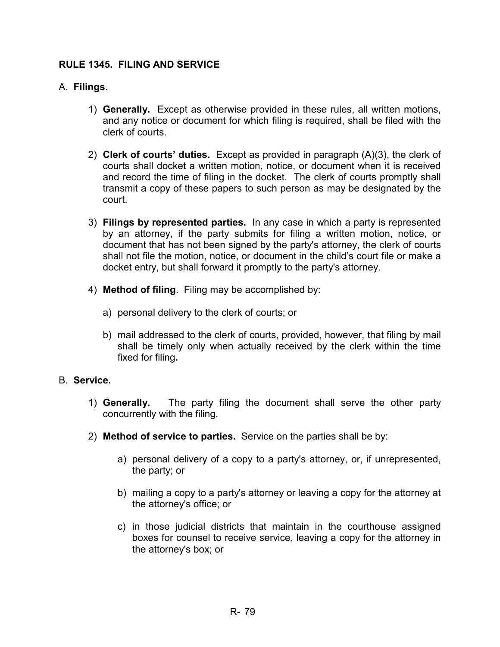# **RULE 1345. FILING AND SERVICE**

# A. **Filings.**

- 1) **Generally.** Except as otherwise provided in these rules, all written motions, and any notice or document for which filing is required, shall be filed with the clerk of courts.
- 2) **Clerk of courts' duties.** Except as provided in paragraph (A)(3), the clerk of courts shall docket a written motion, notice, or document when it is received and record the time of filing in the docket. The clerk of courts promptly shall transmit a copy of these papers to such person as may be designated by the court.
- 3) **Filings by represented parties.** In any case in which a party is represented by an attorney, if the party submits for filing a written motion, notice, or document that has not been signed by the party's attorney, the clerk of courts shall not file the motion, notice, or document in the child's court file or make a docket entry, but shall forward it promptly to the party's attorney.
- 4) **Method of filing**. Filing may be accomplished by:
	- a) personal delivery to the clerk of courts; or
	- b) mail addressed to the clerk of courts, provided, however, that filing by mail shall be timely only when actually received by the clerk within the time fixed for filing**.**

# B. **Service.**

- 1) **Generally.** The party filing the document shall serve the other party concurrently with the filing.
- 2) **Method of service to parties.** Service on the parties shall be by:
	- a) personal delivery of a copy to a party's attorney, or, if unrepresented, the party; or
	- b) mailing a copy to a party's attorney or leaving a copy for the attorney at the attorney's office; or
	- c) in those judicial districts that maintain in the courthouse assigned boxes for counsel to receive service, leaving a copy for the attorney in the attorney's box; or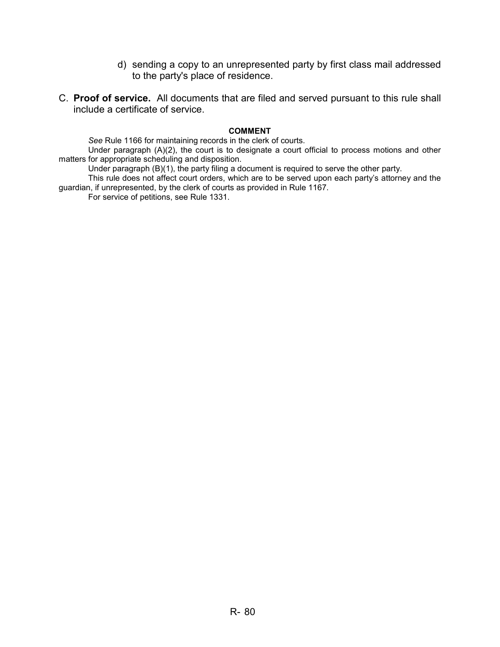- d) sending a copy to an unrepresented party by first class mail addressed to the party's place of residence.
- C. **Proof of service.** All documents that are filed and served pursuant to this rule shall include a certificate of service.

#### **COMMENT**

*See* Rule 1166 for maintaining records in the clerk of courts.

Under paragraph (A)(2), the court is to designate a court official to process motions and other matters for appropriate scheduling and disposition.

Under paragraph (B)(1), the party filing a document is required to serve the other party.

This rule does not affect court orders, which are to be served upon each party's attorney and the guardian, if unrepresented, by the clerk of courts as provided in Rule 1167.

For service of petitions, see Rule 1331.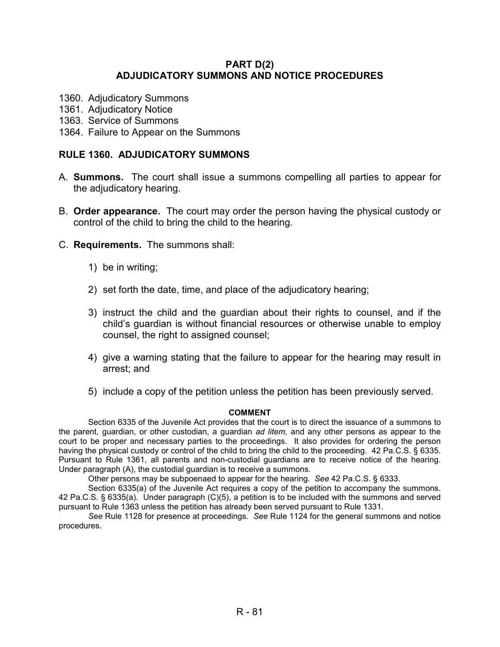## **PART D(2) ADJUDICATORY SUMMONS AND NOTICE PROCEDURES**

- 1360. Adjudicatory Summons
- 1361. Adjudicatory Notice
- 1363. Service of Summons
- 1364. Failure to Appear on the Summons

## **RULE 1360. ADJUDICATORY SUMMONS**

- A. **Summons.** The court shall issue a summons compelling all parties to appear for the adjudicatory hearing.
- B. **Order appearance.** The court may order the person having the physical custody or control of the child to bring the child to the hearing.
- C. **Requirements.** The summons shall:
	- 1) be in writing;
	- 2) set forth the date, time, and place of the adjudicatory hearing;
	- 3) instruct the child and the guardian about their rights to counsel, and if the child's guardian is without financial resources or otherwise unable to employ counsel, the right to assigned counsel;
	- 4) give a warning stating that the failure to appear for the hearing may result in arrest; and
	- 5) include a copy of the petition unless the petition has been previously served.

#### **COMMENT**

Section 6335 of the Juvenile Act provides that the court is to direct the issuance of a summons to the parent, guardian, or other custodian, a guardian *ad litem,* and any other persons as appear to the court to be proper and necessary parties to the proceedings. It also provides for ordering the person having the physical custody or control of the child to bring the child to the proceeding. 42 Pa.C.S. § 6335. Pursuant to Rule 1361, all parents and non-custodial guardians are to receive notice of the hearing. Under paragraph (A), the custodial guardian is to receive a summons.

Other persons may be subpoenaed to appear for the hearing. *See* 42 Pa.C.S. § 6333.

Section 6335(a) of the Juvenile Act requires a copy of the petition to accompany the summons. 42 Pa.C.S. § 6335(a). Under paragraph (C)(5), a petition is to be included with the summons and served pursuant to Rule 1363 unless the petition has already been served pursuant to Rule 1331.

*See* Rule 1128 for presence at proceedings*. See* Rule 1124 for the general summons and notice procedures.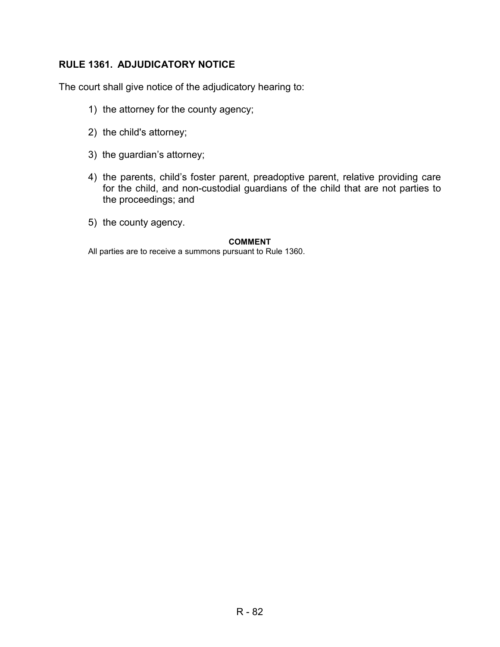# **RULE 1361. ADJUDICATORY NOTICE**

The court shall give notice of the adjudicatory hearing to:

- 1) the attorney for the county agency;
- 2) the child's attorney;
- 3) the guardian's attorney;
- 4) the parents, child's foster parent, preadoptive parent, relative providing care for the child, and non-custodial guardians of the child that are not parties to the proceedings; and
- 5) the county agency.

### **COMMENT**

All parties are to receive a summons pursuant to Rule 1360.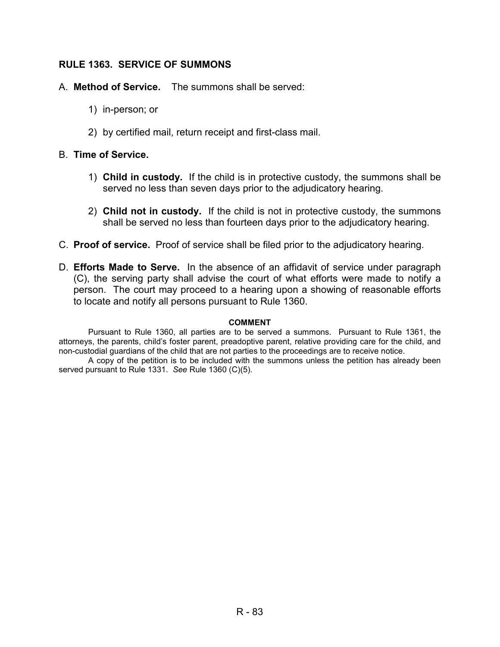# **RULE 1363. SERVICE OF SUMMONS**

- A. **Method of Service.** The summons shall be served:
	- 1) in-person; or
	- 2) by certified mail, return receipt and first-class mail.

# B. **Time of Service.**

- 1) **Child in custody.** If the child is in protective custody, the summons shall be served no less than seven days prior to the adjudicatory hearing.
- 2) **Child not in custody.** If the child is not in protective custody, the summons shall be served no less than fourteen days prior to the adjudicatory hearing.
- C. **Proof of service.** Proof of service shall be filed prior to the adjudicatory hearing.
- D. **Efforts Made to Serve.** In the absence of an affidavit of service under paragraph (C), the serving party shall advise the court of what efforts were made to notify a person. The court may proceed to a hearing upon a showing of reasonable efforts to locate and notify all persons pursuant to Rule 1360.

# **COMMENT**

Pursuant to Rule 1360, all parties are to be served a summons. Pursuant to Rule 1361, the attorneys, the parents, child's foster parent, preadoptive parent, relative providing care for the child, and non-custodial guardians of the child that are not parties to the proceedings are to receive notice.

A copy of the petition is to be included with the summons unless the petition has already been served pursuant to Rule 1331. *See* Rule 1360 (C)(5).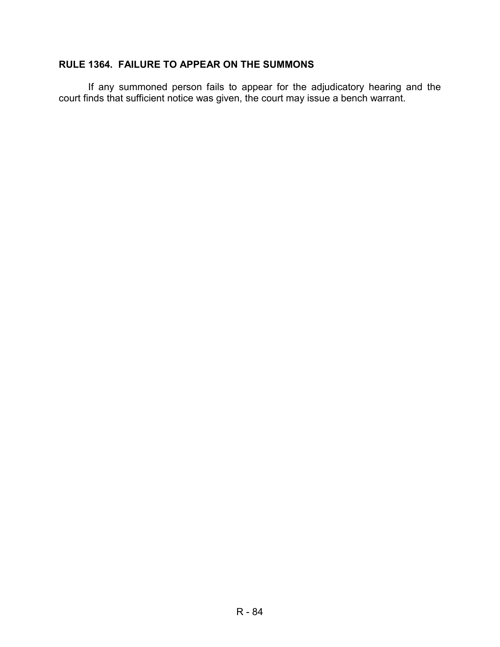# **RULE 1364. FAILURE TO APPEAR ON THE SUMMONS**

If any summoned person fails to appear for the adjudicatory hearing and the court finds that sufficient notice was given, the court may issue a bench warrant.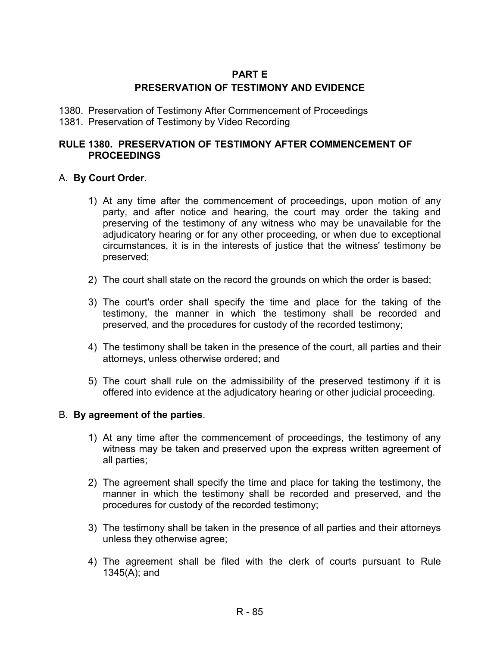# **PART E**

# **PRESERVATION OF TESTIMONY AND EVIDENCE**

- 1380. Preservation of Testimony After Commencement of Proceedings
- 1381. Preservation of Testimony by Video Recording

# **RULE 1380. PRESERVATION OF TESTIMONY AFTER COMMENCEMENT OF PROCEEDINGS**

# A. **By Court Order**.

- 1) At any time after the commencement of proceedings, upon motion of any party, and after notice and hearing, the court may order the taking and preserving of the testimony of any witness who may be unavailable for the adjudicatory hearing or for any other proceeding, or when due to exceptional circumstances, it is in the interests of justice that the witness' testimony be preserved;
- 2) The court shall state on the record the grounds on which the order is based;
- 3) The court's order shall specify the time and place for the taking of the testimony, the manner in which the testimony shall be recorded and preserved, and the procedures for custody of the recorded testimony;
- 4) The testimony shall be taken in the presence of the court, all parties and their attorneys, unless otherwise ordered; and
- 5) The court shall rule on the admissibility of the preserved testimony if it is offered into evidence at the adjudicatory hearing or other judicial proceeding.

# B. **By agreement of the parties**.

- 1) At any time after the commencement of proceedings, the testimony of any witness may be taken and preserved upon the express written agreement of all parties;
- 2) The agreement shall specify the time and place for taking the testimony, the manner in which the testimony shall be recorded and preserved, and the procedures for custody of the recorded testimony;
- 3) The testimony shall be taken in the presence of all parties and their attorneys unless they otherwise agree;
- 4) The agreement shall be filed with the clerk of courts pursuant to Rule 1345(A); and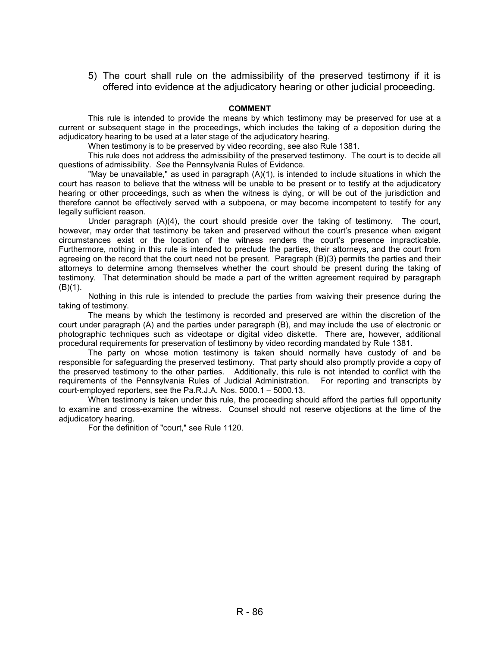5) The court shall rule on the admissibility of the preserved testimony if it is offered into evidence at the adjudicatory hearing or other judicial proceeding.

#### **COMMENT**

This rule is intended to provide the means by which testimony may be preserved for use at a current or subsequent stage in the proceedings, which includes the taking of a deposition during the adjudicatory hearing to be used at a later stage of the adjudicatory hearing.

When testimony is to be preserved by video recording, see also Rule 1381.

This rule does not address the admissibility of the preserved testimony. The court is to decide all questions of admissibility. *See* the Pennsylvania Rules of Evidence.

"May be unavailable," as used in paragraph  $(A)(1)$ , is intended to include situations in which the court has reason to believe that the witness will be unable to be present or to testify at the adjudicatory hearing or other proceedings, such as when the witness is dying, or will be out of the jurisdiction and therefore cannot be effectively served with a subpoena, or may become incompetent to testify for any legally sufficient reason.

Under paragraph (A)(4), the court should preside over the taking of testimony. The court, however, may order that testimony be taken and preserved without the court's presence when exigent circumstances exist or the location of the witness renders the court's presence impracticable. Furthermore, nothing in this rule is intended to preclude the parties, their attorneys, and the court from agreeing on the record that the court need not be present. Paragraph (B)(3) permits the parties and their attorneys to determine among themselves whether the court should be present during the taking of testimony. That determination should be made a part of the written agreement required by paragraph (B)(1).

Nothing in this rule is intended to preclude the parties from waiving their presence during the taking of testimony.

The means by which the testimony is recorded and preserved are within the discretion of the court under paragraph (A) and the parties under paragraph (B), and may include the use of electronic or photographic techniques such as videotape or digital video diskette. There are, however, additional procedural requirements for preservation of testimony by video recording mandated by Rule 1381.

The party on whose motion testimony is taken should normally have custody of and be responsible for safeguarding the preserved testimony. That party should also promptly provide a copy of the preserved testimony to the other parties. Additionally, this rule is not intended to conflict with the requirements of the Pennsylvania Rules of Judicial Administration. For reporting and transcripts by court-employed reporters, see the Pa.R.J.A. Nos. 5000.1 – 5000.13.

When testimony is taken under this rule, the proceeding should afford the parties full opportunity to examine and cross-examine the witness. Counsel should not reserve objections at the time of the adjudicatory hearing.

For the definition of "court," see Rule 1120.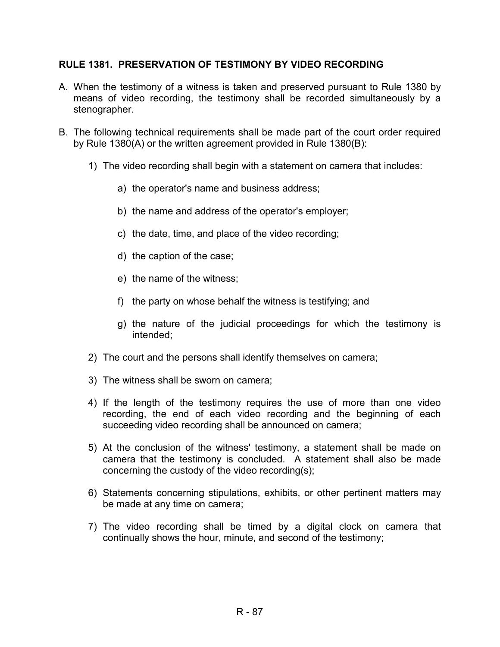# **RULE 1381. PRESERVATION OF TESTIMONY BY VIDEO RECORDING**

- A. When the testimony of a witness is taken and preserved pursuant to Rule 1380 by means of video recording, the testimony shall be recorded simultaneously by a stenographer.
- B. The following technical requirements shall be made part of the court order required by Rule 1380(A) or the written agreement provided in Rule 1380(B):
	- 1) The video recording shall begin with a statement on camera that includes:
		- a) the operator's name and business address;
		- b) the name and address of the operator's employer;
		- c) the date, time, and place of the video recording;
		- d) the caption of the case;
		- e) the name of the witness;
		- f) the party on whose behalf the witness is testifying; and
		- g) the nature of the judicial proceedings for which the testimony is intended;
	- 2) The court and the persons shall identify themselves on camera;
	- 3) The witness shall be sworn on camera;
	- 4) If the length of the testimony requires the use of more than one video recording, the end of each video recording and the beginning of each succeeding video recording shall be announced on camera;
	- 5) At the conclusion of the witness' testimony, a statement shall be made on camera that the testimony is concluded. A statement shall also be made concerning the custody of the video recording(s);
	- 6) Statements concerning stipulations, exhibits, or other pertinent matters may be made at any time on camera;
	- 7) The video recording shall be timed by a digital clock on camera that continually shows the hour, minute, and second of the testimony;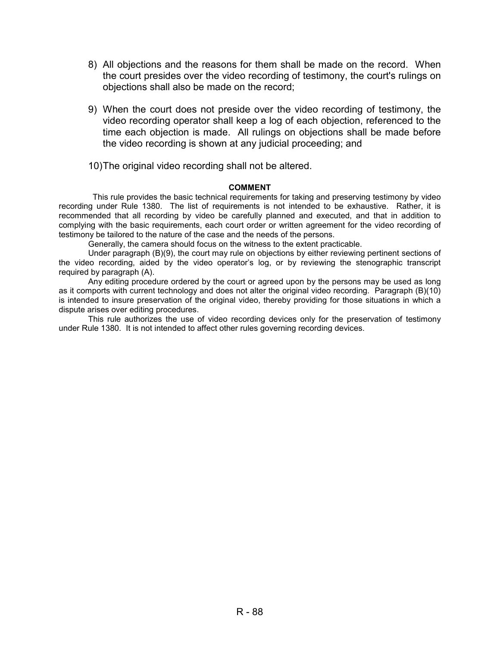- 8) All objections and the reasons for them shall be made on the record. When the court presides over the video recording of testimony, the court's rulings on objections shall also be made on the record;
- 9) When the court does not preside over the video recording of testimony, the video recording operator shall keep a log of each objection, referenced to the time each objection is made. All rulings on objections shall be made before the video recording is shown at any judicial proceeding; and

10) The original video recording shall not be altered.

#### **COMMENT**

 This rule provides the basic technical requirements for taking and preserving testimony by video recording under Rule 1380. The list of requirements is not intended to be exhaustive. Rather, it is recommended that all recording by video be carefully planned and executed, and that in addition to complying with the basic requirements, each court order or written agreement for the video recording of testimony be tailored to the nature of the case and the needs of the persons.

Generally, the camera should focus on the witness to the extent practicable.

Under paragraph (B)(9), the court may rule on objections by either reviewing pertinent sections of the video recording, aided by the video operator's log, or by reviewing the stenographic transcript required by paragraph (A).

Any editing procedure ordered by the court or agreed upon by the persons may be used as long as it comports with current technology and does not alter the original video recording. Paragraph (B)(10) is intended to insure preservation of the original video, thereby providing for those situations in which a dispute arises over editing procedures.

This rule authorizes the use of video recording devices only for the preservation of testimony under Rule 1380. It is not intended to affect other rules governing recording devices.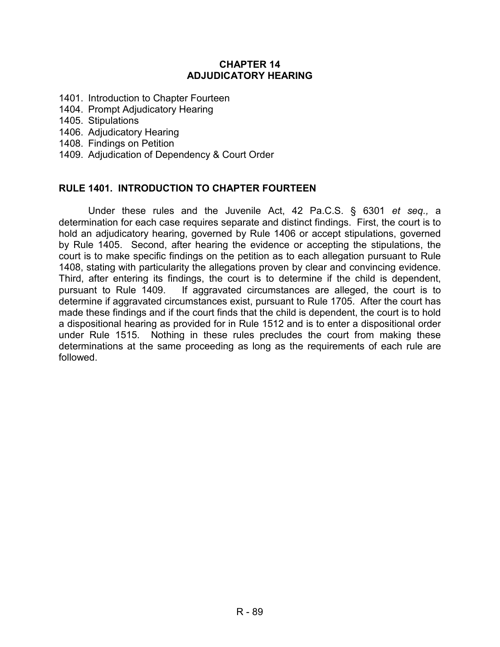# **CHAPTER 14 ADJUDICATORY HEARING**

- 1401. Introduction to Chapter Fourteen
- 1404. Prompt Adjudicatory Hearing
- 1405. Stipulations
- 1406. Adjudicatory Hearing
- 1408. Findings on Petition
- 1409. Adjudication of Dependency & Court Order

## **RULE 1401. INTRODUCTION TO CHAPTER FOURTEEN**

Under these rules and the Juvenile Act, 42 Pa.C.S. § 6301 *et seq.,* a determination for each case requires separate and distinct findings. First, the court is to hold an adjudicatory hearing, governed by Rule 1406 or accept stipulations, governed by Rule 1405. Second, after hearing the evidence or accepting the stipulations, the court is to make specific findings on the petition as to each allegation pursuant to Rule 1408, stating with particularity the allegations proven by clear and convincing evidence. Third, after entering its findings, the court is to determine if the child is dependent, pursuant to Rule 1409. If aggravated circumstances are alleged, the court is to determine if aggravated circumstances exist, pursuant to Rule 1705. After the court has made these findings and if the court finds that the child is dependent, the court is to hold a dispositional hearing as provided for in Rule 1512 and is to enter a dispositional order under Rule 1515.Nothing in these rules precludes the court from making these determinations at the same proceeding as long as the requirements of each rule are followed.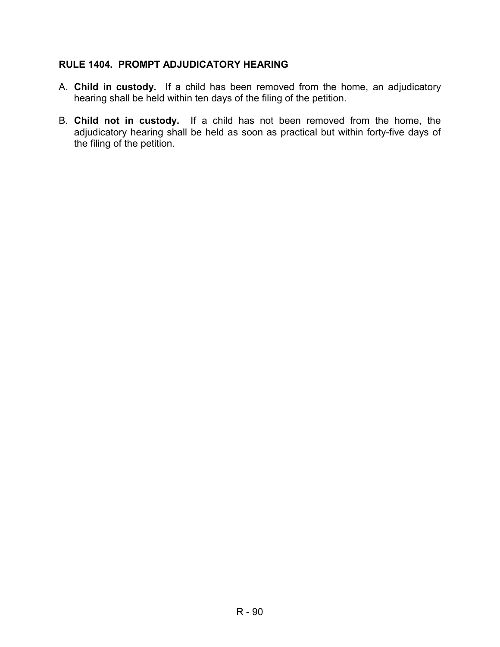# **RULE 1404. PROMPT ADJUDICATORY HEARING**

- A. **Child in custody.** If a child has been removed from the home, an adjudicatory hearing shall be held within ten days of the filing of the petition.
- B. **Child not in custody.** If a child has not been removed from the home, the adjudicatory hearing shall be held as soon as practical but within forty-five days of the filing of the petition.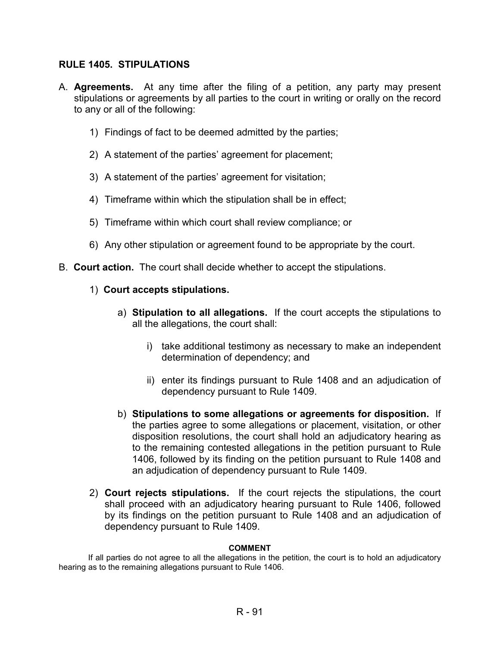# **RULE 1405. STIPULATIONS**

- A. **Agreements.** At any time after the filing of a petition, any party may present stipulations or agreements by all parties to the court in writing or orally on the record to any or all of the following:
	- 1) Findings of fact to be deemed admitted by the parties;
	- 2) A statement of the parties' agreement for placement;
	- 3) A statement of the parties' agreement for visitation;
	- 4) Timeframe within which the stipulation shall be in effect;
	- 5) Timeframe within which court shall review compliance; or
	- 6) Any other stipulation or agreement found to be appropriate by the court.
- B. **Court action.** The court shall decide whether to accept the stipulations.
	- 1) **Court accepts stipulations.** 
		- a) **Stipulation to all allegations.** If the court accepts the stipulations to all the allegations, the court shall:
			- i) take additional testimony as necessary to make an independent determination of dependency; and
			- ii) enter its findings pursuant to Rule 1408 and an adjudication of dependency pursuant to Rule 1409.
		- b) **Stipulations to some allegations or agreements for disposition.** If the parties agree to some allegations or placement, visitation, or other disposition resolutions, the court shall hold an adjudicatory hearing as to the remaining contested allegations in the petition pursuant to Rule 1406, followed by its finding on the petition pursuant to Rule 1408 and an adjudication of dependency pursuant to Rule 1409.
	- 2) **Court rejects stipulations.** If the court rejects the stipulations, the court shall proceed with an adjudicatory hearing pursuant to Rule 1406, followed by its findings on the petition pursuant to Rule 1408 and an adjudication of dependency pursuant to Rule 1409.

#### **COMMENT**

 If all parties do not agree to all the allegations in the petition, the court is to hold an adjudicatory hearing as to the remaining allegations pursuant to Rule 1406.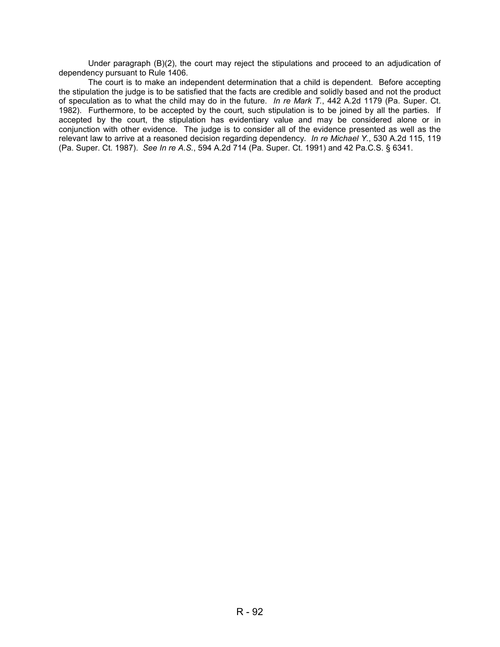Under paragraph (B)(2), the court may reject the stipulations and proceed to an adjudication of dependency pursuant to Rule 1406.

 The court is to make an independent determination that a child is dependent. Before accepting the stipulation the judge is to be satisfied that the facts are credible and solidly based and not the product of speculation as to what the child may do in the future. *In re Mark T.*, 442 A.2d 1179 (Pa. Super. Ct. 1982). Furthermore, to be accepted by the court, such stipulation is to be joined by all the parties. If accepted by the court, the stipulation has evidentiary value and may be considered alone or in conjunction with other evidence. The judge is to consider all of the evidence presented as well as the relevant law to arrive at a reasoned decision regarding dependency. *In re Michael Y.*, 530 A.2d 115, 119 (Pa. Super. Ct. 1987). *See In re A.S.*, 594 A.2d 714 (Pa. Super. Ct. 1991) and 42 Pa.C.S. § 6341.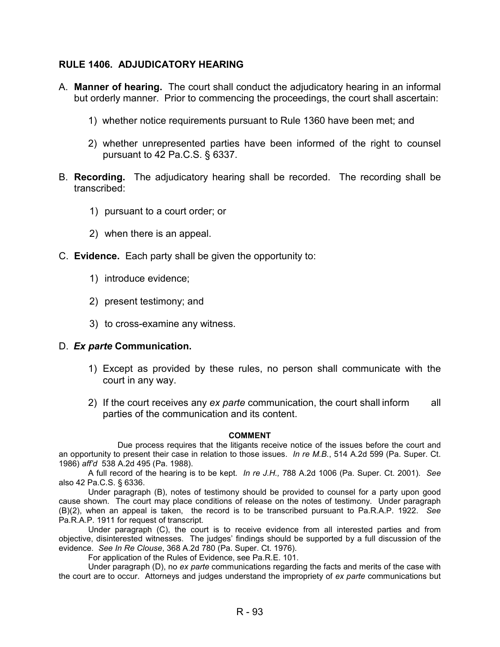# **RULE 1406. ADJUDICATORY HEARING**

- A. **Manner of hearing.** The court shall conduct the adjudicatory hearing in an informal but orderly manner. Prior to commencing the proceedings, the court shall ascertain:
	- 1) whether notice requirements pursuant to Rule 1360 have been met; and
	- 2) whether unrepresented parties have been informed of the right to counsel pursuant to 42 Pa.C.S. § 6337.
- B. **Recording.** The adjudicatory hearing shall be recorded. The recording shall be transcribed:
	- 1) pursuant to a court order; or
	- 2) when there is an appeal.
- C. **Evidence.** Each party shall be given the opportunity to:
	- 1) introduce evidence;
	- 2) present testimony; and
	- 3) to cross-examine any witness.

#### D. *Ex parte* **Communication.**

- 1) Except as provided by these rules, no person shall communicate with the court in any way.
- 2) If the court receives any *ex parte* communication, the court shall inform all parties of the communication and its content.

# **COMMENT**

 Due process requires that the litigants receive notice of the issues before the court and an opportunity to present their case in relation to those issues. *In re M.B.*, 514 A.2d 599 (Pa. Super. Ct. 1986) *aff'd* 538 A.2d 495 (Pa. 1988).

 A full record of the hearing is to be kept. *In re J.H.,* 788 A.2d 1006 (Pa. Super. Ct. 2001). *See*  also 42 Pa.C.S. § 6336.

 Under paragraph (B), notes of testimony should be provided to counsel for a party upon good cause shown. The court may place conditions of release on the notes of testimony. Under paragraph (B)(2), when an appeal is taken, the record is to be transcribed pursuant to Pa.R.A.P. 1922. *See*  Pa.R.A.P. 1911 for request of transcript.

Under paragraph (C), the court is to receive evidence from all interested parties and from objective, disinterested witnesses. The judges' findings should be supported by a full discussion of the evidence. *See In Re Clouse*, 368 A.2d 780 (Pa. Super. Ct. 1976).

For application of the Rules of Evidence, see Pa.R.E. 101.

Under paragraph (D), no *ex parte* communications regarding the facts and merits of the case with the court are to occur. Attorneys and judges understand the impropriety of *ex parte* communications but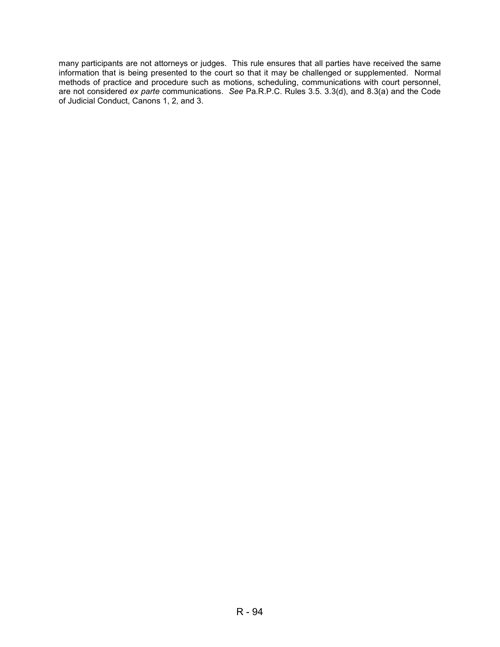many participants are not attorneys or judges. This rule ensures that all parties have received the same information that is being presented to the court so that it may be challenged or supplemented. Normal methods of practice and procedure such as motions, scheduling, communications with court personnel, are not considered *ex parte* communications. *See* Pa.R.P.C. Rules 3.5. 3.3(d), and 8.3(a) and the Code of Judicial Conduct, Canons 1, 2, and 3.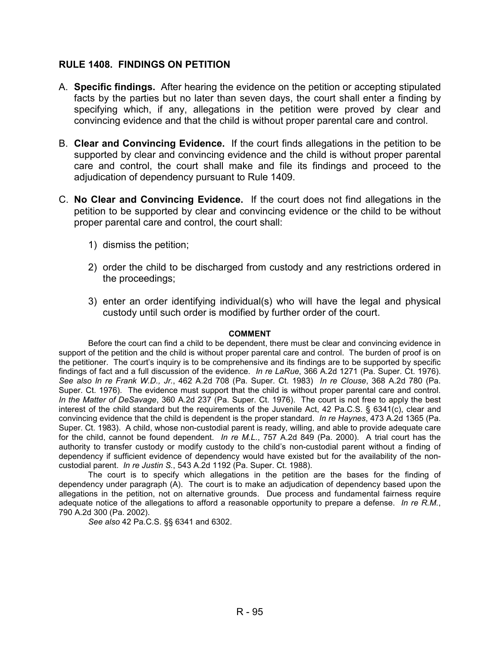# **RULE 1408. FINDINGS ON PETITION**

- A. **Specific findings.** After hearing the evidence on the petition or accepting stipulated facts by the parties but no later than seven days, the court shall enter a finding by specifying which, if any, allegations in the petition were proved by clear and convincing evidence and that the child is without proper parental care and control.
- B. **Clear and Convincing Evidence.** If the court finds allegations in the petition to be supported by clear and convincing evidence and the child is without proper parental care and control, the court shall make and file its findings and proceed to the adjudication of dependency pursuant to Rule 1409.
- C. **No Clear and Convincing Evidence.** If the court does not find allegations in the petition to be supported by clear and convincing evidence or the child to be without proper parental care and control, the court shall:
	- 1) dismiss the petition;
	- 2) order the child to be discharged from custody and any restrictions ordered in the proceedings;
	- 3) enter an order identifying individual(s) who will have the legal and physical custody until such order is modified by further order of the court.

#### **COMMENT**

 Before the court can find a child to be dependent, there must be clear and convincing evidence in support of the petition and the child is without proper parental care and control. The burden of proof is on the petitioner. The court's inquiry is to be comprehensive and its findings are to be supported by specific findings of fact and a full discussion of the evidence. *In re LaRue*, 366 A.2d 1271 (Pa. Super. Ct. 1976). *See also In re Frank W.D., Jr.*, 462 A.2d 708 (Pa. Super. Ct. 1983) *In re Clouse*, 368 A.2d 780 (Pa. Super. Ct. 1976). The evidence must support that the child is without proper parental care and control. *In the Matter of DeSavage*, 360 A.2d 237 (Pa. Super. Ct. 1976). The court is not free to apply the best interest of the child standard but the requirements of the Juvenile Act, 42 Pa.C.S. § 6341(c), clear and convincing evidence that the child is dependent is the proper standard. *In re Haynes*, 473 A.2d 1365 (Pa. Super. Ct. 1983). A child, whose non-custodial parent is ready, willing, and able to provide adequate care for the child, cannot be found dependent. *In re M.L.*, 757 A.2d 849 (Pa. 2000). A trial court has the authority to transfer custody or modify custody to the child's non-custodial parent without a finding of dependency if sufficient evidence of dependency would have existed but for the availability of the noncustodial parent. *In re Justin S.*, 543 A.2d 1192 (Pa. Super. Ct. 1988).

 The court is to specify which allegations in the petition are the bases for the finding of dependency under paragraph (A). The court is to make an adjudication of dependency based upon the allegations in the petition, not on alternative grounds. Due process and fundamental fairness require adequate notice of the allegations to afford a reasonable opportunity to prepare a defense. *In re R.M.*, 790 A.2d 300 (Pa. 2002).

*See also* 42 Pa.C.S. §§ 6341 and 6302.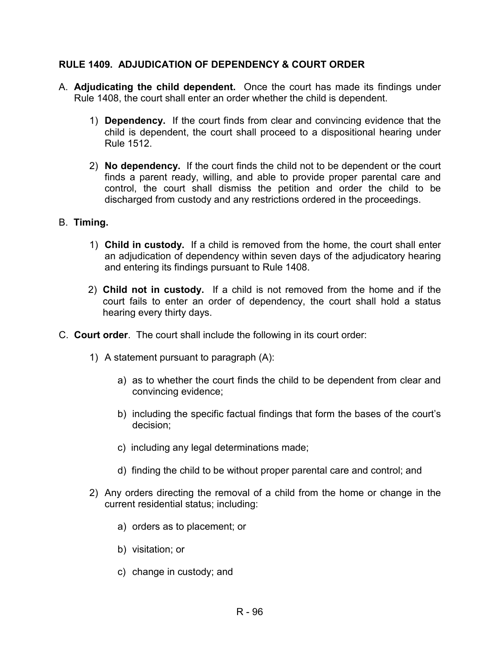# **RULE 1409. ADJUDICATION OF DEPENDENCY & COURT ORDER**

- A. **Adjudicating the child dependent.** Once the court has made its findings under Rule 1408, the court shall enter an order whether the child is dependent.
	- 1) **Dependency.** If the court finds from clear and convincing evidence that the child is dependent, the court shall proceed to a dispositional hearing under Rule 1512.
	- 2) **No dependency.** If the court finds the child not to be dependent or the court finds a parent ready, willing, and able to provide proper parental care and control, the court shall dismiss the petition and order the child to be discharged from custody and any restrictions ordered in the proceedings.

# B. **Timing.**

- 1) **Child in custody.** If a child is removed from the home, the court shall enter an adjudication of dependency within seven days of the adjudicatory hearing and entering its findings pursuant to Rule 1408.
- 2) **Child not in custody.** If a child is not removed from the home and if the court fails to enter an order of dependency, the court shall hold a status hearing every thirty days.
- C. **Court order**. The court shall include the following in its court order:
	- 1) A statement pursuant to paragraph (A):
		- a) as to whether the court finds the child to be dependent from clear and convincing evidence;
		- b) including the specific factual findings that form the bases of the court's decision;
		- c) including any legal determinations made;
		- d) finding the child to be without proper parental care and control; and
	- 2) Any orders directing the removal of a child from the home or change in the current residential status; including:
		- a) orders as to placement; or
		- b) visitation; or
		- c) change in custody; and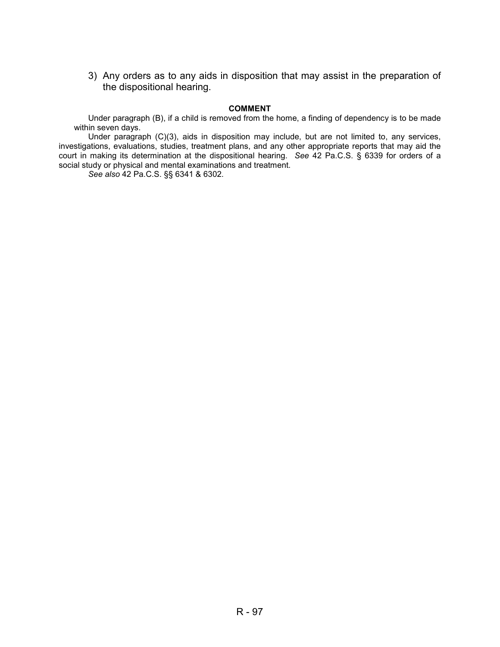3) Any orders as to any aids in disposition that may assist in the preparation of the dispositional hearing.

#### **COMMENT**

 Under paragraph (B), if a child is removed from the home, a finding of dependency is to be made within seven days.

Under paragraph (C)(3), aids in disposition may include, but are not limited to, any services, investigations, evaluations, studies, treatment plans, and any other appropriate reports that may aid the court in making its determination at the dispositional hearing. *See* 42 Pa.C.S. § 6339 for orders of a social study or physical and mental examinations and treatment.

*See also* 42 Pa.C.S. §§ 6341 & 6302.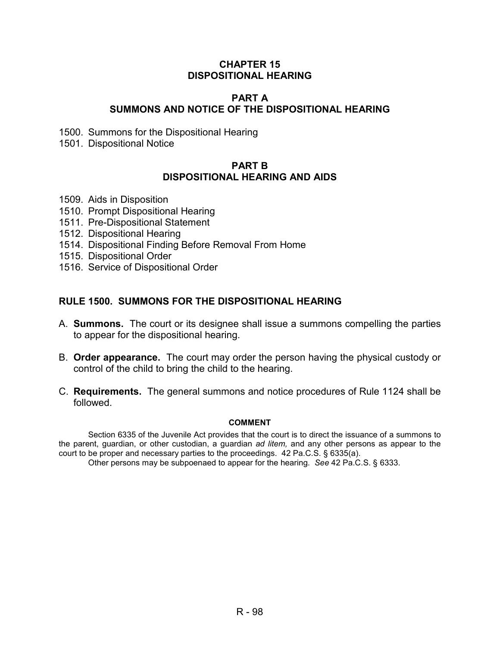## **CHAPTER 15 DISPOSITIONAL HEARING**

# **PART A SUMMONS AND NOTICE OF THE DISPOSITIONAL HEARING**

1500. Summons for the Dispositional Hearing

1501. Dispositional Notice

# **PART B DISPOSITIONAL HEARING AND AIDS**

- 1509. Aids in Disposition
- 1510. Prompt Dispositional Hearing
- 1511. Pre-Dispositional Statement
- 1512. Dispositional Hearing
- 1514. Dispositional Finding Before Removal From Home
- 1515. Dispositional Order
- 1516. Service of Dispositional Order

# **RULE 1500. SUMMONS FOR THE DISPOSITIONAL HEARING**

- A. **Summons.** The court or its designee shall issue a summons compelling the parties to appear for the dispositional hearing.
- B. **Order appearance.** The court may order the person having the physical custody or control of the child to bring the child to the hearing.
- C. **Requirements.** The general summons and notice procedures of Rule 1124 shall be followed.

#### **COMMENT**

Section 6335 of the Juvenile Act provides that the court is to direct the issuance of a summons to the parent, guardian, or other custodian, a guardian *ad litem,* and any other persons as appear to the court to be proper and necessary parties to the proceedings. 42 Pa.C.S. § 6335(a).

Other persons may be subpoenaed to appear for the hearing. *See* 42 Pa.C.S. § 6333.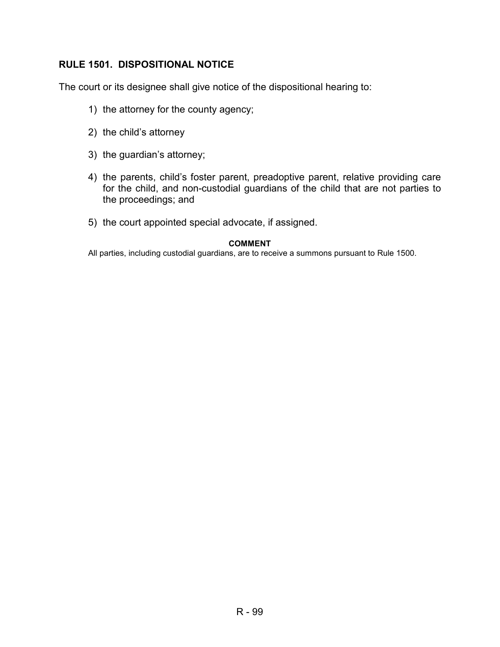# **RULE 1501. DISPOSITIONAL NOTICE**

The court or its designee shall give notice of the dispositional hearing to:

- 1) the attorney for the county agency;
- 2) the child's attorney
- 3) the guardian's attorney;
- 4) the parents, child's foster parent, preadoptive parent, relative providing care for the child, and non-custodial guardians of the child that are not parties to the proceedings; and
- 5) the court appointed special advocate, if assigned.

#### **COMMENT**

All parties, including custodial guardians, are to receive a summons pursuant to Rule 1500.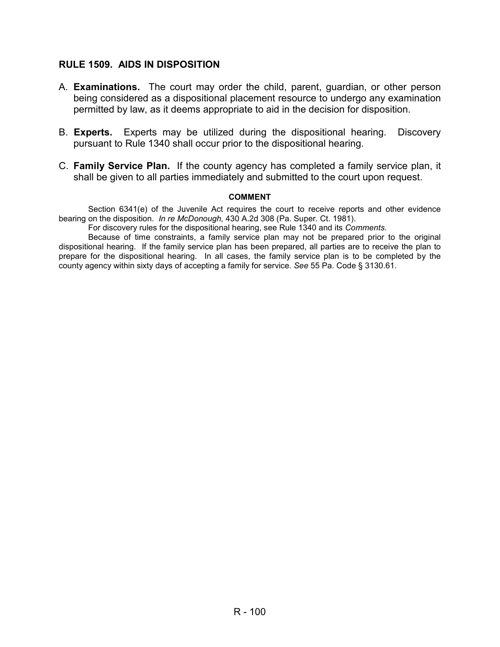# **RULE 1509. AIDS IN DISPOSITION**

- A. **Examinations.** The court may order the child, parent, guardian, or other person being considered as a dispositional placement resource to undergo any examination permitted by law, as it deems appropriate to aid in the decision for disposition.
- B. **Experts.** Experts may be utilized during the dispositional hearing. Discovery pursuant to Rule 1340 shall occur prior to the dispositional hearing.
- C. **Family Service Plan.** If the county agency has completed a family service plan, it shall be given to all parties immediately and submitted to the court upon request.

#### **COMMENT**

Section 6341(e) of the Juvenile Act requires the court to receive reports and other evidence bearing on the disposition. *In re McDonough,* 430 A.2d 308 (Pa. Super. Ct. 1981).

For discovery rules for the dispositional hearing, see Rule 1340 and its *Comments.* 

Because of time constraints, a family service plan may not be prepared prior to the original dispositional hearing. If the family service plan has been prepared, all parties are to receive the plan to prepare for the dispositional hearing. In all cases, the family service plan is to be completed by the county agency within sixty days of accepting a family for service. *See* 55 Pa. Code § 3130.61.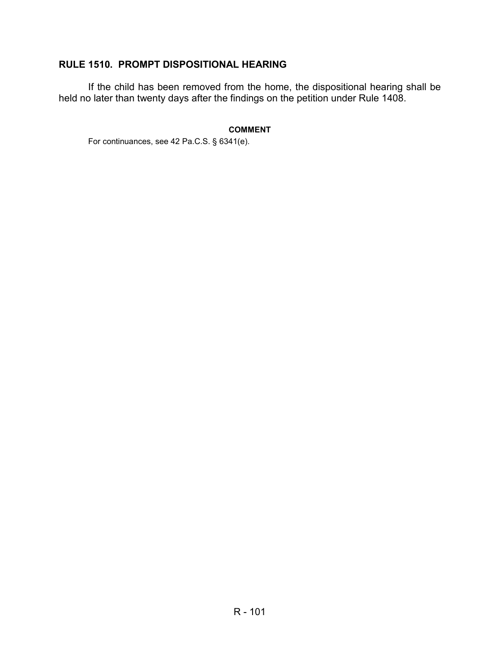# **RULE 1510. PROMPT DISPOSITIONAL HEARING**

If the child has been removed from the home, the dispositional hearing shall be held no later than twenty days after the findings on the petition under Rule 1408.

#### **COMMENT**

For continuances, see 42 Pa.C.S. § 6341(e).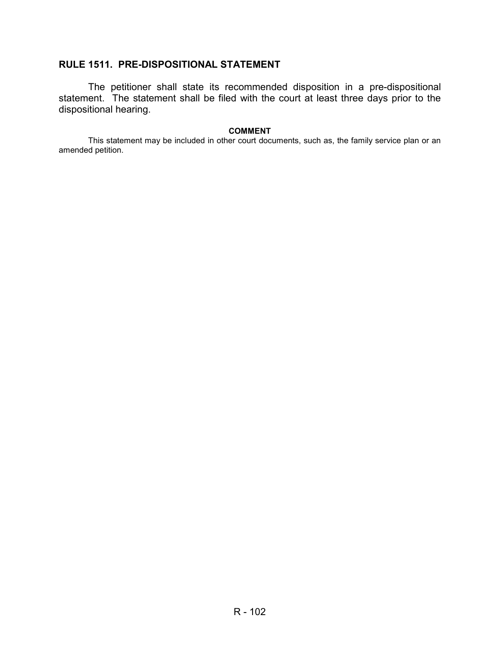# **RULE 1511. PRE-DISPOSITIONAL STATEMENT**

The petitioner shall state its recommended disposition in a pre-dispositional statement. The statement shall be filed with the court at least three days prior to the dispositional hearing.

#### **COMMENT**

This statement may be included in other court documents, such as, the family service plan or an amended petition.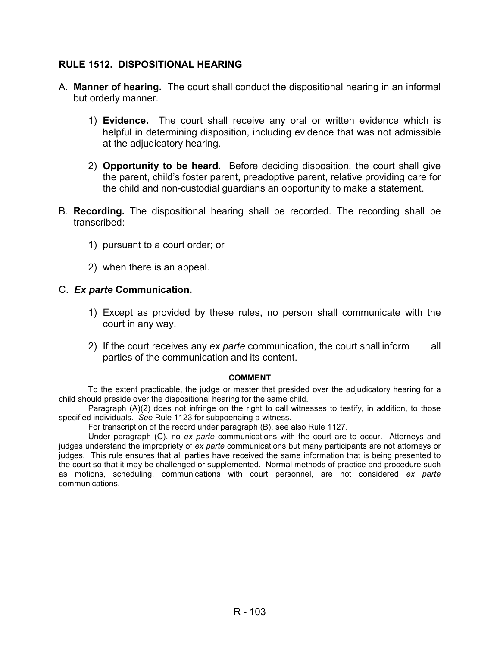# **RULE 1512. DISPOSITIONAL HEARING**

- A. **Manner of hearing.** The court shall conduct the dispositional hearing in an informal but orderly manner.
	- 1) **Evidence.** The court shall receive any oral or written evidence which is helpful in determining disposition, including evidence that was not admissible at the adjudicatory hearing.
	- 2) **Opportunity to be heard.** Before deciding disposition, the court shall give the parent, child's foster parent, preadoptive parent, relative providing care for the child and non-custodial guardians an opportunity to make a statement.
- B. **Recording.** The dispositional hearing shall be recorded. The recording shall be transcribed:
	- 1) pursuant to a court order; or
	- 2) when there is an appeal.

# C. *Ex parte* **Communication.**

- 1) Except as provided by these rules, no person shall communicate with the court in any way.
- 2) If the court receives any *ex parte* communication, the court shall inform all parties of the communication and its content.

### **COMMENT**

To the extent practicable, the judge or master that presided over the adjudicatory hearing for a child should preside over the dispositional hearing for the same child.

Paragraph (A)(2) does not infringe on the right to call witnesses to testify, in addition, to those specified individuals. *See* Rule 1123 for subpoenaing a witness.

For transcription of the record under paragraph (B), see also Rule 1127.

Under paragraph (C), no *ex parte* communications with the court are to occur. Attorneys and judges understand the impropriety of *ex parte* communications but many participants are not attorneys or judges. This rule ensures that all parties have received the same information that is being presented to the court so that it may be challenged or supplemented. Normal methods of practice and procedure such as motions, scheduling, communications with court personnel, are not considered *ex parte* communications.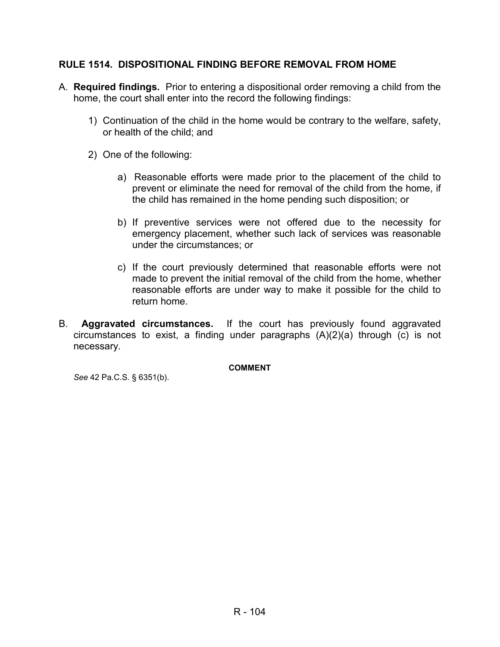# **RULE 1514. DISPOSITIONAL FINDING BEFORE REMOVAL FROM HOME**

- A. **Required findings.** Prior to entering a dispositional order removing a child from the home, the court shall enter into the record the following findings:
	- 1) Continuation of the child in the home would be contrary to the welfare, safety, or health of the child; and
	- 2) One of the following:
		- a) Reasonable efforts were made prior to the placement of the child to prevent or eliminate the need for removal of the child from the home, if the child has remained in the home pending such disposition; or
		- b) If preventive services were not offered due to the necessity for emergency placement, whether such lack of services was reasonable under the circumstances; or
		- c) If the court previously determined that reasonable efforts were not made to prevent the initial removal of the child from the home, whether reasonable efforts are under way to make it possible for the child to return home.
- B. **Aggravated circumstances.** If the court has previously found aggravated circumstances to exist, a finding under paragraphs (A)(2)(a) through (c) is not necessary.

**COMMENT** 

*See* 42 Pa.C.S. § 6351(b).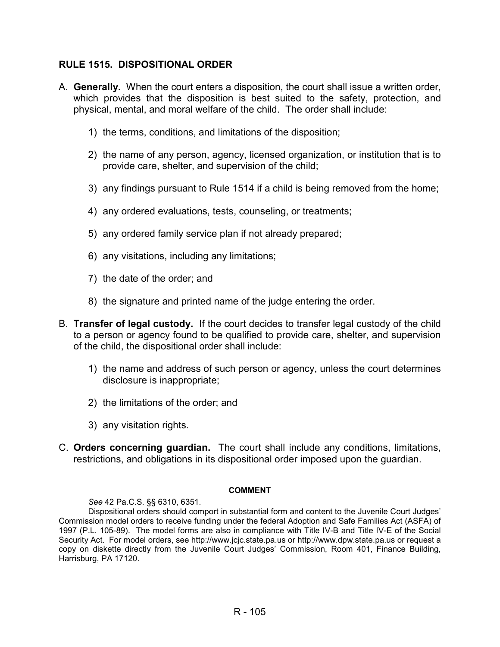# **RULE 1515. DISPOSITIONAL ORDER**

- A. **Generally.** When the court enters a disposition, the court shall issue a written order, which provides that the disposition is best suited to the safety, protection, and physical, mental, and moral welfare of the child. The order shall include:
	- 1) the terms, conditions, and limitations of the disposition;
	- 2) the name of any person, agency, licensed organization, or institution that is to provide care, shelter, and supervision of the child;
	- 3) any findings pursuant to Rule 1514 if a child is being removed from the home;
	- 4) any ordered evaluations, tests, counseling, or treatments;
	- 5) any ordered family service plan if not already prepared;
	- 6) any visitations, including any limitations;
	- 7) the date of the order; and
	- 8) the signature and printed name of the judge entering the order.
- B. **Transfer of legal custody.** If the court decides to transfer legal custody of the child to a person or agency found to be qualified to provide care, shelter, and supervision of the child, the dispositional order shall include:
	- 1) the name and address of such person or agency, unless the court determines disclosure is inappropriate;
	- 2) the limitations of the order; and
	- 3) any visitation rights.
- C. **Orders concerning guardian.** The court shall include any conditions, limitations, restrictions, and obligations in its dispositional order imposed upon the guardian.

#### **COMMENT**

#### *See* 42 Pa.C.S. §§ 6310, 6351.

Dispositional orders should comport in substantial form and content to the Juvenile Court Judges' Commission model orders to receive funding under the federal Adoption and Safe Families Act (ASFA) of 1997 (P.L. 105-89). The model forms are also in compliance with Title IV-B and Title IV-E of the Social Security Act. For model orders, see http://www.jcjc.state.pa.us or http://www.dpw.state.pa.us or request a copy on diskette directly from the Juvenile Court Judges' Commission, Room 401, Finance Building, Harrisburg, PA 17120.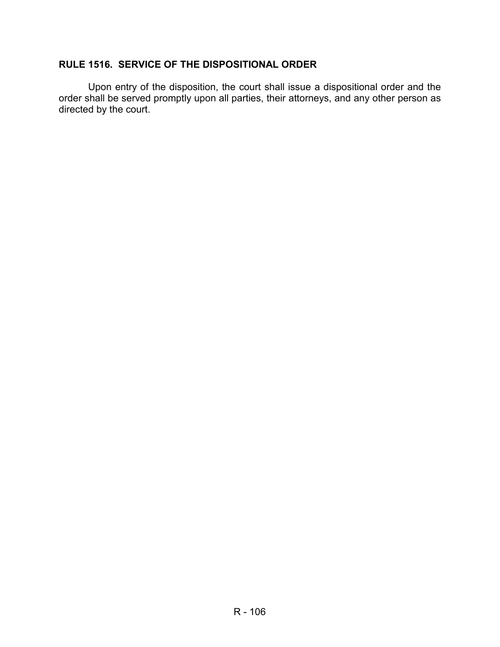# **RULE 1516. SERVICE OF THE DISPOSITIONAL ORDER**

Upon entry of the disposition, the court shall issue a dispositional order and the order shall be served promptly upon all parties, their attorneys, and any other person as directed by the court.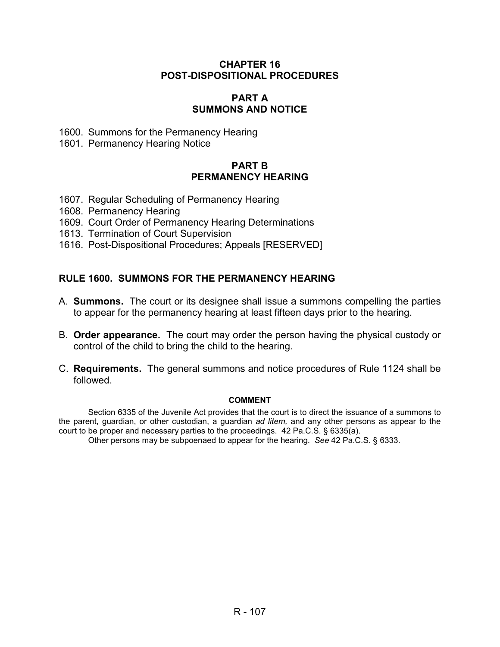## **CHAPTER 16 POST-DISPOSITIONAL PROCEDURES**

## **PART A SUMMONS AND NOTICE**

- 1600. Summons for the Permanency Hearing
- 1601. Permanency Hearing Notice

## **PART B PERMANENCY HEARING**

- 1607. Regular Scheduling of Permanency Hearing
- 1608. Permanency Hearing
- 1609. Court Order of Permanency Hearing Determinations
- 1613. Termination of Court Supervision
- 1616. Post-Dispositional Procedures; Appeals [RESERVED]

# **RULE 1600. SUMMONS FOR THE PERMANENCY HEARING**

- A. **Summons.** The court or its designee shall issue a summons compelling the parties to appear for the permanency hearing at least fifteen days prior to the hearing.
- B. **Order appearance.** The court may order the person having the physical custody or control of the child to bring the child to the hearing.
- C. **Requirements.** The general summons and notice procedures of Rule 1124 shall be followed.

#### **COMMENT**

Section 6335 of the Juvenile Act provides that the court is to direct the issuance of a summons to the parent, guardian, or other custodian, a guardian *ad litem,* and any other persons as appear to the court to be proper and necessary parties to the proceedings. 42 Pa.C.S. § 6335(a).

Other persons may be subpoenaed to appear for the hearing. *See* 42 Pa.C.S. § 6333.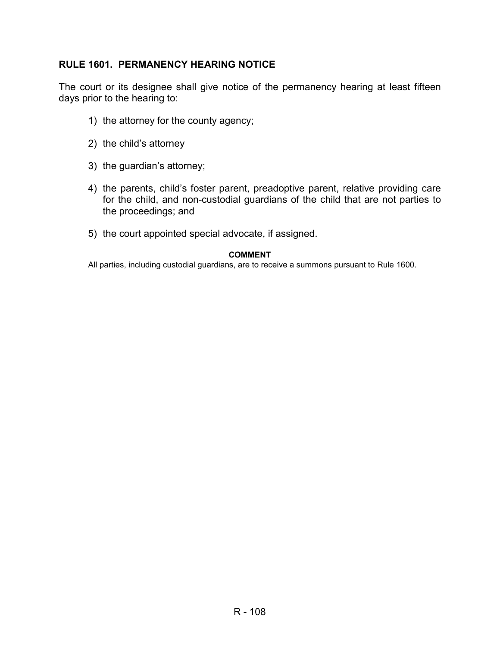# **RULE 1601. PERMANENCY HEARING NOTICE**

The court or its designee shall give notice of the permanency hearing at least fifteen days prior to the hearing to:

- 1) the attorney for the county agency;
- 2) the child's attorney
- 3) the guardian's attorney;
- 4) the parents, child's foster parent, preadoptive parent, relative providing care for the child, and non-custodial guardians of the child that are not parties to the proceedings; and
- 5) the court appointed special advocate, if assigned.

#### **COMMENT**

All parties, including custodial guardians, are to receive a summons pursuant to Rule 1600.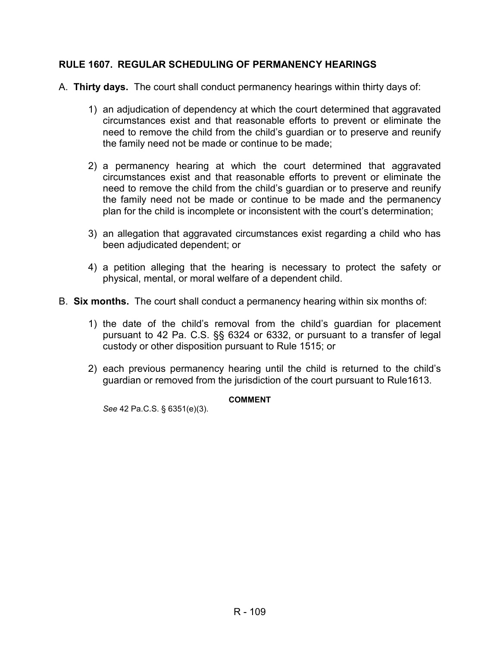### **RULE 1607. REGULAR SCHEDULING OF PERMANENCY HEARINGS**

- A. **Thirty days.** The court shall conduct permanency hearings within thirty days of:
	- 1) an adjudication of dependency at which the court determined that aggravated circumstances exist and that reasonable efforts to prevent or eliminate the need to remove the child from the child's guardian or to preserve and reunify the family need not be made or continue to be made;
	- 2) a permanency hearing at which the court determined that aggravated circumstances exist and that reasonable efforts to prevent or eliminate the need to remove the child from the child's guardian or to preserve and reunify the family need not be made or continue to be made and the permanency plan for the child is incomplete or inconsistent with the court's determination;
	- 3) an allegation that aggravated circumstances exist regarding a child who has been adjudicated dependent; or
	- 4) a petition alleging that the hearing is necessary to protect the safety or physical, mental, or moral welfare of a dependent child.
- B. **Six months.** The court shall conduct a permanency hearing within six months of:
	- 1) the date of the child's removal from the child's guardian for placement pursuant to 42 Pa. C.S. §§ 6324 or 6332, or pursuant to a transfer of legal custody or other disposition pursuant to Rule 1515; or
	- 2) each previous permanency hearing until the child is returned to the child's guardian or removed from the jurisdiction of the court pursuant to Rule1613.

#### **COMMENT**

*See* 42 Pa.C.S. § 6351(e)(3).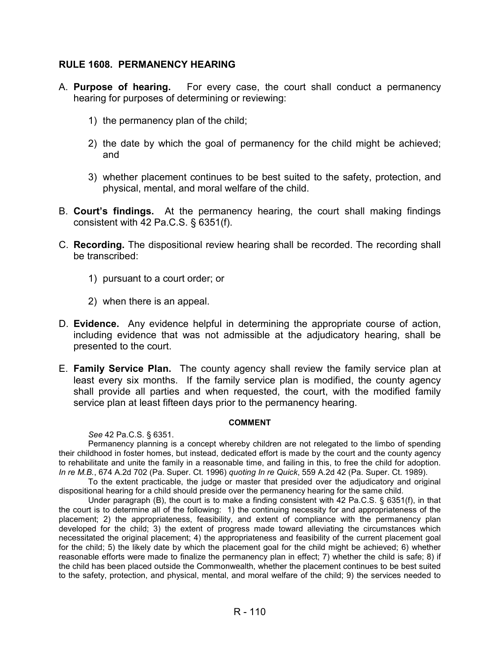#### **RULE 1608. PERMANENCY HEARING**

- A. **Purpose of hearing.** For every case, the court shall conduct a permanency hearing for purposes of determining or reviewing:
	- 1) the permanency plan of the child;
	- 2) the date by which the goal of permanency for the child might be achieved; and
	- 3) whether placement continues to be best suited to the safety, protection, and physical, mental, and moral welfare of the child.
- B. **Court's findings.** At the permanency hearing, the court shall making findings consistent with 42 Pa.C.S. § 6351(f).
- C. **Recording.** The dispositional review hearing shall be recorded. The recording shall be transcribed:
	- 1) pursuant to a court order; or
	- 2) when there is an appeal.
- D. **Evidence.** Any evidence helpful in determining the appropriate course of action, including evidence that was not admissible at the adjudicatory hearing, shall be presented to the court.
- E. **Family Service Plan.** The county agency shall review the family service plan at least every six months. If the family service plan is modified, the county agency shall provide all parties and when requested, the court, with the modified family service plan at least fifteen days prior to the permanency hearing.

#### **COMMENT**

*See* 42 Pa.C.S. § 6351.

 Permanency planning is a concept whereby children are not relegated to the limbo of spending their childhood in foster homes, but instead, dedicated effort is made by the court and the county agency to rehabilitate and unite the family in a reasonable time, and failing in this, to free the child for adoption. *In re M.B.*, 674 A.2d 702 (Pa. Super. Ct. 1996) *quoting In re Quick*, 559 A.2d 42 (Pa. Super. Ct. 1989).

To the extent practicable, the judge or master that presided over the adjudicatory and original dispositional hearing for a child should preside over the permanency hearing for the same child.

Under paragraph (B), the court is to make a finding consistent with 42 Pa.C.S. § 6351(f), in that the court is to determine all of the following: 1) the continuing necessity for and appropriateness of the placement; 2) the appropriateness, feasibility, and extent of compliance with the permanency plan developed for the child; 3) the extent of progress made toward alleviating the circumstances which necessitated the original placement; 4) the appropriateness and feasibility of the current placement goal for the child; 5) the likely date by which the placement goal for the child might be achieved; 6) whether reasonable efforts were made to finalize the permanency plan in effect; 7) whether the child is safe; 8) if the child has been placed outside the Commonwealth, whether the placement continues to be best suited to the safety, protection, and physical, mental, and moral welfare of the child; 9) the services needed to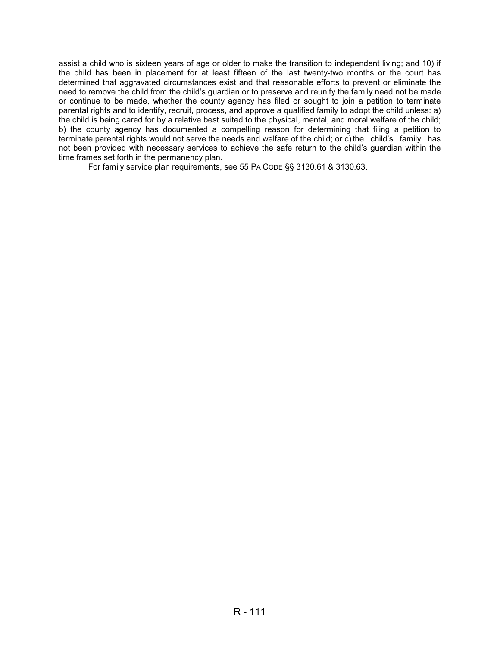assist a child who is sixteen years of age or older to make the transition to independent living; and 10) if the child has been in placement for at least fifteen of the last twenty-two months or the court has determined that aggravated circumstances exist and that reasonable efforts to prevent or eliminate the need to remove the child from the child's guardian or to preserve and reunify the family need not be made or continue to be made, whether the county agency has filed or sought to join a petition to terminate parental rights and to identify, recruit, process, and approve a qualified family to adopt the child unless: a) the child is being cared for by a relative best suited to the physical, mental, and moral welfare of the child; b) the county agency has documented a compelling reason for determining that filing a petition to terminate parental rights would not serve the needs and welfare of the child; or c) the child's family has not been provided with necessary services to achieve the safe return to the child's guardian within the time frames set forth in the permanency plan.

For family service plan requirements, see 55 PA CODE §§ 3130.61 & 3130.63.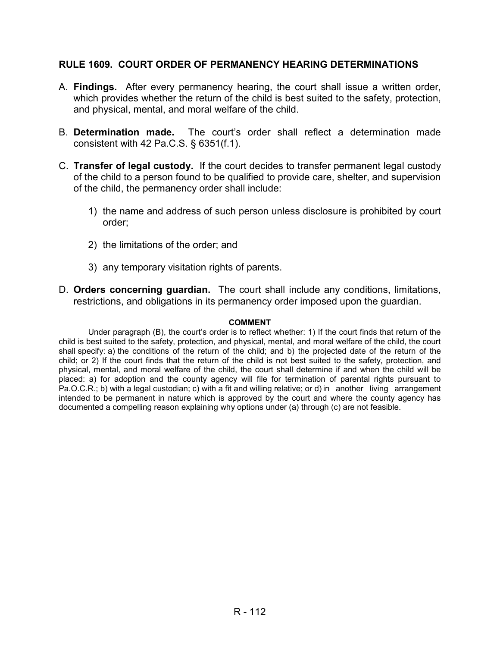#### **RULE 1609. COURT ORDER OF PERMANENCY HEARING DETERMINATIONS**

- A. **Findings.** After every permanency hearing, the court shall issue a written order, which provides whether the return of the child is best suited to the safety, protection, and physical, mental, and moral welfare of the child.
- B. **Determination made.** The court's order shall reflect a determination made consistent with 42 Pa.C.S. § 6351(f.1).
- C. **Transfer of legal custody.** If the court decides to transfer permanent legal custody of the child to a person found to be qualified to provide care, shelter, and supervision of the child, the permanency order shall include:
	- 1) the name and address of such person unless disclosure is prohibited by court order;
	- 2) the limitations of the order; and
	- 3) any temporary visitation rights of parents.
- D. **Orders concerning guardian.** The court shall include any conditions, limitations, restrictions, and obligations in its permanency order imposed upon the guardian.

#### **COMMENT**

 Under paragraph (B), the court's order is to reflect whether: 1) If the court finds that return of the child is best suited to the safety, protection, and physical, mental, and moral welfare of the child, the court shall specify: a) the conditions of the return of the child; and b) the projected date of the return of the child; or 2) If the court finds that the return of the child is not best suited to the safety, protection, and physical, mental, and moral welfare of the child, the court shall determine if and when the child will be placed: a) for adoption and the county agency will file for termination of parental rights pursuant to Pa.O.C.R.; b) with a legal custodian; c) with a fit and willing relative; or d) in another living arrangement intended to be permanent in nature which is approved by the court and where the county agency has documented a compelling reason explaining why options under (a) through (c) are not feasible.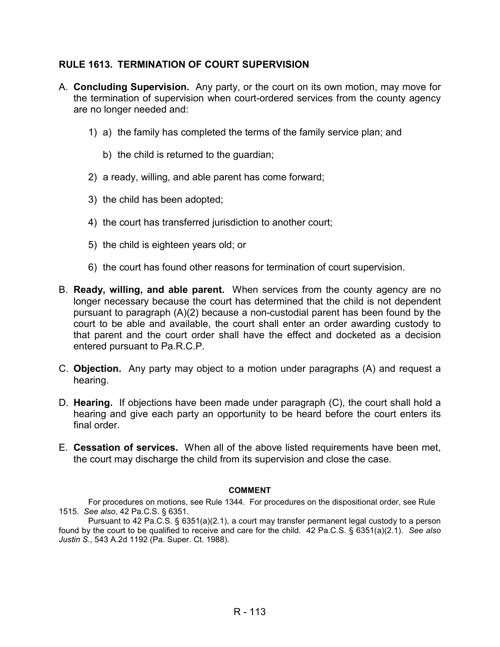### **RULE 1613. TERMINATION OF COURT SUPERVISION**

- A. **Concluding Supervision.** Any party, or the court on its own motion, may move for the termination of supervision when court-ordered services from the county agency are no longer needed and:
	- 1) a) the family has completed the terms of the family service plan; and
		- b) the child is returned to the guardian;
	- 2) a ready, willing, and able parent has come forward;
	- 3) the child has been adopted;
	- 4) the court has transferred jurisdiction to another court;
	- 5) the child is eighteen years old; or
	- 6) the court has found other reasons for termination of court supervision.
- B. **Ready, willing, and able parent.** When services from the county agency are no longer necessary because the court has determined that the child is not dependent pursuant to paragraph (A)(2) because a non-custodial parent has been found by the court to be able and available, the court shall enter an order awarding custody to that parent and the court order shall have the effect and docketed as a decision entered pursuant to Pa.R.C.P.
- C. **Objection.** Any party may object to a motion under paragraphs (A) and request a hearing.
- D. **Hearing.** If objections have been made under paragraph (C), the court shall hold a hearing and give each party an opportunity to be heard before the court enters its final order.
- E. **Cessation of services.** When all of the above listed requirements have been met, the court may discharge the child from its supervision and close the case.

#### **COMMENT**

For procedures on motions, see Rule 1344. For procedures on the dispositional order, see Rule 1515. *See also*, 42 Pa.C.S. § 6351.

Pursuant to 42 Pa.C.S. § 6351(a)(2.1), a court may transfer permanent legal custody to a person found by the court to be qualified to receive and care for the child. 42 Pa.C.S. § 6351(a)(2.1). *See also Justin S.*, 543 A.2d 1192 (Pa. Super. Ct. 1988).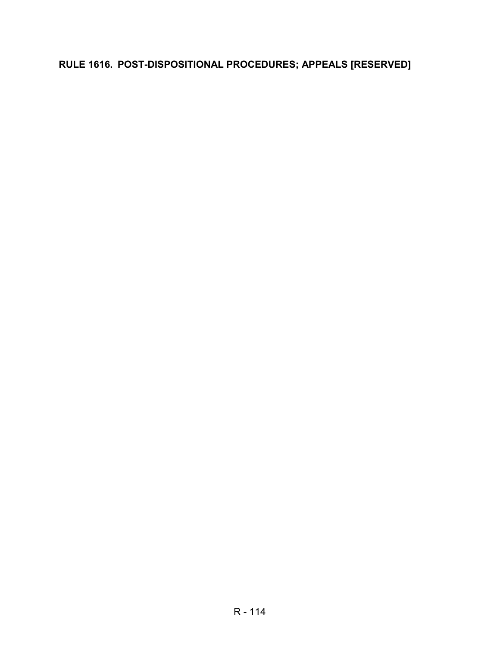# **RULE 1616. POST-DISPOSITIONAL PROCEDURES; APPEALS [RESERVED]**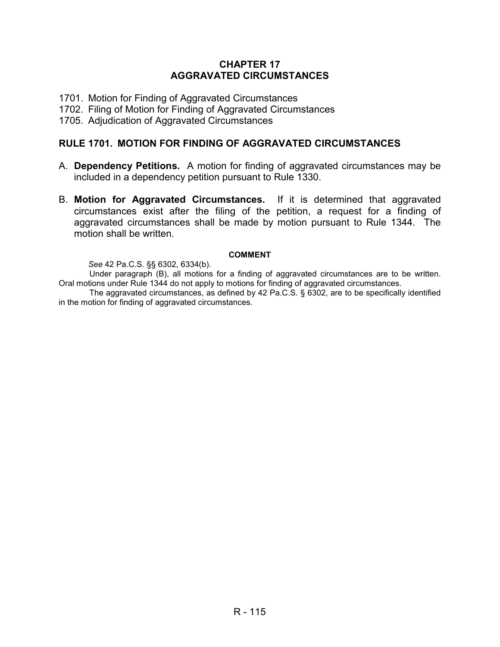### **CHAPTER 17 AGGRAVATED CIRCUMSTANCES**

- 1701. Motion for Finding of Aggravated Circumstances
- 1702. Filing of Motion for Finding of Aggravated Circumstances
- 1705. Adjudication of Aggravated Circumstances

### **RULE 1701. MOTION FOR FINDING OF AGGRAVATED CIRCUMSTANCES**

- A. **Dependency Petitions.** A motion for finding of aggravated circumstances may be included in a dependency petition pursuant to Rule 1330.
- B. **Motion for Aggravated Circumstances.** If it is determined that aggravated circumstances exist after the filing of the petition, a request for a finding of aggravated circumstances shall be made by motion pursuant to Rule 1344. The motion shall be written.

#### **COMMENT**

*See* 42 Pa.C.S. §§ 6302, 6334(b).

Under paragraph (B), all motions for a finding of aggravated circumstances are to be written. Oral motions under Rule 1344 do not apply to motions for finding of aggravated circumstances.

The aggravated circumstances, as defined by 42 Pa.C.S. § 6302, are to be specifically identified in the motion for finding of aggravated circumstances.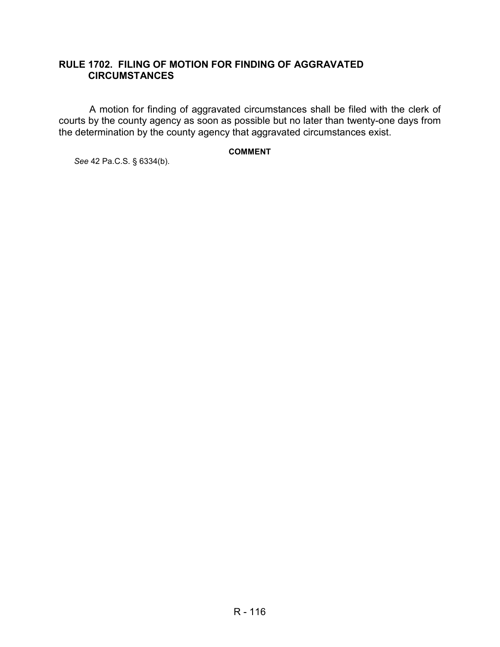### **RULE 1702. FILING OF MOTION FOR FINDING OF AGGRAVATED CIRCUMSTANCES**

A motion for finding of aggravated circumstances shall be filed with the clerk of courts by the county agency as soon as possible but no later than twenty-one days from the determination by the county agency that aggravated circumstances exist.

### **COMMENT**

*See* 42 Pa.C.S. § 6334(b).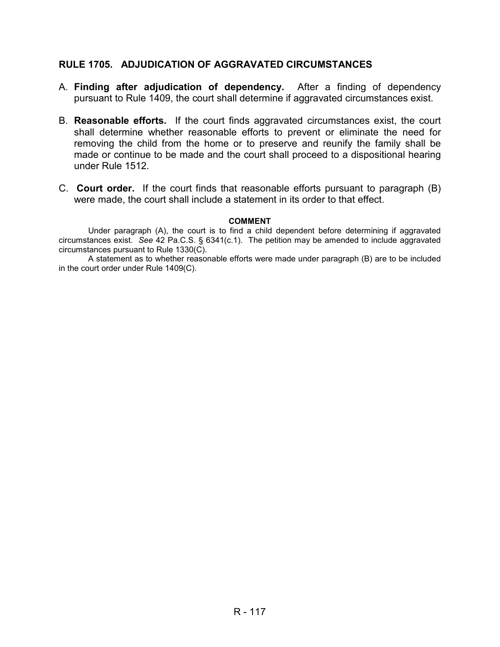### **RULE 1705. ADJUDICATION OF AGGRAVATED CIRCUMSTANCES**

- A. **Finding after adjudication of dependency.** After a finding of dependency pursuant to Rule 1409, the court shall determine if aggravated circumstances exist.
- B. **Reasonable efforts.** If the court finds aggravated circumstances exist, the court shall determine whether reasonable efforts to prevent or eliminate the need for removing the child from the home or to preserve and reunify the family shall be made or continue to be made and the court shall proceed to a dispositional hearing under Rule 1512.
- C. **Court order.** If the court finds that reasonable efforts pursuant to paragraph (B) were made, the court shall include a statement in its order to that effect.

#### **COMMENT**

 Under paragraph (A), the court is to find a child dependent before determining if aggravated circumstances exist. *See* 42 Pa.C.S. § 6341(c.1). The petition may be amended to include aggravated circumstances pursuant to Rule 1330(C).

A statement as to whether reasonable efforts were made under paragraph (B) are to be included in the court order under Rule 1409(C).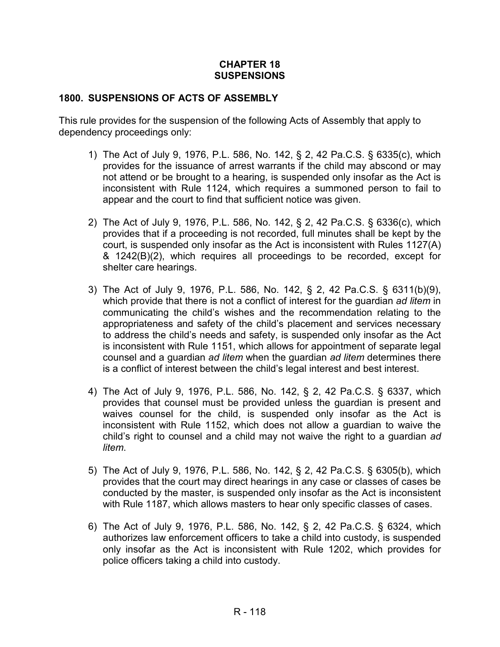#### **CHAPTER 18 SUSPENSIONS**

### **1800. SUSPENSIONS OF ACTS OF ASSEMBLY**

This rule provides for the suspension of the following Acts of Assembly that apply to dependency proceedings only:

- 1) The Act of July 9, 1976, P.L. 586, No. 142, § 2, 42 Pa.C.S. § 6335(c), which provides for the issuance of arrest warrants if the child may abscond or may not attend or be brought to a hearing, is suspended only insofar as the Act is inconsistent with Rule 1124, which requires a summoned person to fail to appear and the court to find that sufficient notice was given.
- 2) The Act of July 9, 1976, P.L. 586, No. 142, § 2, 42 Pa.C.S. § 6336(c), which provides that if a proceeding is not recorded, full minutes shall be kept by the court, is suspended only insofar as the Act is inconsistent with Rules 1127(A) & 1242(B)(2), which requires all proceedings to be recorded, except for shelter care hearings.
- 3) The Act of July 9, 1976, P.L. 586, No. 142, § 2, 42 Pa.C.S. § 6311(b)(9), which provide that there is not a conflict of interest for the guardian *ad litem* in communicating the child's wishes and the recommendation relating to the appropriateness and safety of the child's placement and services necessary to address the child's needs and safety, is suspended only insofar as the Act is inconsistent with Rule 1151, which allows for appointment of separate legal counsel and a guardian *ad litem* when the guardian *ad litem* determines there is a conflict of interest between the child's legal interest and best interest.
- 4) The Act of July 9, 1976, P.L. 586, No. 142, § 2, 42 Pa.C.S. § 6337, which provides that counsel must be provided unless the guardian is present and waives counsel for the child, is suspended only insofar as the Act is inconsistent with Rule 1152, which does not allow a guardian to waive the child's right to counsel and a child may not waive the right to a guardian *ad litem*.
- 5) The Act of July 9, 1976, P.L. 586, No. 142, § 2, 42 Pa.C.S. § 6305(b), which provides that the court may direct hearings in any case or classes of cases be conducted by the master, is suspended only insofar as the Act is inconsistent with Rule 1187, which allows masters to hear only specific classes of cases.
- 6) The Act of July 9, 1976, P.L. 586, No. 142, § 2, 42 Pa.C.S. § 6324, which authorizes law enforcement officers to take a child into custody, is suspended only insofar as the Act is inconsistent with Rule 1202, which provides for police officers taking a child into custody.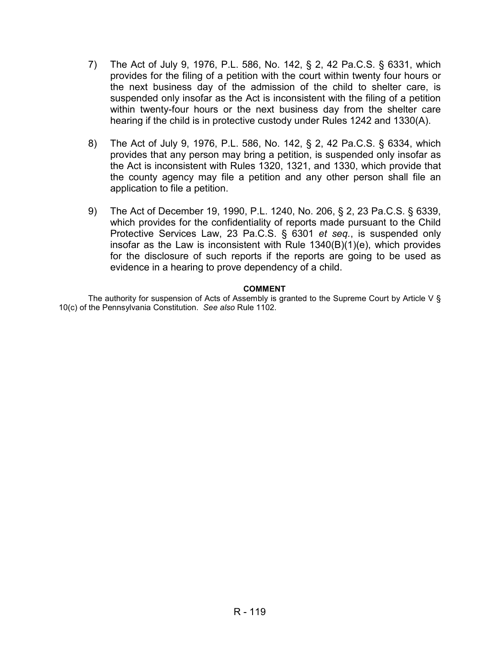- 7) The Act of July 9, 1976, P.L. 586, No. 142, § 2, 42 Pa.C.S. § 6331, which provides for the filing of a petition with the court within twenty four hours or the next business day of the admission of the child to shelter care, is suspended only insofar as the Act is inconsistent with the filing of a petition within twenty-four hours or the next business day from the shelter care hearing if the child is in protective custody under Rules 1242 and 1330(A).
- 8) The Act of July 9, 1976, P.L. 586, No. 142, § 2, 42 Pa.C.S. § 6334, which provides that any person may bring a petition, is suspended only insofar as the Act is inconsistent with Rules 1320, 1321, and 1330, which provide that the county agency may file a petition and any other person shall file an application to file a petition.
- 9) The Act of December 19, 1990, P.L. 1240, No. 206, § 2, 23 Pa.C.S. § 6339, which provides for the confidentiality of reports made pursuant to the Child Protective Services Law, 23 Pa.C.S. § 6301 *et seq.*, is suspended only insofar as the Law is inconsistent with Rule 1340(B)(1)(e), which provides for the disclosure of such reports if the reports are going to be used as evidence in a hearing to prove dependency of a child.

#### **COMMENT**

The authority for suspension of Acts of Assembly is granted to the Supreme Court by Article V § 10(c) of the Pennsylvania Constitution. *See also* Rule 1102.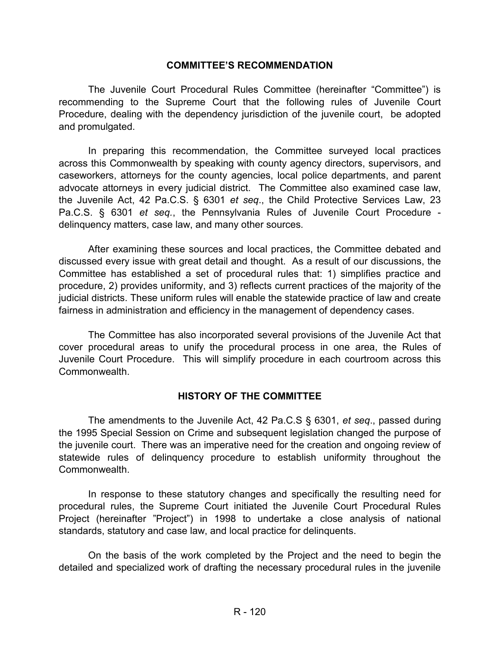#### **COMMITTEE'S RECOMMENDATION**

The Juvenile Court Procedural Rules Committee (hereinafter "Committee") is recommending to the Supreme Court that the following rules of Juvenile Court Procedure, dealing with the dependency jurisdiction of the juvenile court, be adopted and promulgated.

In preparing this recommendation, the Committee surveyed local practices across this Commonwealth by speaking with county agency directors, supervisors, and caseworkers, attorneys for the county agencies, local police departments, and parent advocate attorneys in every judicial district. The Committee also examined case law, the Juvenile Act, 42 Pa.C.S. § 6301 *et seq*., the Child Protective Services Law, 23 Pa.C.S. § 6301 *et seq.*, the Pennsylvania Rules of Juvenile Court Procedure delinquency matters, case law, and many other sources*.* 

After examining these sources and local practices, the Committee debated and discussed every issue with great detail and thought. As a result of our discussions, the Committee has established a set of procedural rules that: 1) simplifies practice and procedure, 2) provides uniformity, and 3) reflects current practices of the majority of the judicial districts. These uniform rules will enable the statewide practice of law and create fairness in administration and efficiency in the management of dependency cases.

The Committee has also incorporated several provisions of the Juvenile Act that cover procedural areas to unify the procedural process in one area, the Rules of Juvenile Court Procedure. This will simplify procedure in each courtroom across this Commonwealth.

### **HISTORY OF THE COMMITTEE**

The amendments to the Juvenile Act, 42 Pa.C.S § 6301, *et seq*., passed during the 1995 Special Session on Crime and subsequent legislation changed the purpose of the juvenile court. There was an imperative need for the creation and ongoing review of statewide rules of delinquency procedure to establish uniformity throughout the Commonwealth.

In response to these statutory changes and specifically the resulting need for procedural rules, the Supreme Court initiated the Juvenile Court Procedural Rules Project (hereinafter "Project") in 1998 to undertake a close analysis of national standards, statutory and case law, and local practice for delinquents.

On the basis of the work completed by the Project and the need to begin the detailed and specialized work of drafting the necessary procedural rules in the juvenile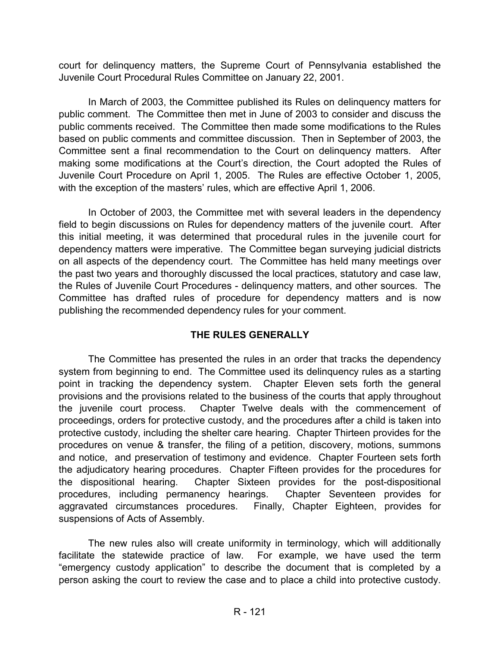court for delinquency matters, the Supreme Court of Pennsylvania established the Juvenile Court Procedural Rules Committee on January 22, 2001.

In March of 2003, the Committee published its Rules on delinquency matters for public comment. The Committee then met in June of 2003 to consider and discuss the public comments received. The Committee then made some modifications to the Rules based on public comments and committee discussion. Then in September of 2003, the Committee sent a final recommendation to the Court on delinquency matters. After making some modifications at the Court's direction, the Court adopted the Rules of Juvenile Court Procedure on April 1, 2005. The Rules are effective October 1, 2005, with the exception of the masters' rules, which are effective April 1, 2006.

In October of 2003, the Committee met with several leaders in the dependency field to begin discussions on Rules for dependency matters of the juvenile court. After this initial meeting, it was determined that procedural rules in the juvenile court for dependency matters were imperative. The Committee began surveying judicial districts on all aspects of the dependency court. The Committee has held many meetings over the past two years and thoroughly discussed the local practices, statutory and case law, the Rules of Juvenile Court Procedures - delinquency matters, and other sources. The Committee has drafted rules of procedure for dependency matters and is now publishing the recommended dependency rules for your comment.

# **THE RULES GENERALLY**

The Committee has presented the rules in an order that tracks the dependency system from beginning to end. The Committee used its delinquency rules as a starting point in tracking the dependency system. Chapter Eleven sets forth the general provisions and the provisions related to the business of the courts that apply throughout the juvenile court process. Chapter Twelve deals with the commencement of proceedings, orders for protective custody, and the procedures after a child is taken into protective custody, including the shelter care hearing. Chapter Thirteen provides for the procedures on venue & transfer, the filing of a petition, discovery, motions, summons and notice, and preservation of testimony and evidence. Chapter Fourteen sets forth the adjudicatory hearing procedures. Chapter Fifteen provides for the procedures for the dispositional hearing. Chapter Sixteen provides for the post-dispositional procedures, including permanency hearings. Chapter Seventeen provides for aggravated circumstances procedures. Finally, Chapter Eighteen, provides for suspensions of Acts of Assembly.

The new rules also will create uniformity in terminology, which will additionally facilitate the statewide practice of law. For example, we have used the term "emergency custody application" to describe the document that is completed by a person asking the court to review the case and to place a child into protective custody.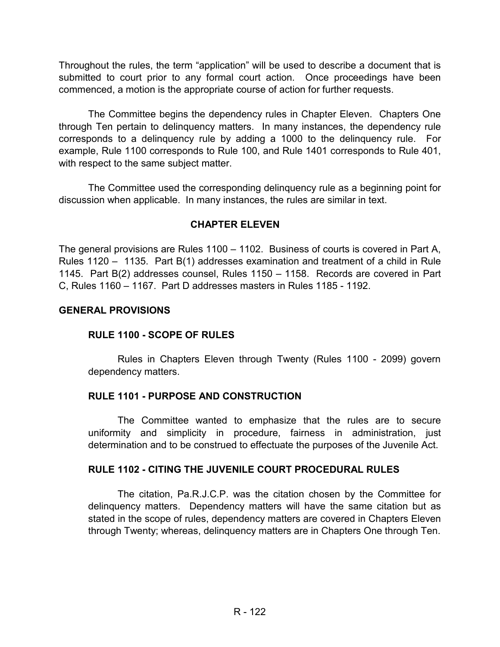Throughout the rules, the term "application" will be used to describe a document that is submitted to court prior to any formal court action. Once proceedings have been commenced, a motion is the appropriate course of action for further requests.

The Committee begins the dependency rules in Chapter Eleven. Chapters One through Ten pertain to delinquency matters. In many instances, the dependency rule corresponds to a delinquency rule by adding a 1000 to the delinquency rule. For example, Rule 1100 corresponds to Rule 100, and Rule 1401 corresponds to Rule 401, with respect to the same subject matter.

The Committee used the corresponding delinquency rule as a beginning point for discussion when applicable. In many instances, the rules are similar in text.

# **CHAPTER ELEVEN**

The general provisions are Rules 1100 – 1102. Business of courts is covered in Part A, Rules 1120 – 1135. Part B(1) addresses examination and treatment of a child in Rule 1145. Part B(2) addresses counsel, Rules 1150 – 1158. Records are covered in Part C, Rules 1160 – 1167. Part D addresses masters in Rules 1185 - 1192.

### **GENERAL PROVISIONS**

# **RULE 1100 - SCOPE OF RULES**

Rules in Chapters Eleven through Twenty (Rules 1100 - 2099) govern dependency matters.

### **RULE 1101 - PURPOSE AND CONSTRUCTION**

 The Committee wanted to emphasize that the rules are to secure uniformity and simplicity in procedure, fairness in administration, just determination and to be construed to effectuate the purposes of the Juvenile Act.

### **RULE 1102 - CITING THE JUVENILE COURT PROCEDURAL RULES**

 The citation, Pa.R.J.C.P. was the citation chosen by the Committee for delinquency matters. Dependency matters will have the same citation but as stated in the scope of rules, dependency matters are covered in Chapters Eleven through Twenty; whereas, delinquency matters are in Chapters One through Ten.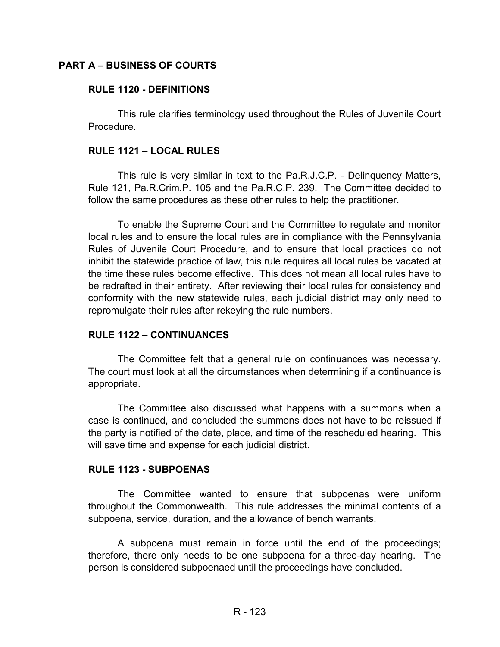### **PART A – BUSINESS OF COURTS**

#### **RULE 1120 - DEFINITIONS**

This rule clarifies terminology used throughout the Rules of Juvenile Court Procedure.

#### **RULE 1121 – LOCAL RULES**

This rule is very similar in text to the Pa.R.J.C.P. - Delinquency Matters, Rule 121, Pa.R.Crim.P. 105 and the Pa.R.C.P. 239. The Committee decided to follow the same procedures as these other rules to help the practitioner.

To enable the Supreme Court and the Committee to regulate and monitor local rules and to ensure the local rules are in compliance with the Pennsylvania Rules of Juvenile Court Procedure, and to ensure that local practices do not inhibit the statewide practice of law, this rule requires all local rules be vacated at the time these rules become effective. This does not mean all local rules have to be redrafted in their entirety. After reviewing their local rules for consistency and conformity with the new statewide rules, each judicial district may only need to repromulgate their rules after rekeying the rule numbers.

### **RULE 1122 – CONTINUANCES**

The Committee felt that a general rule on continuances was necessary. The court must look at all the circumstances when determining if a continuance is appropriate.

The Committee also discussed what happens with a summons when a case is continued, and concluded the summons does not have to be reissued if the party is notified of the date, place, and time of the rescheduled hearing. This will save time and expense for each judicial district.

#### **RULE 1123 - SUBPOENAS**

The Committee wanted to ensure that subpoenas were uniform throughout the Commonwealth. This rule addresses the minimal contents of a subpoena, service, duration, and the allowance of bench warrants.

 A subpoena must remain in force until the end of the proceedings; therefore, there only needs to be one subpoena for a three-day hearing. The person is considered subpoenaed until the proceedings have concluded.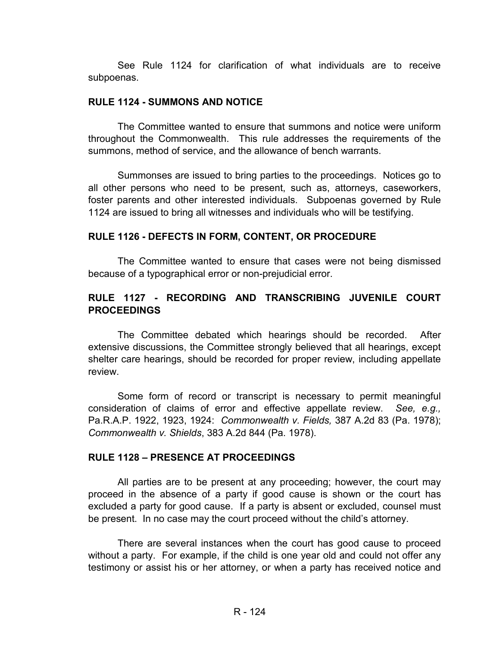See Rule 1124 for clarification of what individuals are to receive subpoenas.

#### **RULE 1124 - SUMMONS AND NOTICE**

The Committee wanted to ensure that summons and notice were uniform throughout the Commonwealth. This rule addresses the requirements of the summons, method of service, and the allowance of bench warrants.

Summonses are issued to bring parties to the proceedings. Notices go to all other persons who need to be present, such as, attorneys, caseworkers, foster parents and other interested individuals. Subpoenas governed by Rule 1124 are issued to bring all witnesses and individuals who will be testifying.

### **RULE 1126 - DEFECTS IN FORM, CONTENT, OR PROCEDURE**

The Committee wanted to ensure that cases were not being dismissed because of a typographical error or non-prejudicial error.

# **RULE 1127 - RECORDING AND TRANSCRIBING JUVENILE COURT PROCEEDINGS**

 The Committee debated which hearings should be recorded. After extensive discussions, the Committee strongly believed that all hearings, except shelter care hearings, should be recorded for proper review, including appellate review.

 Some form of record or transcript is necessary to permit meaningful consideration of claims of error and effective appellate review. *See, e.g.,*  Pa.R.A.P. 1922, 1923, 1924: *Commonwealth v. Fields,* 387 A.2d 83 (Pa. 1978); *Commonwealth v. Shields*, 383 A.2d 844 (Pa. 1978).

### **RULE 1128 – PRESENCE AT PROCEEDINGS**

All parties are to be present at any proceeding; however, the court may proceed in the absence of a party if good cause is shown or the court has excluded a party for good cause. If a party is absent or excluded, counsel must be present. In no case may the court proceed without the child's attorney.

There are several instances when the court has good cause to proceed without a party. For example, if the child is one year old and could not offer any testimony or assist his or her attorney, or when a party has received notice and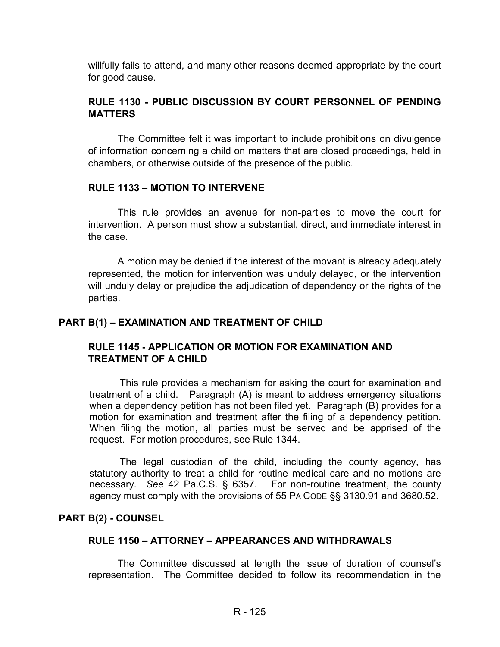willfully fails to attend, and many other reasons deemed appropriate by the court for good cause.

# **RULE 1130 - PUBLIC DISCUSSION BY COURT PERSONNEL OF PENDING MATTERS**

The Committee felt it was important to include prohibitions on divulgence of information concerning a child on matters that are closed proceedings, held in chambers, or otherwise outside of the presence of the public.

### **RULE 1133 – MOTION TO INTERVENE**

This rule provides an avenue for non-parties to move the court for intervention. A person must show a substantial, direct, and immediate interest in the case.

A motion may be denied if the interest of the movant is already adequately represented, the motion for intervention was unduly delayed, or the intervention will unduly delay or prejudice the adjudication of dependency or the rights of the parties.

# **PART B(1) – EXAMINATION AND TREATMENT OF CHILD**

# **RULE 1145 - APPLICATION OR MOTION FOR EXAMINATION AND TREATMENT OF A CHILD**

This rule provides a mechanism for asking the court for examination and treatment of a child. Paragraph (A) is meant to address emergency situations when a dependency petition has not been filed yet. Paragraph (B) provides for a motion for examination and treatment after the filing of a dependency petition. When filing the motion, all parties must be served and be apprised of the request. For motion procedures, see Rule 1344.

The legal custodian of the child, including the county agency, has statutory authority to treat a child for routine medical care and no motions are necessary. *See* 42 Pa.C.S. § 6357. For non-routine treatment, the county agency must comply with the provisions of 55 PA CODE §§ 3130.91 and 3680.52.

### **PART B(2) - COUNSEL**

### **RULE 1150 – ATTORNEY – APPEARANCES AND WITHDRAWALS**

The Committee discussed at length the issue of duration of counsel's representation. The Committee decided to follow its recommendation in the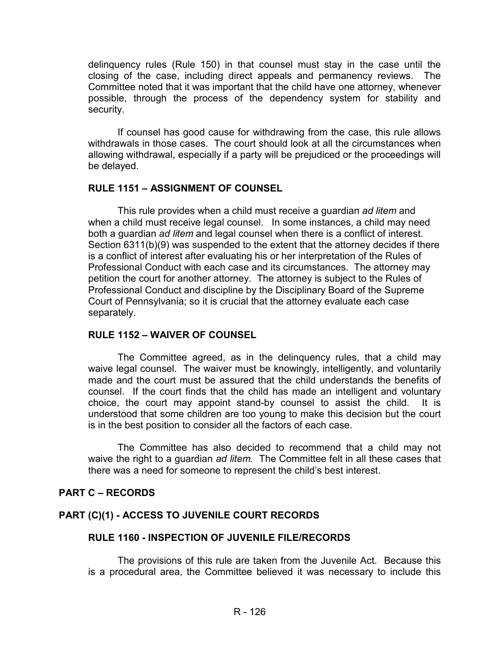delinquency rules (Rule 150) in that counsel must stay in the case until the closing of the case, including direct appeals and permanency reviews. The Committee noted that it was important that the child have one attorney, whenever possible, through the process of the dependency system for stability and security.

If counsel has good cause for withdrawing from the case, this rule allows withdrawals in those cases. The court should look at all the circumstances when allowing withdrawal, especially if a party will be prejudiced or the proceedings will be delayed.

### **RULE 1151 – ASSIGNMENT OF COUNSEL**

This rule provides when a child must receive a guardian *ad litem* and when a child must receive legal counsel. In some instances, a child may need both a guardian *ad litem* and legal counsel when there is a conflict of interest. Section 6311(b)(9) was suspended to the extent that the attorney decides if there is a conflict of interest after evaluating his or her interpretation of the Rules of Professional Conduct with each case and its circumstances. The attorney may petition the court for another attorney. The attorney is subject to the Rules of Professional Conduct and discipline by the Disciplinary Board of the Supreme Court of Pennsylvania; so it is crucial that the attorney evaluate each case separately.

### **RULE 1152 – WAIVER OF COUNSEL**

The Committee agreed, as in the delinquency rules, that a child may waive legal counsel. The waiver must be knowingly, intelligently, and voluntarily made and the court must be assured that the child understands the benefits of counsel. If the court finds that the child has made an intelligent and voluntary choice, the court may appoint stand-by counsel to assist the child. It is understood that some children are too young to make this decision but the court is in the best position to consider all the factors of each case.

The Committee has also decided to recommend that a child may not waive the right to a guardian *ad litem.* The Committee felt in all these cases that there was a need for someone to represent the child's best interest.

### **PART C – RECORDS**

# **PART (C)(1) - ACCESS TO JUVENILE COURT RECORDS**

# **RULE 1160 - INSPECTION OF JUVENILE FILE/RECORDS**

The provisions of this rule are taken from the Juvenile Act. Because this is a procedural area, the Committee believed it was necessary to include this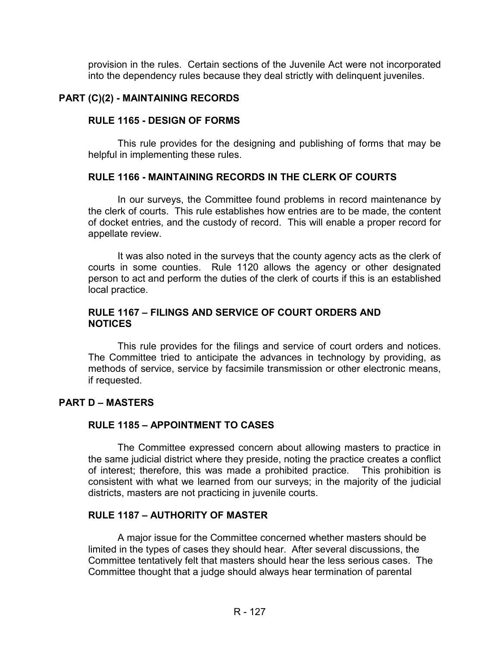provision in the rules. Certain sections of the Juvenile Act were not incorporated into the dependency rules because they deal strictly with delinquent juveniles.

### **PART (C)(2) - MAINTAINING RECORDS**

#### **RULE 1165 - DESIGN OF FORMS**

This rule provides for the designing and publishing of forms that may be helpful in implementing these rules.

### **RULE 1166 - MAINTAINING RECORDS IN THE CLERK OF COURTS**

In our surveys, the Committee found problems in record maintenance by the clerk of courts. This rule establishes how entries are to be made, the content of docket entries, and the custody of record. This will enable a proper record for appellate review.

 It was also noted in the surveys that the county agency acts as the clerk of courts in some counties. Rule 1120 allows the agency or other designated person to act and perform the duties of the clerk of courts if this is an established local practice.

### **RULE 1167 – FILINGS AND SERVICE OF COURT ORDERS AND NOTICES**

This rule provides for the filings and service of court orders and notices. The Committee tried to anticipate the advances in technology by providing, as methods of service, service by facsimile transmission or other electronic means, if requested.

#### **PART D – MASTERS**

### **RULE 1185 – APPOINTMENT TO CASES**

The Committee expressed concern about allowing masters to practice in the same judicial district where they preside, noting the practice creates a conflict of interest; therefore, this was made a prohibited practice. This prohibition is consistent with what we learned from our surveys; in the majority of the judicial districts, masters are not practicing in juvenile courts.

#### **RULE 1187 – AUTHORITY OF MASTER**

A major issue for the Committee concerned whether masters should be limited in the types of cases they should hear. After several discussions, the Committee tentatively felt that masters should hear the less serious cases. The Committee thought that a judge should always hear termination of parental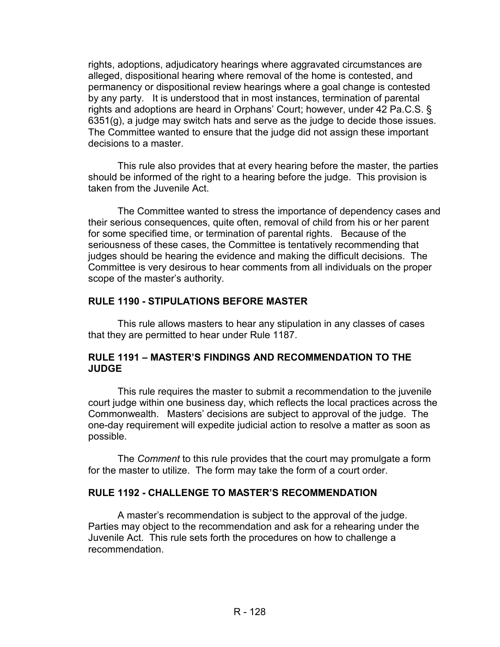rights, adoptions, adjudicatory hearings where aggravated circumstances are alleged, dispositional hearing where removal of the home is contested, and permanency or dispositional review hearings where a goal change is contested by any party. It is understood that in most instances, termination of parental rights and adoptions are heard in Orphans' Court; however, under 42 Pa.C.S. § 6351(g), a judge may switch hats and serve as the judge to decide those issues. The Committee wanted to ensure that the judge did not assign these important decisions to a master.

This rule also provides that at every hearing before the master, the parties should be informed of the right to a hearing before the judge. This provision is taken from the Juvenile Act.

The Committee wanted to stress the importance of dependency cases and their serious consequences, quite often, removal of child from his or her parent for some specified time, or termination of parental rights. Because of the seriousness of these cases, the Committee is tentatively recommending that judges should be hearing the evidence and making the difficult decisions. The Committee is very desirous to hear comments from all individuals on the proper scope of the master's authority.

### **RULE 1190 - STIPULATIONS BEFORE MASTER**

 This rule allows masters to hear any stipulation in any classes of cases that they are permitted to hear under Rule 1187.

### **RULE 1191 – MASTER'S FINDINGS AND RECOMMENDATION TO THE JUDGE**

This rule requires the master to submit a recommendation to the juvenile court judge within one business day, which reflects the local practices across the Commonwealth. Masters' decisions are subject to approval of the judge. The one-day requirement will expedite judicial action to resolve a matter as soon as possible.

The *Comment* to this rule provides that the court may promulgate a form for the master to utilize. The form may take the form of a court order.

# **RULE 1192 - CHALLENGE TO MASTER'S RECOMMENDATION**

 A master's recommendation is subject to the approval of the judge. Parties may object to the recommendation and ask for a rehearing under the Juvenile Act. This rule sets forth the procedures on how to challenge a recommendation.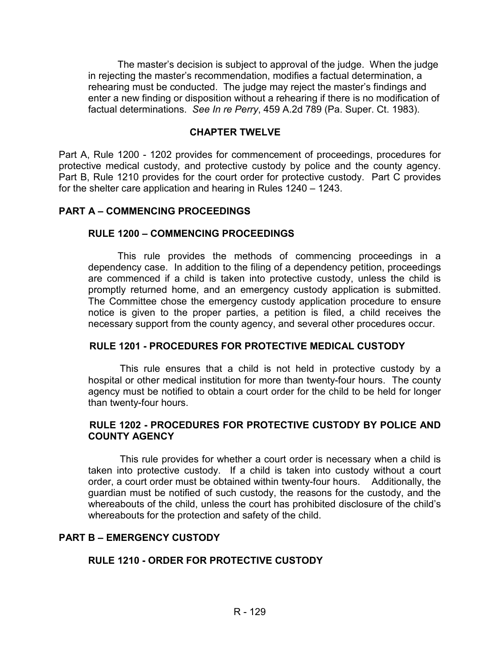The master's decision is subject to approval of the judge. When the judge in rejecting the master's recommendation, modifies a factual determination, a rehearing must be conducted. The judge may reject the master's findings and enter a new finding or disposition without a rehearing if there is no modification of factual determinations. *See In re Perry*, 459 A.2d 789 (Pa. Super. Ct. 1983).

#### **CHAPTER TWELVE**

Part A, Rule 1200 - 1202 provides for commencement of proceedings, procedures for protective medical custody, and protective custody by police and the county agency. Part B, Rule 1210 provides for the court order for protective custody. Part C provides for the shelter care application and hearing in Rules 1240 – 1243.

#### **PART A – COMMENCING PROCEEDINGS**

#### **RULE 1200 – COMMENCING PROCEEDINGS**

This rule provides the methods of commencing proceedings in a dependency case. In addition to the filing of a dependency petition, proceedings are commenced if a child is taken into protective custody, unless the child is promptly returned home, and an emergency custody application is submitted. The Committee chose the emergency custody application procedure to ensure notice is given to the proper parties, a petition is filed, a child receives the necessary support from the county agency, and several other procedures occur.

#### **RULE 1201 - PROCEDURES FOR PROTECTIVE MEDICAL CUSTODY**

This rule ensures that a child is not held in protective custody by a hospital or other medical institution for more than twenty-four hours. The county agency must be notified to obtain a court order for the child to be held for longer than twenty-four hours.

#### **RULE 1202 - PROCEDURES FOR PROTECTIVE CUSTODY BY POLICE AND COUNTY AGENCY**

This rule provides for whether a court order is necessary when a child is taken into protective custody. If a child is taken into custody without a court order, a court order must be obtained within twenty-four hours. Additionally, the guardian must be notified of such custody, the reasons for the custody, and the whereabouts of the child, unless the court has prohibited disclosure of the child's whereabouts for the protection and safety of the child.

#### **PART B – EMERGENCY CUSTODY**

### **RULE 1210 - ORDER FOR PROTECTIVE CUSTODY**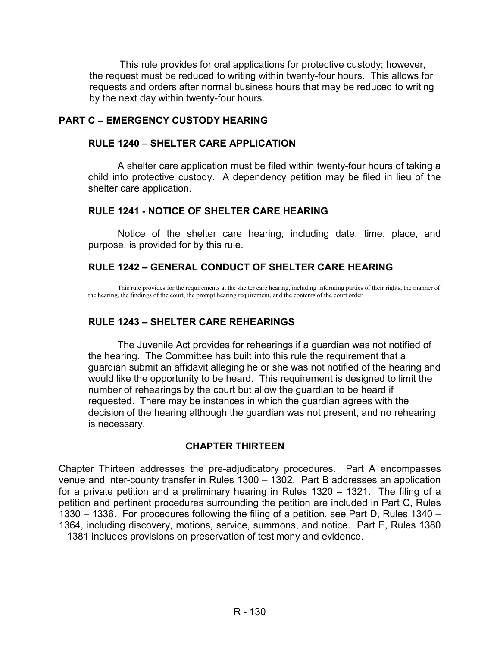This rule provides for oral applications for protective custody; however, the request must be reduced to writing within twenty-four hours. This allows for requests and orders after normal business hours that may be reduced to writing by the next day within twenty-four hours.

### **PART C – EMERGENCY CUSTODY HEARING**

### **RULE 1240 – SHELTER CARE APPLICATION**

A shelter care application must be filed within twenty-four hours of taking a child into protective custody. A dependency petition may be filed in lieu of the shelter care application.

### **RULE 1241 - NOTICE OF SHELTER CARE HEARING**

 Notice of the shelter care hearing, including date, time, place, and purpose, is provided for by this rule.

### **RULE 1242 – GENERAL CONDUCT OF SHELTER CARE HEARING**

This rule provides for the requirements at the shelter care hearing, including informing parties of their rights, the manner of the hearing, the findings of the court, the prompt hearing requirement, and the contents of the court order.

### **RULE 1243 – SHELTER CARE REHEARINGS**

The Juvenile Act provides for rehearings if a guardian was not notified of the hearing. The Committee has built into this rule the requirement that a guardian submit an affidavit alleging he or she was not notified of the hearing and would like the opportunity to be heard. This requirement is designed to limit the number of rehearings by the court but allow the guardian to be heard if requested. There may be instances in which the guardian agrees with the decision of the hearing although the guardian was not present, and no rehearing is necessary.

# **CHAPTER THIRTEEN**

Chapter Thirteen addresses the pre-adjudicatory procedures. Part A encompasses venue and inter-county transfer in Rules 1300 – 1302. Part B addresses an application for a private petition and a preliminary hearing in Rules 1320 – 1321. The filing of a petition and pertinent procedures surrounding the petition are included in Part C, Rules 1330 – 1336. For procedures following the filing of a petition, see Part D, Rules 1340 – 1364, including discovery, motions, service, summons, and notice. Part E, Rules 1380 – 1381 includes provisions on preservation of testimony and evidence.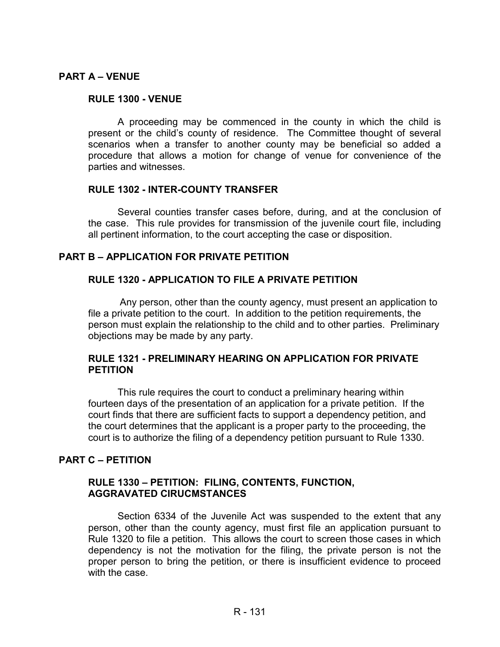#### **PART A – VENUE**

#### **RULE 1300 - VENUE**

A proceeding may be commenced in the county in which the child is present or the child's county of residence. The Committee thought of several scenarios when a transfer to another county may be beneficial so added a procedure that allows a motion for change of venue for convenience of the parties and witnesses.

#### **RULE 1302 - INTER-COUNTY TRANSFER**

Several counties transfer cases before, during, and at the conclusion of the case. This rule provides for transmission of the juvenile court file, including all pertinent information, to the court accepting the case or disposition.

#### **PART B – APPLICATION FOR PRIVATE PETITION**

#### **RULE 1320 - APPLICATION TO FILE A PRIVATE PETITION**

Any person, other than the county agency, must present an application to file a private petition to the court. In addition to the petition requirements, the person must explain the relationship to the child and to other parties. Preliminary objections may be made by any party.

#### **RULE 1321 - PRELIMINARY HEARING ON APPLICATION FOR PRIVATE PETITION**

 This rule requires the court to conduct a preliminary hearing within fourteen days of the presentation of an application for a private petition. If the court finds that there are sufficient facts to support a dependency petition, and the court determines that the applicant is a proper party to the proceeding, the court is to authorize the filing of a dependency petition pursuant to Rule 1330.

### **PART C – PETITION**

#### **RULE 1330 – PETITION: FILING, CONTENTS, FUNCTION, AGGRAVATED CIRUCMSTANCES**

Section 6334 of the Juvenile Act was suspended to the extent that any person, other than the county agency, must first file an application pursuant to Rule 1320 to file a petition. This allows the court to screen those cases in which dependency is not the motivation for the filing, the private person is not the proper person to bring the petition, or there is insufficient evidence to proceed with the case.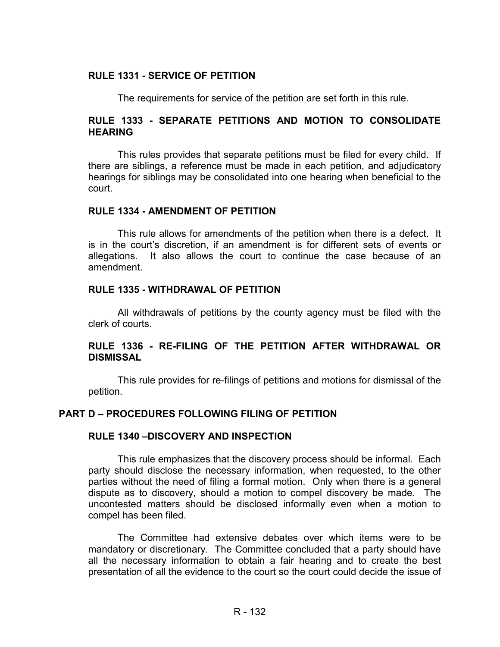### **RULE 1331 - SERVICE OF PETITION**

The requirements for service of the petition are set forth in this rule.

### **RULE 1333 - SEPARATE PETITIONS AND MOTION TO CONSOLIDATE HEARING**

This rules provides that separate petitions must be filed for every child. If there are siblings, a reference must be made in each petition, and adjudicatory hearings for siblings may be consolidated into one hearing when beneficial to the court.

#### **RULE 1334 - AMENDMENT OF PETITION**

 This rule allows for amendments of the petition when there is a defect. It is in the court's discretion, if an amendment is for different sets of events or allegations. It also allows the court to continue the case because of an amendment.

#### **RULE 1335 - WITHDRAWAL OF PETITION**

 All withdrawals of petitions by the county agency must be filed with the clerk of courts.

### **RULE 1336 - RE-FILING OF THE PETITION AFTER WITHDRAWAL OR DISMISSAL**

 This rule provides for re-filings of petitions and motions for dismissal of the petition.

#### **PART D – PROCEDURES FOLLOWING FILING OF PETITION**

#### **RULE 1340 –DISCOVERY AND INSPECTION**

This rule emphasizes that the discovery process should be informal. Each party should disclose the necessary information, when requested, to the other parties without the need of filing a formal motion. Only when there is a general dispute as to discovery, should a motion to compel discovery be made. The uncontested matters should be disclosed informally even when a motion to compel has been filed.

The Committee had extensive debates over which items were to be mandatory or discretionary. The Committee concluded that a party should have all the necessary information to obtain a fair hearing and to create the best presentation of all the evidence to the court so the court could decide the issue of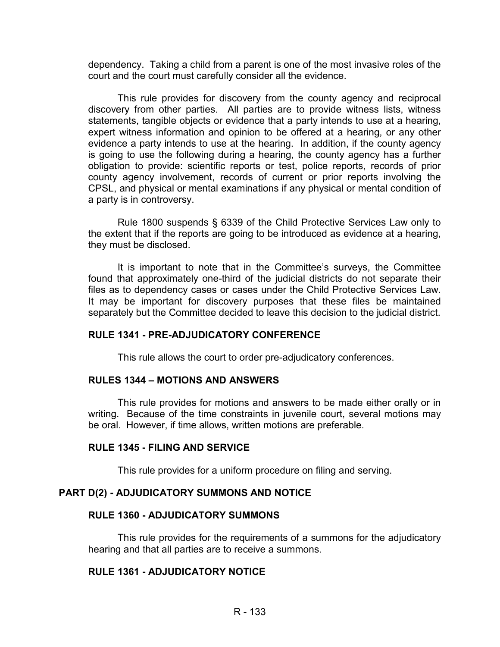dependency. Taking a child from a parent is one of the most invasive roles of the court and the court must carefully consider all the evidence.

This rule provides for discovery from the county agency and reciprocal discovery from other parties. All parties are to provide witness lists, witness statements, tangible objects or evidence that a party intends to use at a hearing, expert witness information and opinion to be offered at a hearing, or any other evidence a party intends to use at the hearing. In addition, if the county agency is going to use the following during a hearing, the county agency has a further obligation to provide: scientific reports or test, police reports, records of prior county agency involvement, records of current or prior reports involving the CPSL, and physical or mental examinations if any physical or mental condition of a party is in controversy.

Rule 1800 suspends § 6339 of the Child Protective Services Law only to the extent that if the reports are going to be introduced as evidence at a hearing, they must be disclosed.

It is important to note that in the Committee's surveys, the Committee found that approximately one-third of the judicial districts do not separate their files as to dependency cases or cases under the Child Protective Services Law. It may be important for discovery purposes that these files be maintained separately but the Committee decided to leave this decision to the judicial district.

### **RULE 1341 - PRE-ADJUDICATORY CONFERENCE**

This rule allows the court to order pre-adjudicatory conferences.

#### **RULES 1344 – MOTIONS AND ANSWERS**

This rule provides for motions and answers to be made either orally or in writing. Because of the time constraints in juvenile court, several motions may be oral. However, if time allows, written motions are preferable.

#### **RULE 1345 - FILING AND SERVICE**

This rule provides for a uniform procedure on filing and serving.

#### **PART D(2) - ADJUDICATORY SUMMONS AND NOTICE**

#### **RULE 1360 - ADJUDICATORY SUMMONS**

 This rule provides for the requirements of a summons for the adjudicatory hearing and that all parties are to receive a summons.

#### **RULE 1361 - ADJUDICATORY NOTICE**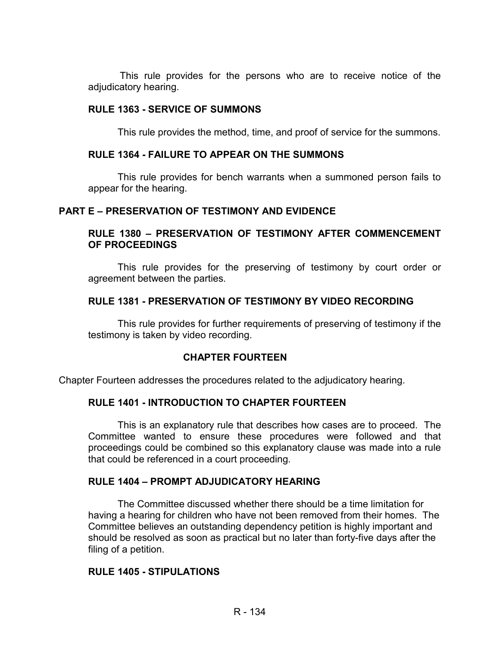This rule provides for the persons who are to receive notice of the adjudicatory hearing.

#### **RULE 1363 - SERVICE OF SUMMONS**

This rule provides the method, time, and proof of service for the summons.

### **RULE 1364 - FAILURE TO APPEAR ON THE SUMMONS**

 This rule provides for bench warrants when a summoned person fails to appear for the hearing.

#### **PART E – PRESERVATION OF TESTIMONY AND EVIDENCE**

#### **RULE 1380 – PRESERVATION OF TESTIMONY AFTER COMMENCEMENT OF PROCEEDINGS**

 This rule provides for the preserving of testimony by court order or agreement between the parties.

#### **RULE 1381 - PRESERVATION OF TESTIMONY BY VIDEO RECORDING**

 This rule provides for further requirements of preserving of testimony if the testimony is taken by video recording.

#### **CHAPTER FOURTEEN**

Chapter Fourteen addresses the procedures related to the adjudicatory hearing.

#### **RULE 1401 - INTRODUCTION TO CHAPTER FOURTEEN**

This is an explanatory rule that describes how cases are to proceed. The Committee wanted to ensure these procedures were followed and that proceedings could be combined so this explanatory clause was made into a rule that could be referenced in a court proceeding.

#### **RULE 1404 – PROMPT ADJUDICATORY HEARING**

The Committee discussed whether there should be a time limitation for having a hearing for children who have not been removed from their homes. The Committee believes an outstanding dependency petition is highly important and should be resolved as soon as practical but no later than forty-five days after the filing of a petition.

#### **RULE 1405 - STIPULATIONS**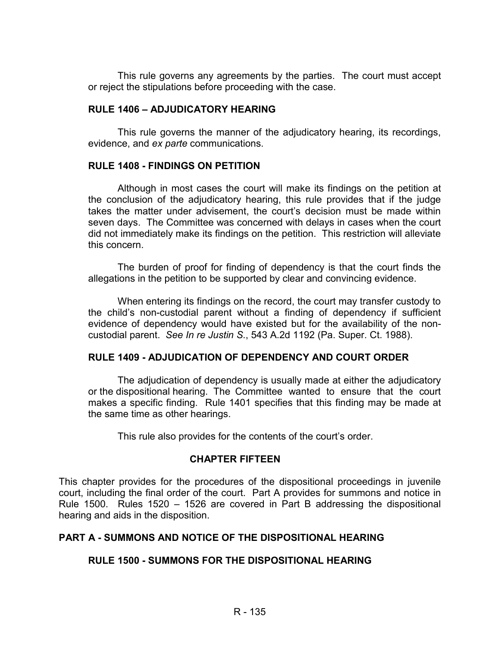This rule governs any agreements by the parties. The court must accept or reject the stipulations before proceeding with the case.

#### **RULE 1406 – ADJUDICATORY HEARING**

 This rule governs the manner of the adjudicatory hearing, its recordings, evidence, and *ex parte* communications.

#### **RULE 1408 - FINDINGS ON PETITION**

Although in most cases the court will make its findings on the petition at the conclusion of the adjudicatory hearing, this rule provides that if the judge takes the matter under advisement, the court's decision must be made within seven days. The Committee was concerned with delays in cases when the court did not immediately make its findings on the petition. This restriction will alleviate this concern.

 The burden of proof for finding of dependency is that the court finds the allegations in the petition to be supported by clear and convincing evidence.

When entering its findings on the record, the court may transfer custody to the child's non-custodial parent without a finding of dependency if sufficient evidence of dependency would have existed but for the availability of the noncustodial parent. *See In re Justin S.*, 543 A.2d 1192 (Pa. Super. Ct. 1988).

#### **RULE 1409 - ADJUDICATION OF DEPENDENCY AND COURT ORDER**

 The adjudication of dependency is usually made at either the adjudicatory or the dispositional hearing. The Committee wanted to ensure that the court makes a specific finding. Rule 1401 specifies that this finding may be made at the same time as other hearings.

This rule also provides for the contents of the court's order.

### **CHAPTER FIFTEEN**

This chapter provides for the procedures of the dispositional proceedings in juvenile court, including the final order of the court. Part A provides for summons and notice in Rule 1500. Rules 1520 – 1526 are covered in Part B addressing the dispositional hearing and aids in the disposition.

### **PART A - SUMMONS AND NOTICE OF THE DISPOSITIONAL HEARING**

### **RULE 1500 - SUMMONS FOR THE DISPOSITIONAL HEARING**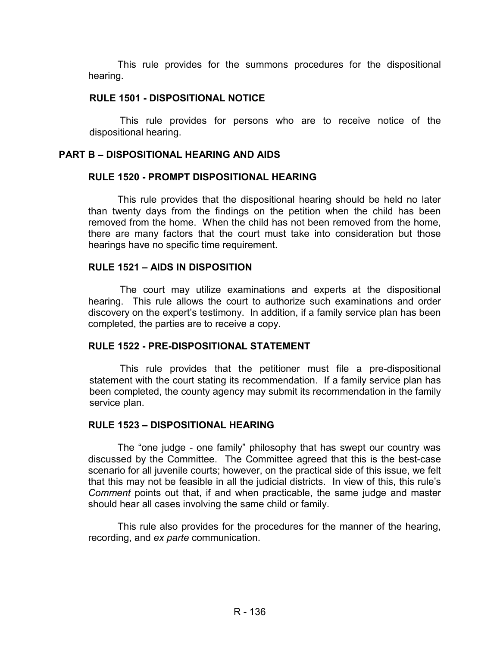This rule provides for the summons procedures for the dispositional hearing.

#### **RULE 1501 - DISPOSITIONAL NOTICE**

This rule provides for persons who are to receive notice of the dispositional hearing.

#### **PART B – DISPOSITIONAL HEARING AND AIDS**

#### **RULE 1520 - PROMPT DISPOSITIONAL HEARING**

 This rule provides that the dispositional hearing should be held no later than twenty days from the findings on the petition when the child has been removed from the home. When the child has not been removed from the home, there are many factors that the court must take into consideration but those hearings have no specific time requirement.

#### **RULE 1521 – AIDS IN DISPOSITION**

The court may utilize examinations and experts at the dispositional hearing. This rule allows the court to authorize such examinations and order discovery on the expert's testimony. In addition, if a family service plan has been completed, the parties are to receive a copy.

### **RULE 1522 - PRE-DISPOSITIONAL STATEMENT**

This rule provides that the petitioner must file a pre-dispositional statement with the court stating its recommendation. If a family service plan has been completed, the county agency may submit its recommendation in the family service plan.

#### **RULE 1523 – DISPOSITIONAL HEARING**

The "one judge - one family" philosophy that has swept our country was discussed by the Committee. The Committee agreed that this is the best-case scenario for all juvenile courts; however, on the practical side of this issue, we felt that this may not be feasible in all the judicial districts. In view of this, this rule's *Comment* points out that, if and when practicable, the same judge and master should hear all cases involving the same child or family.

This rule also provides for the procedures for the manner of the hearing, recording, and *ex parte* communication.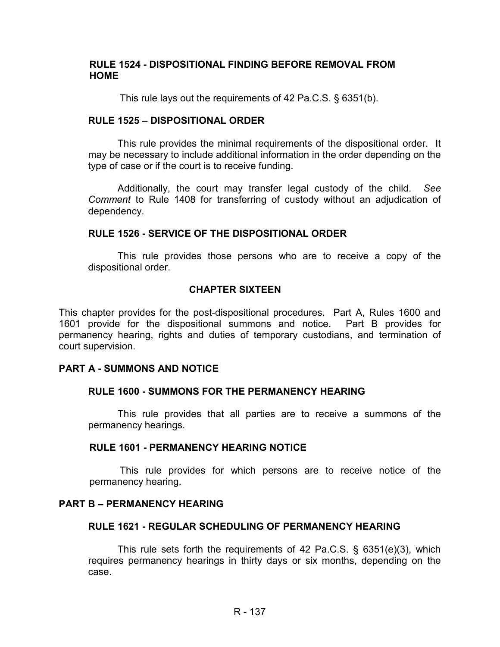#### **RULE 1524 - DISPOSITIONAL FINDING BEFORE REMOVAL FROM HOME**

This rule lays out the requirements of 42 Pa.C.S. § 6351(b).

#### **RULE 1525 – DISPOSITIONAL ORDER**

This rule provides the minimal requirements of the dispositional order. It may be necessary to include additional information in the order depending on the type of case or if the court is to receive funding.

Additionally, the court may transfer legal custody of the child. *See Comment* to Rule 1408 for transferring of custody without an adjudication of dependency.

#### **RULE 1526 - SERVICE OF THE DISPOSITIONAL ORDER**

 This rule provides those persons who are to receive a copy of the dispositional order.

#### **CHAPTER SIXTEEN**

This chapter provides for the post-dispositional procedures. Part A, Rules 1600 and 1601 provide for the dispositional summons and notice. Part B provides for permanency hearing, rights and duties of temporary custodians, and termination of court supervision.

#### **PART A - SUMMONS AND NOTICE**

### **RULE 1600 - SUMMONS FOR THE PERMANENCY HEARING**

 This rule provides that all parties are to receive a summons of the permanency hearings.

#### **RULE 1601 - PERMANENCY HEARING NOTICE**

This rule provides for which persons are to receive notice of the permanency hearing.

#### **PART B – PERMANENCY HEARING**

### **RULE 1621 - REGULAR SCHEDULING OF PERMANENCY HEARING**

This rule sets forth the requirements of 42 Pa.C.S.  $\S$  6351(e)(3), which requires permanency hearings in thirty days or six months, depending on the case.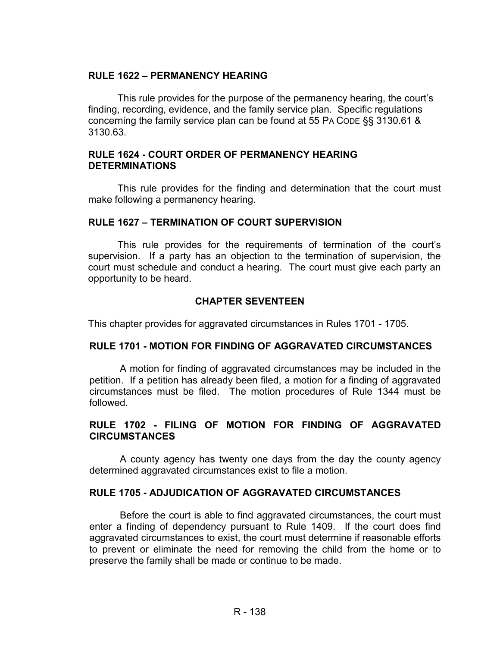### **RULE 1622 – PERMANENCY HEARING**

This rule provides for the purpose of the permanency hearing, the court's finding, recording, evidence, and the family service plan. Specific regulations concerning the family service plan can be found at 55 PA CODE §§ 3130.61 & 3130.63.

#### **RULE 1624 - COURT ORDER OF PERMANENCY HEARING DETERMINATIONS**

This rule provides for the finding and determination that the court must make following a permanency hearing.

#### **RULE 1627 – TERMINATION OF COURT SUPERVISION**

 This rule provides for the requirements of termination of the court's supervision. If a party has an objection to the termination of supervision, the court must schedule and conduct a hearing. The court must give each party an opportunity to be heard.

### **CHAPTER SEVENTEEN**

This chapter provides for aggravated circumstances in Rules 1701 - 1705.

### **RULE 1701 - MOTION FOR FINDING OF AGGRAVATED CIRCUMSTANCES**

A motion for finding of aggravated circumstances may be included in the petition. If a petition has already been filed, a motion for a finding of aggravated circumstances must be filed. The motion procedures of Rule 1344 must be followed.

### **RULE 1702 - FILING OF MOTION FOR FINDING OF AGGRAVATED CIRCUMSTANCES**

A county agency has twenty one days from the day the county agency determined aggravated circumstances exist to file a motion.

### **RULE 1705 - ADJUDICATION OF AGGRAVATED CIRCUMSTANCES**

Before the court is able to find aggravated circumstances, the court must enter a finding of dependency pursuant to Rule 1409. If the court does find aggravated circumstances to exist, the court must determine if reasonable efforts to prevent or eliminate the need for removing the child from the home or to preserve the family shall be made or continue to be made.